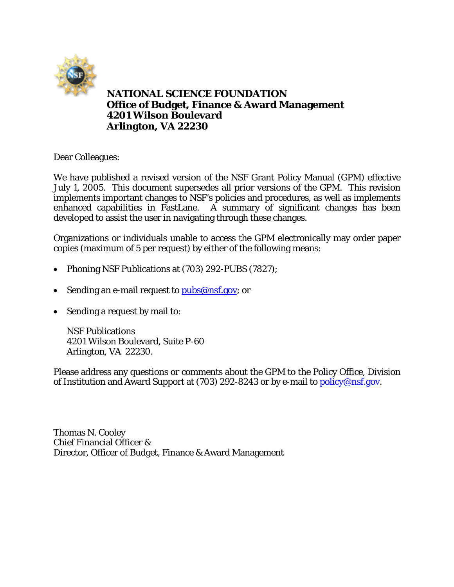

#### **NATIONAL SCIENCE FOUNDATION Office of Budget, Finance & Award Management 4201 Wilson Boulevard Arlington, VA 22230**

Dear Colleagues:

We have published a revised version of the NSF Grant Policy Manual (GPM) effective July 1, 2005. This document supersedes all prior versions of the GPM. This revision implements important changes to NSF's policies and procedures, as well as implements enhanced capabilities in FastLane. A summary of significant changes has been developed to assist the user in navigating through these changes.

Organizations or individuals unable to access the GPM electronically may order paper copies (maximum of 5 per request) by either of the following means:

- Phoning NSF Publications at (703) 292-PUBS (7827);
- Sending an e-mail request to  $\frac{p_{\text{u}}}{p_{\text{u}}}$  [pubs@nsf.gov;](mailto:pubs@nsf.gov) or
- Sending a request by mail to:

NSF Publications 4201 Wilson Boulevard, Suite P-60 Arlington, VA 22230.

Please address any questions or comments about the GPM to the Policy Office, Division of Institution and Award Support at (703) 292-8243 or by e-mail to **policy@nsf.gov**.

Thomas N. Cooley Chief Financial Officer & Director, Officer of Budget, Finance & Award Management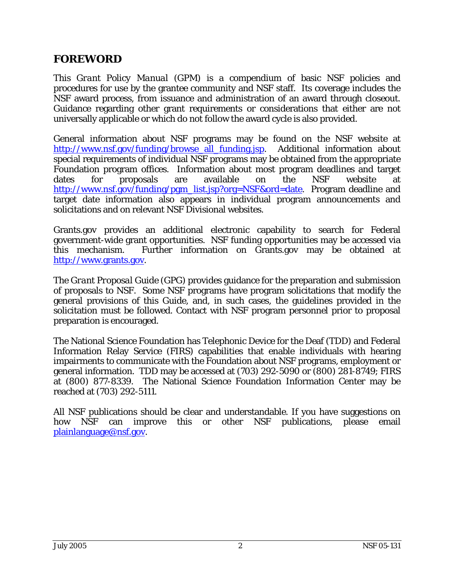## **FOREWORD**

This *Grant Policy Manual* (GPM) is a compendium of basic NSF policies and procedures for use by the grantee community and NSF staff. Its coverage includes the NSF award process, from issuance and administration of an award through closeout. Guidance regarding other grant requirements or considerations that either are not universally applicable or which do not follow the award cycle is also provided.

General information about NSF programs may be found on the NSF website at [http://www.nsf.gov/funding/browse\\_all\\_funding.jsp.](http://www.nsf.gov/funding/browse_all_funding.jsp) Additional information about special requirements of individual NSF programs may be obtained from the appropriate Foundation program offices. Information about most program deadlines and target dates for proposals are available on the NSF website at [http://www.nsf.gov/funding/pgm\\_list.jsp?org=NSF&ord=date.](http://www.nsf.gov/funding/pgm_list.jsp?org=NSF&ord=date) Program deadline and target date information also appears in individual program announcements and solicitations and on relevant NSF Divisional websites.

Grants.gov provides an additional electronic capability to search for Federal government-wide grant opportunities. NSF funding opportunities may be accessed via this mechanism. Further information on Grants.gov may be obtained at [http://www.grants.gov.](http://www.grants.gov)

The *Grant Proposal Guide* (GPG) provides guidance for the preparation and submission of proposals to NSF. Some NSF programs have program solicitations that modify the general provisions of this Guide, and, in such cases, the guidelines provided in the solicitation must be followed. Contact with NSF program personnel prior to proposal preparation is encouraged.

The National Science Foundation has Telephonic Device for the Deaf (TDD) and Federal Information Relay Service (FIRS) capabilities that enable individuals with hearing impairments to communicate with the Foundation about NSF programs, employment or general information. TDD may be accessed at (703) 292-5090 or (800) 281-8749; FIRS at (800) 877-8339. The National Science Foundation Information Center may be reached at (703) 292-5111.

All NSF publications should be clear and understandable. If you have suggestions on how NSF can improve this or other NSF publications, please email [plainlanguage@nsf.gov.](mailto:plainlanguage@nsf.gov)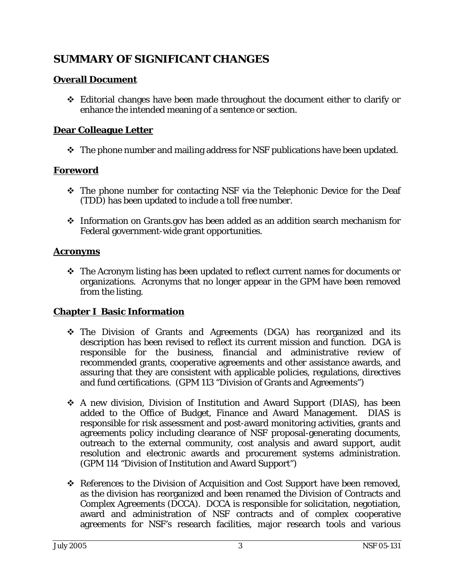# **SUMMARY OF SIGNIFICANT CHANGES**

## **Overall Document**

 Editorial changes have been made throughout the document either to clarify or enhance the intended meaning of a sentence or section.

## **Dear Colleague Letter**

• The phone number and mailing address for NSF publications have been updated.

## **Foreword**

- The phone number for contacting NSF via the Telephonic Device for the Deaf (TDD) has been updated to include a toll free number.
- Information on Grants.gov has been added as an addition search mechanism for Federal government-wide grant opportunities.

## **Acronyms**

 The Acronym listing has been updated to reflect current names for documents or organizations. Acronyms that no longer appear in the GPM have been removed from the listing.

## **Chapter I Basic Information**

- The Division of Grants and Agreements (DGA) has reorganized and its description has been revised to reflect its current mission and function. DGA is responsible for the business, financial and administrative review of recommended grants, cooperative agreements and other assistance awards, and assuring that they are consistent with applicable policies, regulations, directives and fund certifications. (GPM 113 "Division of Grants and Agreements")
- A new division, Division of Institution and Award Support (DIAS), has been added to the Office of Budget, Finance and Award Management. DIAS is responsible for risk assessment and post-award monitoring activities, grants and agreements policy including clearance of NSF proposal-generating documents, outreach to the external community, cost analysis and award support, audit resolution and electronic awards and procurement systems administration. (GPM 114 "Division of Institution and Award Support")
- \* References to the Division of Acquisition and Cost Support have been removed, as the division has reorganized and been renamed the Division of Contracts and Complex Agreements (DCCA). DCCA is responsible for solicitation, negotiation, award and administration of NSF contracts and of complex cooperative agreements for NSF's research facilities, major research tools and various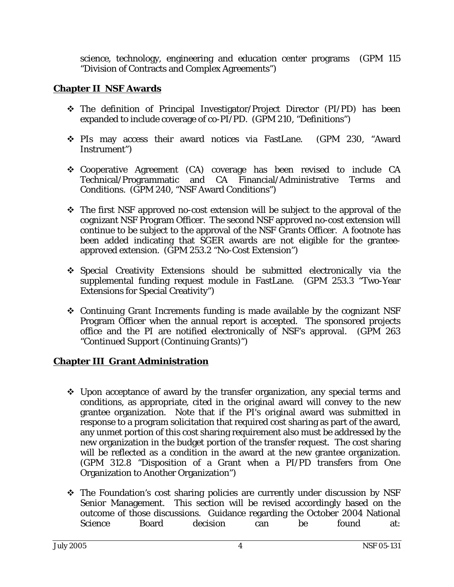science, technology, engineering and education center programs (GPM 115 "Division of Contracts and Complex Agreements")

## **Chapter II NSF Awards**

- The definition of Principal Investigator/Project Director (PI/PD) has been expanded to include coverage of co-PI/PD. (GPM 210, "Definitions")
- PIs may access their award notices via FastLane. (GPM 230, "Award Instrument")
- Cooperative Agreement (CA) coverage has been revised to include CA Technical/Programmatic and CA Financial/Administrative Terms and Conditions. (GPM 240, "NSF Award Conditions")
- The first NSF approved no-cost extension will be subject to the approval of the cognizant NSF Program Officer. The second NSF approved no-cost extension will continue to be subject to the approval of the NSF Grants Officer. A footnote has been added indicating that SGER awards are not eligible for the granteeapproved extension. (GPM 253.2 "No-Cost Extension")
- Special Creativity Extensions should be submitted electronically via the supplemental funding request module in FastLane. (GPM 253.3 "Two-Year Extensions for Special Creativity")
- Continuing Grant Increments funding is made available by the cognizant NSF Program Officer when the annual report is accepted. The sponsored projects office and the PI are notified electronically of NSF's approval. (GPM 263 "Continued Support (Continuing Grants)")

## **Chapter III Grant Administration**

- $\div$  Upon acceptance of award by the transfer organization, any special terms and conditions, as appropriate, cited in the original award will convey to the new grantee organization. Note that if the PI's original award was submitted in response to a program solicitation that required cost sharing as part of the award, any unmet portion of this cost sharing requirement also must be addressed by the new organization in the budget portion of the transfer request. The cost sharing will be reflected as a condition in the award at the new grantee organization. (GPM 312.8 "Disposition of a Grant when a PI/PD transfers from One Organization to Another Organization")
- The Foundation's cost sharing policies are currently under discussion by NSF Senior Management. This section will be revised accordingly based on the outcome of those discussions. Guidance regarding the October 2004 National Science Board decision can be found at: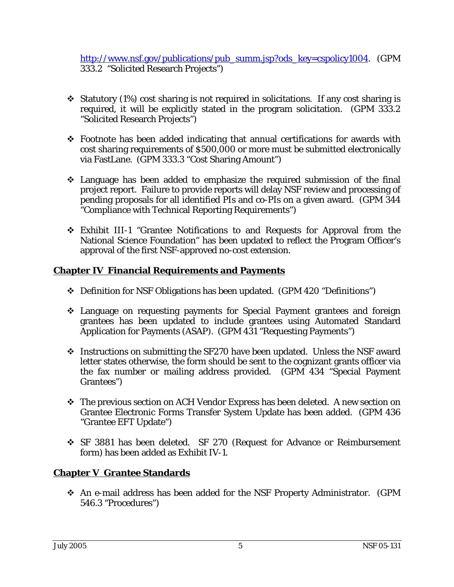[http://www.nsf.gov/publications/pub\\_summ.jsp?ods\\_key=cspolicy1004.](http://www.nsf.gov/publications/pub_summ.jsp?ods_key=cspolicy1004) (GPM 333.2 "Solicited Research Projects")

- Statutory (1%) cost sharing is not required in solicitations. If any cost sharing is required, it will be explicitly stated in the program solicitation. (GPM 333.2 "Solicited Research Projects")
- Footnote has been added indicating that annual certifications for awards with cost sharing requirements of \$500,000 or more must be submitted electronically via FastLane. (GPM 333.3 "Cost Sharing Amount")
- Language has been added to emphasize the required submission of the final project report. Failure to provide reports will delay NSF review and processing of pending proposals for all identified PIs and co-PIs on a given award. (GPM 344 "Compliance with Technical Reporting Requirements")
- Exhibit III-1 "Grantee Notifications to and Requests for Approval from the National Science Foundation" has been updated to reflect the Program Officer's approval of the first NSF-approved no-cost extension.

## **Chapter IV Financial Requirements and Payments**

- Definition for NSF Obligations has been updated. (GPM 420 "Definitions")
- Language on requesting payments for Special Payment grantees and foreign grantees has been updated to include grantees using Automated Standard Application for Payments (ASAP). (GPM 431 "Requesting Payments")
- Instructions on submitting the SF270 have been updated. Unless the NSF award letter states otherwise, the form should be sent to the cognizant grants officer via the fax number or mailing address provided. (GPM 434 "Special Payment Grantees")
- The previous section on ACH Vendor Express has been deleted. A new section on Grantee Electronic Forms Transfer System Update has been added. (GPM 436 "Grantee EFT Update")
- SF 3881 has been deleted. SF 270 (Request for Advance or Reimbursement form) has been added as Exhibit IV-1.

## **Chapter V Grantee Standards**

 An e-mail address has been added for the NSF Property Administrator. (GPM 546.3 "Procedures")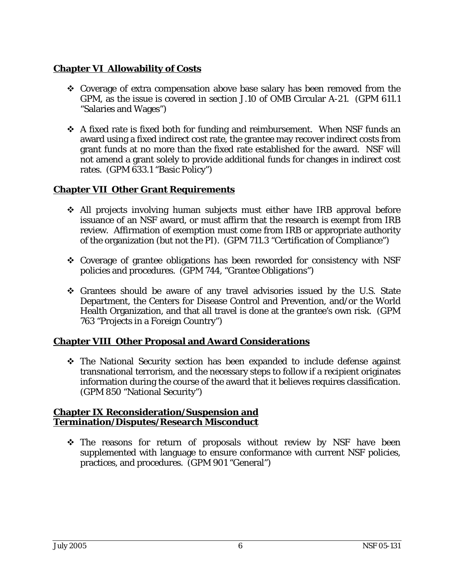## **Chapter VI Allowability of Costs**

- Coverage of extra compensation above base salary has been removed from the GPM, as the issue is covered in section J.10 of OMB Circular A-21. (GPM 611.1 "Salaries and Wages")
- A fixed rate is fixed both for funding and reimbursement. When NSF funds an award using a fixed indirect cost rate, the grantee may recover indirect costs from grant funds at no more than the fixed rate established for the award. NSF will not amend a grant solely to provide additional funds for changes in indirect cost rates. (GPM 633.1 "Basic Policy")

#### **Chapter VII Other Grant Requirements**

- All projects involving human subjects must either have IRB approval before issuance of an NSF award, or must affirm that the research is exempt from IRB review. Affirmation of exemption must come from IRB or appropriate authority of the organization (but not the PI). (GPM 711.3 "Certification of Compliance")
- Coverage of grantee obligations has been reworded for consistency with NSF policies and procedures. (GPM 744, "Grantee Obligations")
- $\div$  Grantees should be aware of any travel advisories issued by the U.S. State Department, the Centers for Disease Control and Prevention, and/or the World Health Organization, and that all travel is done at the grantee's own risk. (GPM 763 "Projects in a Foreign Country")

## **Chapter VIII Other Proposal and Award Considerations**

 $\div$  The National Security section has been expanded to include defense against transnational terrorism, and the necessary steps to follow if a recipient originates information during the course of the award that it believes requires classification. (GPM 850 "National Security")

#### **Chapter IX Reconsideration/Suspension and Termination/Disputes/Research Misconduct**

• The reasons for return of proposals without review by NSF have been supplemented with language to ensure conformance with current NSF policies, practices, and procedures. (GPM 901 "General")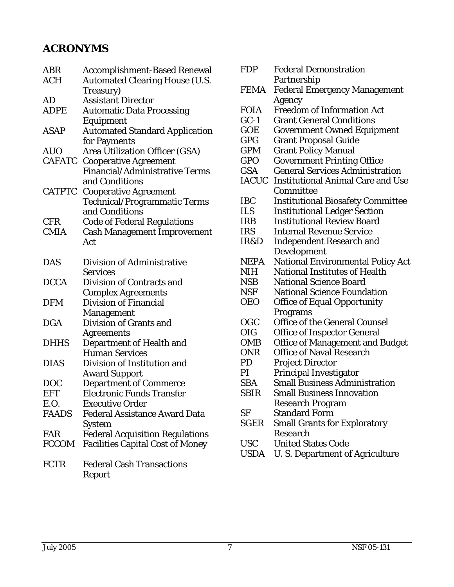# **ACRONYMS**

| <b>ABR</b>    | <b>Accomplishment-Based Renewal</b>     |
|---------------|-----------------------------------------|
| <b>ACH</b>    | <b>Automated Clearing House (U.S.</b>   |
|               | Treasury)                               |
| AD            | <b>Assistant Director</b>               |
| <b>ADPE</b>   | <b>Automatic Data Processing</b>        |
|               | Equipment                               |
| <b>ASAP</b>   | <b>Automated Standard Application</b>   |
|               | for Payments                            |
| AUO           | Area Utilization Officer (GSA)          |
| <b>CAFATC</b> | <b>Cooperative Agreement</b>            |
|               | <b>Financial/Administrative Terms</b>   |
|               | and Conditions                          |
| <b>CATPTC</b> | <b>Cooperative Agreement</b>            |
|               | <b>Technical/Programmatic Terms</b>     |
|               | and Conditions                          |
| <b>CFR</b>    | <b>Code of Federal Regulations</b>      |
| <b>CMIA</b>   | <b>Cash Management Improvement</b>      |
|               | Act                                     |
|               |                                         |
| <b>DAS</b>    | <b>Division of Administrative</b>       |
|               | <b>Services</b>                         |
| <b>DCCA</b>   | <b>Division of Contracts and</b>        |
|               | <b>Complex Agreements</b>               |
| <b>DFM</b>    | <b>Division of Financial</b>            |
|               | Management                              |
| <b>DGA</b>    | <b>Division of Grants and</b>           |
|               | <b>Agreements</b>                       |
| <b>DHHS</b>   | Department of Health and                |
|               | <b>Human Services</b>                   |
| <b>DIAS</b>   | Division of Institution and             |
|               | <b>Award Support</b>                    |
| DOC           | <b>Department of Commerce</b>           |
| <b>EFT</b>    | <b>Electronic Funds Transfer</b>        |
| E.O.          | <b>Executive Order</b>                  |
| <b>FAADS</b>  | <b>Federal Assistance Award Data</b>    |
|               | <b>System</b>                           |
| <b>FAR</b>    | <b>Federal Acquisition Regulations</b>  |
| <b>FCCOM</b>  | <b>Facilities Capital Cost of Money</b> |
|               |                                         |
| <b>FCTR</b>   | <b>Federal Cash Transactions</b>        |
|               | Report                                  |

| <b>FDP</b>   | <b>Federal Demonstration</b>             |
|--------------|------------------------------------------|
|              | Partnership                              |
| <b>FEMA</b>  | <b>Federal Emergency Management</b>      |
|              | Agency                                   |
| <b>FOIA</b>  | <b>Freedom of Information Act</b>        |
| $GC-1$       | <b>Grant General Conditions</b>          |
| <b>GOE</b>   | <b>Government Owned Equipment</b>        |
| <b>GPG</b>   | <b>Grant Proposal Guide</b>              |
| <b>GPM</b>   | <b>Grant Policy Manual</b>               |
| <b>GPO</b>   | <b>Government Printing Office</b>        |
| <b>GSA</b>   | <b>General Services Administration</b>   |
| <b>IACUC</b> | <b>Institutional Animal Care and Use</b> |
|              | Committee                                |
| <b>IBC</b>   | <b>Institutional Biosafety Committee</b> |
| ILS          | <b>Institutional Ledger Section</b>      |
| <b>IRB</b>   | <b>Institutional Review Board</b>        |
| <b>IRS</b>   | <b>Internal Revenue Service</b>          |
| IR&D         | <b>Independent Research and</b>          |
|              | Development                              |
| <b>NEPA</b>  | <b>National Environmental Policy Act</b> |
| NIH          | <b>National Institutes of Health</b>     |
| <b>NSB</b>   | <b>National Science Board</b>            |
| <b>NSF</b>   | <b>National Science Foundation</b>       |
| <b>OEO</b>   | <b>Office of Equal Opportunity</b>       |
|              | Programs                                 |
| <b>OGC</b>   | <b>Office of the General Counsel</b>     |
| <b>OIG</b>   | <b>Office of Inspector General</b>       |
| <b>OMB</b>   | <b>Office of Management and Budget</b>   |
| <b>ONR</b>   | <b>Office of Naval Research</b>          |
| <b>PD</b>    | <b>Project Director</b>                  |
| PI           | <b>Principal Investigator</b>            |
| <b>SBA</b>   | <b>Small Business Administration</b>     |
| SBIR         | <b>Small Business Innovation</b>         |
|              | <b>Research Program</b>                  |
| SF           | <b>Standard Form</b>                     |
| SGER         | <b>Small Grants for Exploratory</b>      |
|              | Research                                 |
| <b>USC</b>   | <b>United States Code</b>                |
| USDA         | U. S. Department of Agriculture          |
|              |                                          |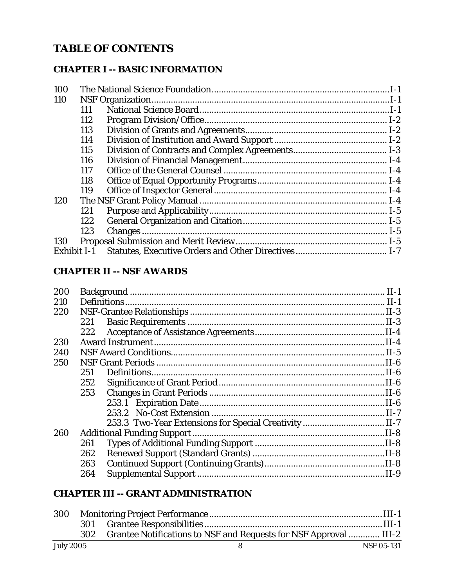## **TABLE OF CONTENTS**

#### **CHAPTER I -- BASIC INFORMATION**

| 100         |     |  |
|-------------|-----|--|
| 110         |     |  |
|             | 111 |  |
|             | 112 |  |
|             | 113 |  |
|             | 114 |  |
|             | 115 |  |
|             | 116 |  |
|             | 117 |  |
|             | 118 |  |
|             | 119 |  |
| 120         |     |  |
|             | 121 |  |
|             | 122 |  |
|             | 123 |  |
| 130         |     |  |
| Exhibit I-1 |     |  |

#### **CHAPTER II -- NSF AWARDS**

| 200 |     |                                                        |  |
|-----|-----|--------------------------------------------------------|--|
| 210 |     |                                                        |  |
| 220 |     |                                                        |  |
|     | 221 |                                                        |  |
|     | 222 |                                                        |  |
| 230 |     |                                                        |  |
| 240 |     |                                                        |  |
| 250 |     |                                                        |  |
|     | 251 |                                                        |  |
|     | 252 |                                                        |  |
|     | 253 |                                                        |  |
|     |     |                                                        |  |
|     |     |                                                        |  |
|     |     | 253.3 Two-Year Extensions for Special Creativity  II-7 |  |
| 260 |     |                                                        |  |
|     | 261 |                                                        |  |
|     | 262 |                                                        |  |
|     | 263 |                                                        |  |
|     | 264 |                                                        |  |
|     |     |                                                        |  |

## **CHAPTER III -- GRANT ADMINISTRATION**

| 300              |      |                                                                   |            |
|------------------|------|-------------------------------------------------------------------|------------|
|                  |      |                                                                   |            |
|                  | 302. | Grantee Notifications to NSF and Requests for NSF Approval  III-2 |            |
| <b>July 2005</b> |      |                                                                   | NSF 05-131 |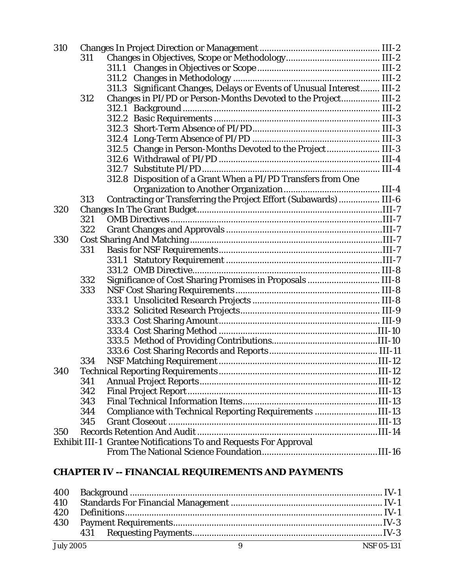| 310 |     |                                                                       |  |
|-----|-----|-----------------------------------------------------------------------|--|
|     | 311 |                                                                       |  |
|     |     |                                                                       |  |
|     |     |                                                                       |  |
|     |     | 311.3 Significant Changes, Delays or Events of Unusual Interest III-2 |  |
|     | 312 | Changes in PI/PD or Person-Months Devoted to the Project III-2        |  |
|     |     |                                                                       |  |
|     |     |                                                                       |  |
|     |     |                                                                       |  |
|     |     |                                                                       |  |
|     |     | 312.5 Change in Person-Months Devoted to the Project III-3            |  |
|     |     |                                                                       |  |
|     |     |                                                                       |  |
|     |     | 312.8 Disposition of a Grant When a PI/PD Transfers from One          |  |
|     |     |                                                                       |  |
|     | 313 | Contracting or Transferring the Project Effort (Subawards)  III-6     |  |
| 320 |     |                                                                       |  |
|     | 321 |                                                                       |  |
|     | 322 |                                                                       |  |
| 330 |     |                                                                       |  |
|     | 331 |                                                                       |  |
|     |     |                                                                       |  |
|     |     |                                                                       |  |
|     | 332 | Significance of Cost Sharing Promises in Proposals  III-8             |  |
|     | 333 |                                                                       |  |
|     |     |                                                                       |  |
|     |     |                                                                       |  |
|     |     |                                                                       |  |
|     |     |                                                                       |  |
|     |     |                                                                       |  |
|     |     |                                                                       |  |
|     | 334 |                                                                       |  |
| 340 |     |                                                                       |  |
|     | 341 |                                                                       |  |
|     | 342 |                                                                       |  |
|     | 343 |                                                                       |  |
|     | 344 | Compliance with Technical Reporting Requirements III-13               |  |
|     | 345 |                                                                       |  |
| 350 |     |                                                                       |  |
|     |     | Exhibit III-1 Grantee Notifications To and Requests For Approval      |  |
|     |     |                                                                       |  |

# **CHAPTER IV -- FINANCIAL REQUIREMENTS AND PAYMENTS**

| <b>July 2005</b> |  | <b>NSF 05-131</b> |  |  |  |
|------------------|--|-------------------|--|--|--|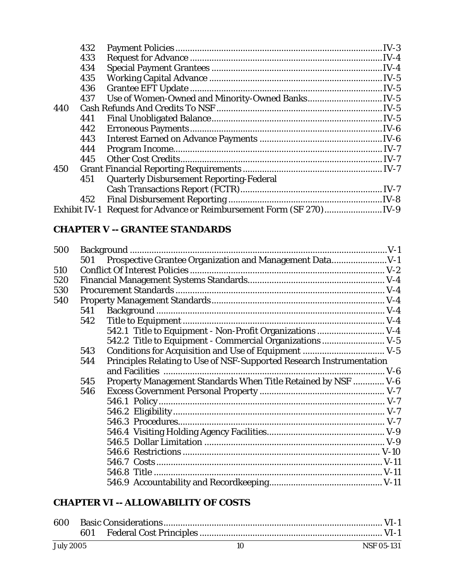|     | 432 |                                                 |  |
|-----|-----|-------------------------------------------------|--|
|     | 433 |                                                 |  |
|     | 434 |                                                 |  |
|     | 435 |                                                 |  |
|     | 436 |                                                 |  |
|     | 437 |                                                 |  |
| 440 |     |                                                 |  |
|     | 441 |                                                 |  |
|     | 442 |                                                 |  |
|     | 443 |                                                 |  |
|     | 444 |                                                 |  |
|     | 445 |                                                 |  |
| 450 |     |                                                 |  |
|     | 451 | <b>Quarterly Disbursement Reporting-Federal</b> |  |
|     |     |                                                 |  |
|     | 452 |                                                 |  |
|     |     |                                                 |  |

## **CHAPTER V -- GRANTEE STANDARDS**

| 500 |     |                                                                      |  |
|-----|-----|----------------------------------------------------------------------|--|
|     | 501 | Prospective Grantee Organization and Management Data V-1             |  |
| 510 |     |                                                                      |  |
| 520 |     |                                                                      |  |
| 530 |     |                                                                      |  |
| 540 |     |                                                                      |  |
|     | 541 |                                                                      |  |
|     | 542 |                                                                      |  |
|     |     | 542.1 Title to Equipment - Non-Profit Organizations  V-4             |  |
|     |     | 542.2 Title to Equipment - Commercial Organizations  V-5             |  |
|     | 543 |                                                                      |  |
|     | 544 | Principles Relating to Use of NSF-Supported Research Instrumentation |  |
|     |     |                                                                      |  |
|     | 545 | Property Management Standards When Title Retained by NSF  V-6        |  |
|     | 546 |                                                                      |  |
|     |     |                                                                      |  |
|     |     |                                                                      |  |
|     |     |                                                                      |  |
|     |     |                                                                      |  |
|     |     |                                                                      |  |
|     |     |                                                                      |  |
|     |     |                                                                      |  |
|     |     |                                                                      |  |
|     |     |                                                                      |  |
|     |     |                                                                      |  |

## **CHAPTER VI -- ALLOWABILITY OF COSTS**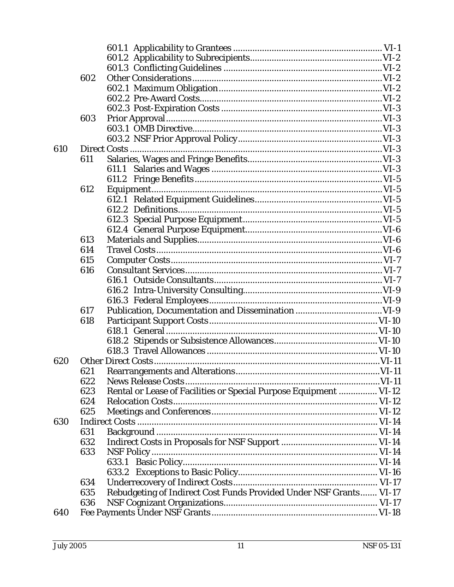|     | 602 |                                                                    |  |
|-----|-----|--------------------------------------------------------------------|--|
|     |     |                                                                    |  |
|     |     |                                                                    |  |
|     |     |                                                                    |  |
|     | 603 |                                                                    |  |
|     |     |                                                                    |  |
|     |     |                                                                    |  |
| 610 |     |                                                                    |  |
|     | 611 |                                                                    |  |
|     |     | 611.1                                                              |  |
|     |     |                                                                    |  |
|     | 612 |                                                                    |  |
|     |     |                                                                    |  |
|     |     |                                                                    |  |
|     |     |                                                                    |  |
|     |     |                                                                    |  |
|     | 613 |                                                                    |  |
|     | 614 |                                                                    |  |
|     | 615 |                                                                    |  |
|     | 616 |                                                                    |  |
|     |     |                                                                    |  |
|     |     |                                                                    |  |
|     |     |                                                                    |  |
|     | 617 |                                                                    |  |
|     | 618 |                                                                    |  |
|     |     |                                                                    |  |
|     |     |                                                                    |  |
|     |     |                                                                    |  |
| 620 |     |                                                                    |  |
|     | 621 |                                                                    |  |
|     | 622 |                                                                    |  |
|     | 623 | Rental or Lease of Facilities or Special Purpose Equipment  VI-12  |  |
|     | 624 |                                                                    |  |
|     | 625 |                                                                    |  |
| 630 |     |                                                                    |  |
|     | 631 |                                                                    |  |
|     | 632 |                                                                    |  |
|     | 633 |                                                                    |  |
|     |     |                                                                    |  |
|     |     |                                                                    |  |
|     | 634 |                                                                    |  |
|     | 635 | Rebudgeting of Indirect Cost Funds Provided Under NSF Grants VI-17 |  |
|     | 636 |                                                                    |  |
| 640 |     |                                                                    |  |
|     |     |                                                                    |  |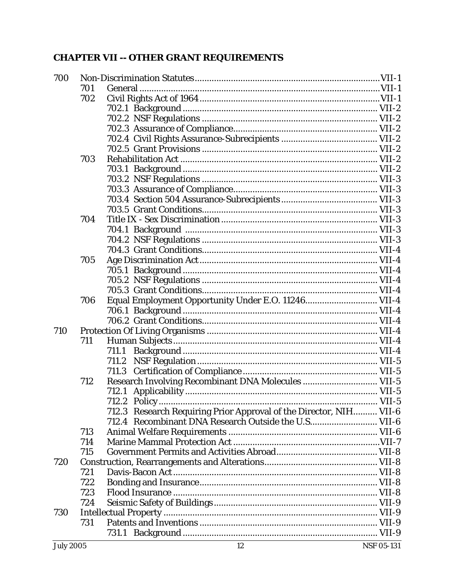# **CHAPTER VII -- OTHER GRANT REQUIREMENTS**

| 700 |     |                                                                    |  |
|-----|-----|--------------------------------------------------------------------|--|
|     | 701 |                                                                    |  |
|     | 702 |                                                                    |  |
|     |     |                                                                    |  |
|     |     |                                                                    |  |
|     |     |                                                                    |  |
|     |     |                                                                    |  |
|     |     |                                                                    |  |
|     | 703 |                                                                    |  |
|     |     |                                                                    |  |
|     |     |                                                                    |  |
|     |     |                                                                    |  |
|     |     |                                                                    |  |
|     |     |                                                                    |  |
|     | 704 |                                                                    |  |
|     |     |                                                                    |  |
|     |     |                                                                    |  |
|     |     |                                                                    |  |
|     | 705 |                                                                    |  |
|     |     |                                                                    |  |
|     |     |                                                                    |  |
|     |     |                                                                    |  |
|     | 706 | Equal Employment Opportunity Under E.O. 11246 VII-4                |  |
|     |     |                                                                    |  |
|     |     |                                                                    |  |
| 710 |     |                                                                    |  |
|     | 711 |                                                                    |  |
|     |     | 711.1                                                              |  |
|     |     | 711.2                                                              |  |
|     |     | 711.3                                                              |  |
|     | 712 |                                                                    |  |
|     |     | 712.1                                                              |  |
|     |     |                                                                    |  |
|     |     | 712.3 Research Requiring Prior Approval of the Director, NIH VII-6 |  |
|     |     | 712.4 Recombinant DNA Research Outside the U.S VII-6               |  |
|     | 713 |                                                                    |  |
|     | 714 |                                                                    |  |
|     | 715 |                                                                    |  |
| 720 |     |                                                                    |  |
|     | 721 |                                                                    |  |
|     | 722 |                                                                    |  |
|     | 723 |                                                                    |  |
|     | 724 |                                                                    |  |
| 730 |     |                                                                    |  |
|     | 731 |                                                                    |  |
|     |     |                                                                    |  |
|     |     |                                                                    |  |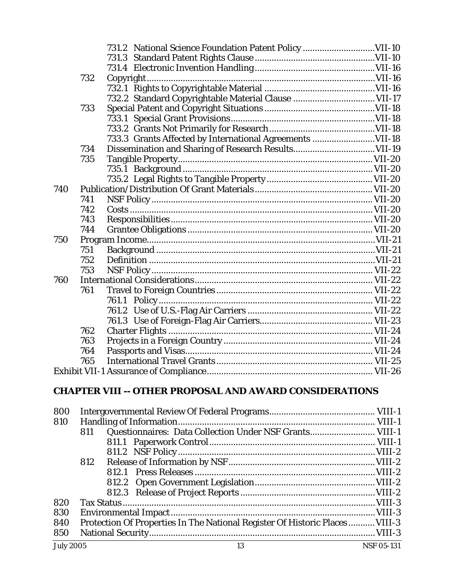|     | 732 |                                                           |  |
|-----|-----|-----------------------------------------------------------|--|
|     |     |                                                           |  |
|     |     |                                                           |  |
|     | 733 |                                                           |  |
|     |     |                                                           |  |
|     |     |                                                           |  |
|     |     | 733.3 Grants Affected by International Agreements  VII-18 |  |
|     | 734 |                                                           |  |
|     | 735 |                                                           |  |
|     |     |                                                           |  |
|     |     |                                                           |  |
| 740 |     |                                                           |  |
|     | 741 |                                                           |  |
|     | 742 |                                                           |  |
|     | 743 |                                                           |  |
|     | 744 |                                                           |  |
| 750 |     |                                                           |  |
|     | 751 |                                                           |  |
|     | 752 |                                                           |  |
|     | 753 |                                                           |  |
| 760 |     |                                                           |  |
|     | 761 |                                                           |  |
|     |     |                                                           |  |
|     |     |                                                           |  |
|     |     |                                                           |  |
|     | 762 |                                                           |  |
|     | 763 |                                                           |  |
|     | 764 |                                                           |  |
|     | 765 |                                                           |  |
|     |     |                                                           |  |

# **CHAPTER VIII -- OTHER PROPOSAL AND AWARD CONSIDERATIONS**

| 800              |     |                                                                              |                   |
|------------------|-----|------------------------------------------------------------------------------|-------------------|
| 810              |     |                                                                              |                   |
|                  | 811 | Questionnaires: Data Collection Under NSF Grants VIII-1                      |                   |
|                  |     |                                                                              |                   |
|                  |     |                                                                              |                   |
|                  | 812 |                                                                              |                   |
|                  |     |                                                                              |                   |
|                  |     |                                                                              |                   |
|                  |     |                                                                              |                   |
| 820              |     |                                                                              |                   |
| 830              |     |                                                                              |                   |
| 840              |     | Protection Of Properties In The National Register Of Historic Places  VIII-3 |                   |
| 850              |     |                                                                              |                   |
| <b>July 2005</b> |     | 13                                                                           | <b>NSF 05-131</b> |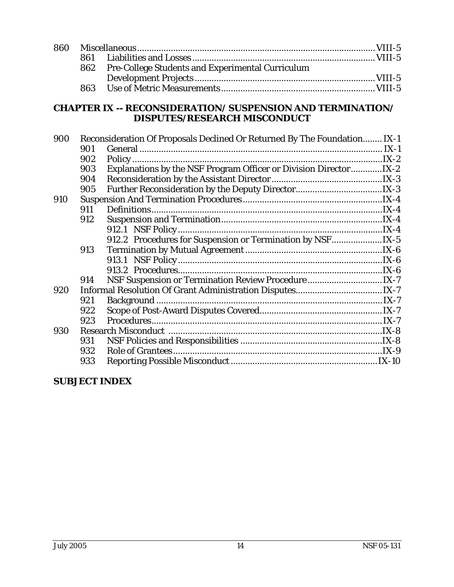| 862 | Pre-College Students and Experimental Curriculum |  |
|-----|--------------------------------------------------|--|
|     |                                                  |  |
|     |                                                  |  |

#### **CHAPTER IX -- RECONSIDERATION/ SUSPENSION AND TERMINATION/ DISPUTES/RESEARCH MISCONDUCT**

| 901 |                                                                                                                                                                                                            |
|-----|------------------------------------------------------------------------------------------------------------------------------------------------------------------------------------------------------------|
| 902 |                                                                                                                                                                                                            |
| 903 |                                                                                                                                                                                                            |
| 904 |                                                                                                                                                                                                            |
| 905 |                                                                                                                                                                                                            |
|     |                                                                                                                                                                                                            |
| 911 |                                                                                                                                                                                                            |
| 912 |                                                                                                                                                                                                            |
|     |                                                                                                                                                                                                            |
|     |                                                                                                                                                                                                            |
| 913 |                                                                                                                                                                                                            |
|     |                                                                                                                                                                                                            |
|     |                                                                                                                                                                                                            |
| 914 |                                                                                                                                                                                                            |
|     |                                                                                                                                                                                                            |
| 921 |                                                                                                                                                                                                            |
| 922 |                                                                                                                                                                                                            |
| 923 |                                                                                                                                                                                                            |
|     |                                                                                                                                                                                                            |
| 931 |                                                                                                                                                                                                            |
| 932 |                                                                                                                                                                                                            |
| 933 |                                                                                                                                                                                                            |
|     | Reconsideration Of Proposals Declined Or Returned By The Foundation IX-1<br>Explanations by the NSF Program Officer or Division DirectorIX-2<br>912.2 Procedures for Suspension or Termination by NSF IX-5 |

## **SUBJECT INDEX**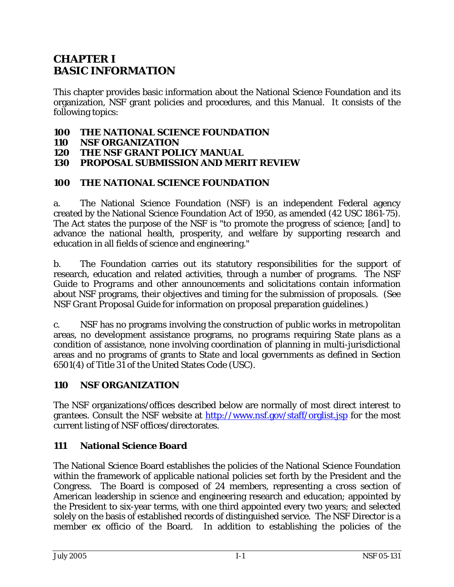# **CHAPTER I BASIC INFORMATION**

This chapter provides basic information about the National Science Foundation and its organization, NSF grant policies and procedures, and this Manual. It consists of the following topics:

## **100 THE NATIONAL SCIENCE FOUNDATION**

- **110 NSF ORGANIZATION**
- **120 THE NSF GRANT POLICY MANUAL**

#### **130 PROPOSAL SUBMISSION AND MERIT REVIEW**

## **100 THE NATIONAL SCIENCE FOUNDATION**

a. The National Science Foundation (NSF) is an independent Federal agency created by the National Science Foundation Act of 1950, as amended (42 USC 1861-75). The Act states the purpose of the NSF is "to promote the progress of science; [and] to advance the national health, prosperity, and welfare by supporting research and education in all fields of science and engineering."

b. The Foundation carries out its statutory responsibilities for the support of research, education and related activities, through a number of programs. The *NSF Guide to Programs* and other announcements and solicitations contain information about NSF programs, their objectives and timing for the submission of proposals. (See NSF *Grant Proposal Guide* for information on proposal preparation guidelines.)

c. NSF has no programs involving the construction of public works in metropolitan areas, no development assistance programs, no programs requiring State plans as a condition of assistance, none involving coordination of planning in multi-jurisdictional areas and no programs of grants to State and local governments as defined in Section 6501(4) of Title 31 of the United States Code (USC).

## **110 NSF ORGANIZATION**

The NSF organizations/offices described below are normally of most direct interest to grantees. Consult the NSF website at <http://www.nsf.gov/staff/orglist.jsp>for the most current listing of NSF offices/directorates.

## **111 National Science Board**

The National Science Board establishes the policies of the National Science Foundation within the framework of applicable national policies set forth by the President and the Congress. The Board is composed of 24 members, representing a cross section of American leadership in science and engineering research and education; appointed by the President to six-year terms, with one third appointed every two years; and selected solely on the basis of established records of distinguished service. The NSF Director is a member ex officio of the Board. In addition to establishing the policies of the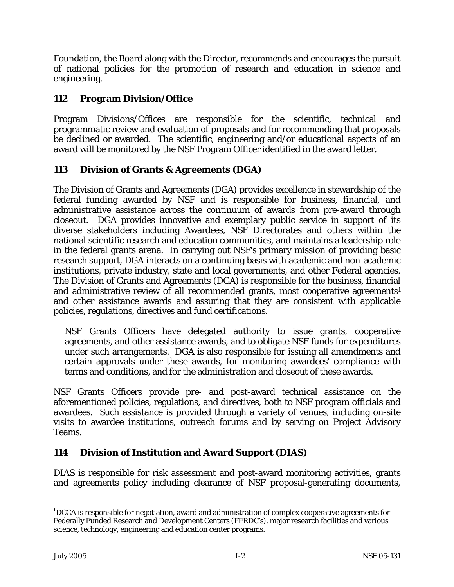Foundation, the Board along with the Director, recommends and encourages the pursuit of national policies for the promotion of research and education in science and engineering.

## **112 Program Division/Office**

Program Divisions/Offices are responsible for the scientific, technical and programmatic review and evaluation of proposals and for recommending that proposals be declined or awarded. The scientific, engineering and/or educational aspects of an award will be monitored by the NSF Program Officer identified in the award letter.

## **113 Division of Grants & Agreements (DGA)**

The Division of Grants and Agreements (DGA) provides excellence in stewardship of the federal funding awarded by NSF and is responsible for business, financial, and administrative assistance across the continuum of awards from pre-award through closeout. DGA provides innovative and exemplary public service in support of its diverse stakeholders including Awardees, NSF Directorates and others within the national scientific research and education communities, and maintains a leadership role in the federal grants arena. In carrying out NSF's primary mission of providing basic research support, DGA interacts on a continuing basis with academic and non-academic institutions, private industry, state and local governments, and other Federal agencies. The Division of Grants and Agreements (DGA) is responsible for the business, financial and administrative review of all recommended grants, most cooperative agreements<sup>1</sup> and other assistance awards and assuring that they are consistent with applicable policies, regulations, directives and fund certifications.

NSF Grants Officers have delegated authority to issue grants, cooperative agreements, and other assistance awards, and to obligate NSF funds for expenditures under such arrangements. DGA is also responsible for issuing all amendments and certain approvals under these awards, for monitoring awardees' compliance with terms and conditions, and for the administration and closeout of these awards.

NSF Grants Officers provide pre- and post-award technical assistance on the aforementioned policies, regulations, and directives, both to NSF program officials and awardees. Such assistance is provided through a variety of venues, including on-site visits to awardee institutions, outreach forums and by serving on Project Advisory Teams.

## **114 Division of Institution and Award Support (DIAS)**

DIAS is responsible for risk assessment and post-award monitoring activities, grants and agreements policy including clearance of NSF proposal-generating documents,

<sup>1</sup> <sup>1</sup>DCCA is responsible for negotiation, award and administration of complex cooperative agreements for Federally Funded Research and Development Centers (FFRDC's), major research facilities and various science, technology, engineering and education center programs.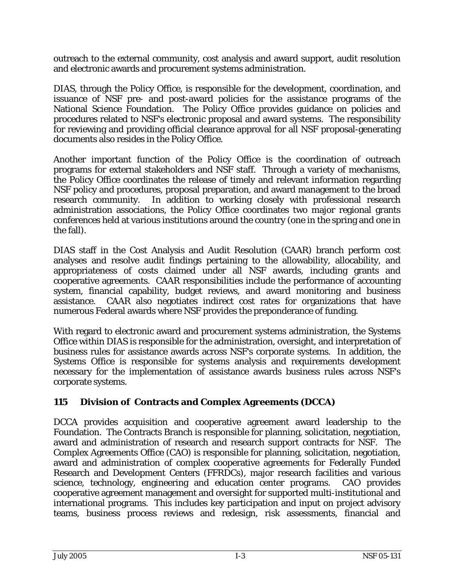outreach to the external community, cost analysis and award support, audit resolution and electronic awards and procurement systems administration.

DIAS, through the Policy Office, is responsible for the development, coordination, and issuance of NSF pre- and post-award policies for the assistance programs of the National Science Foundation. The Policy Office provides guidance on policies and procedures related to NSF's electronic proposal and award systems. The responsibility for reviewing and providing official clearance approval for all NSF proposal-generating documents also resides in the Policy Office.

Another important function of the Policy Office is the coordination of outreach programs for external stakeholders and NSF staff. Through a variety of mechanisms, the Policy Office coordinates the release of timely and relevant information regarding NSF policy and procedures, proposal preparation, and award management to the broad research community. In addition to working closely with professional research administration associations, the Policy Office coordinates two major regional grants conferences held at various institutions around the country (one in the spring and one in the fall).

DIAS staff in the Cost Analysis and Audit Resolution (CAAR) branch perform cost analyses and resolve audit findings pertaining to the allowability, allocability, and appropriateness of costs claimed under all NSF awards, including grants and cooperative agreements. CAAR responsibilities include the performance of accounting system, financial capability, budget reviews, and award monitoring and business assistance. CAAR also negotiates indirect cost rates for organizations that have numerous Federal awards where NSF provides the preponderance of funding.

With regard to electronic award and procurement systems administration, the Systems Office within DIAS is responsible for the administration, oversight, and interpretation of business rules for assistance awards across NSF's corporate systems. In addition, the Systems Office is responsible for systems analysis and requirements development necessary for the implementation of assistance awards business rules across NSF's corporate systems.

## **115 Division of Contracts and Complex Agreements (DCCA)**

DCCA provides acquisition and cooperative agreement award leadership to the Foundation. The Contracts Branch is responsible for planning, solicitation, negotiation, award and administration of research and research support contracts for NSF. The Complex Agreements Office (CAO) is responsible for planning, solicitation, negotiation, award and administration of complex cooperative agreements for Federally Funded Research and Development Centers (FFRDCs), major research facilities and various science, technology, engineering and education center programs. CAO provides cooperative agreement management and oversight for supported multi-institutional and international programs. This includes key participation and input on project advisory teams, business process reviews and redesign, risk assessments, financial and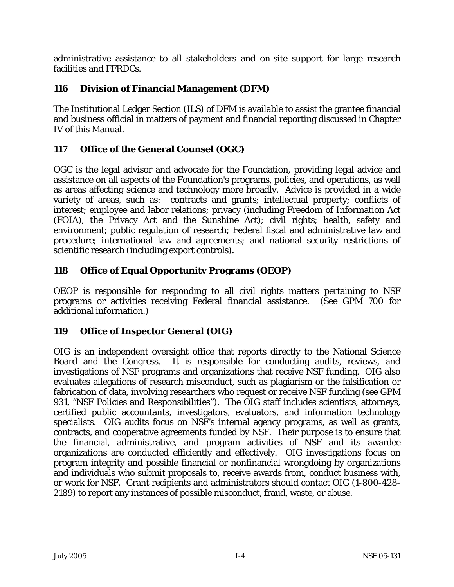administrative assistance to all stakeholders and on-site support for large research facilities and FFRDCs.

## **116 Division of Financial Management (DFM)**

The Institutional Ledger Section (ILS) of DFM is available to assist the grantee financial and business official in matters of payment and financial reporting discussed in Chapter IV of this Manual.

## **117 Office of the General Counsel (OGC)**

OGC is the legal advisor and advocate for the Foundation, providing legal advice and assistance on all aspects of the Foundation's programs, policies, and operations, as well as areas affecting science and technology more broadly. Advice is provided in a wide variety of areas, such as: contracts and grants; intellectual property; conflicts of interest; employee and labor relations; privacy (including Freedom of Information Act (FOIA), the Privacy Act and the Sunshine Act); civil rights; health, safety and environment; public regulation of research; Federal fiscal and administrative law and procedure; international law and agreements; and national security restrictions of scientific research (including export controls).

## **118 Office of Equal Opportunity Programs (OEOP)**

OEOP is responsible for responding to all civil rights matters pertaining to NSF programs or activities receiving Federal financial assistance. (See GPM 700 for additional information.)

## **119 Office of Inspector General (OIG)**

OIG is an independent oversight office that reports directly to the National Science Board and the Congress. It is responsible for conducting audits, reviews, and investigations of NSF programs and organizations that receive NSF funding. OIG also evaluates allegations of research misconduct, such as plagiarism or the falsification or fabrication of data, involving researchers who request or receive NSF funding (see GPM 931, "NSF Policies and Responsibilities"). The OIG staff includes scientists, attorneys, certified public accountants, investigators, evaluators, and information technology specialists. OIG audits focus on NSF's internal agency programs, as well as grants, contracts, and cooperative agreements funded by NSF. Their purpose is to ensure that the financial, administrative, and program activities of NSF and its awardee organizations are conducted efficiently and effectively. OIG investigations focus on program integrity and possible financial or nonfinancial wrongdoing by organizations and individuals who submit proposals to, receive awards from, conduct business with, or work for NSF. Grant recipients and administrators should contact OIG (1-800-428- 2189) to report any instances of possible misconduct, fraud, waste, or abuse.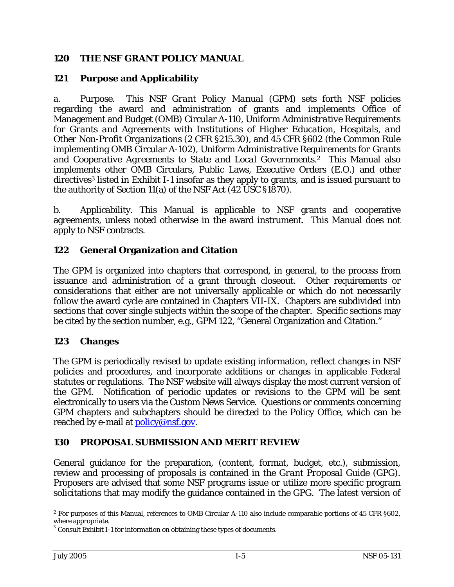#### **120 THE NSF GRANT POLICY MANUAL**

#### **121 Purpose and Applicability**

a. Purpose. This NSF *Grant Policy Manual* (GPM) sets forth NSF policies regarding the award and administration of grants and implements Office of Management and Budget (OMB) Circular A-110, *Uniform Administrative Requirements for Grants and Agreements with Institutions of Higher Education, Hospitals, and Other Non-Profit Organizations* (2 CFR §215.30), and 45 CFR §602 (the Common Rule implementing OMB Circular A-102), *Uniform Administrative Requirements for Grants and Cooperative Agreements to State and Local Governments*.2 This Manual also implements other OMB Circulars, Public Laws, Executive Orders (E.O.) and other directives<sup>3</sup> listed in Exhibit I-1 insofar as they apply to grants, and is issued pursuant to the authority of Section 11(a) of the NSF Act (42 USC §1870).

b. Applicability. This Manual is applicable to NSF grants and cooperative agreements, unless noted otherwise in the award instrument. This Manual does not apply to NSF contracts.

#### **122 General Organization and Citation**

The GPM is organized into chapters that correspond, in general, to the process from issuance and administration of a grant through closeout. Other requirements or considerations that either are not universally applicable or which do not necessarily follow the award cycle are contained in Chapters VII-IX. Chapters are subdivided into sections that cover single subjects within the scope of the chapter. Specific sections may be cited by the section number, e.g., GPM 122, "General Organization and Citation."

#### **123 Changes**

The GPM is periodically revised to update existing information, reflect changes in NSF policies and procedures, and incorporate additions or changes in applicable Federal statutes or regulations. The NSF website will always display the most current version of the GPM. Notification of periodic updates or revisions to the GPM will be sent electronically to users via the Custom News Service. Questions or comments concerning GPM chapters and subchapters should be directed to the Policy Office, which can be reached by e-mail at  $\frac{\text{policy@nsf.gov}}{\text{poly.}}$ 

#### **130 PROPOSAL SUBMISSION AND MERIT REVIEW**

General guidance for the preparation, (content, format, budget, etc.), submission, review and processing of proposals is contained in the *Grant Proposal Guide* (GPG). Proposers are advised that some NSF programs issue or utilize more specific program solicitations that may modify the guidance contained in the GPG. The latest version of

<sup>1</sup> 2 For purposes of this Manual, references to OMB Circular A-110 also include comparable portions of 45 CFR §602, where appropriate.

 $3$  Consult Exhibit I-1 for information on obtaining these types of documents.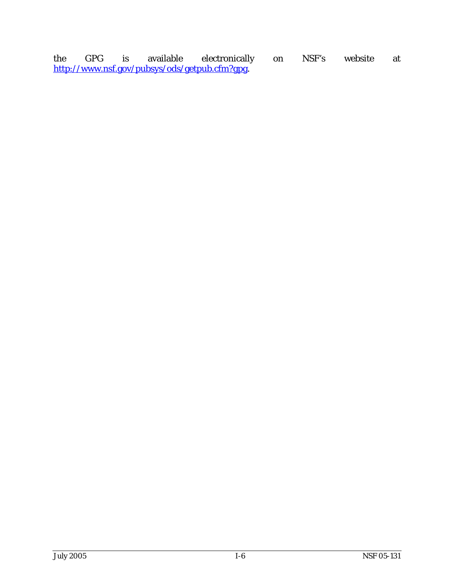the GPG is available electronically on NSF's website at [http://www.nsf.gov/pubsys/ods/getpub.cfm?gpg.](http://www.nsf.gov/pubsys/ods/getpub.cfm?gpg)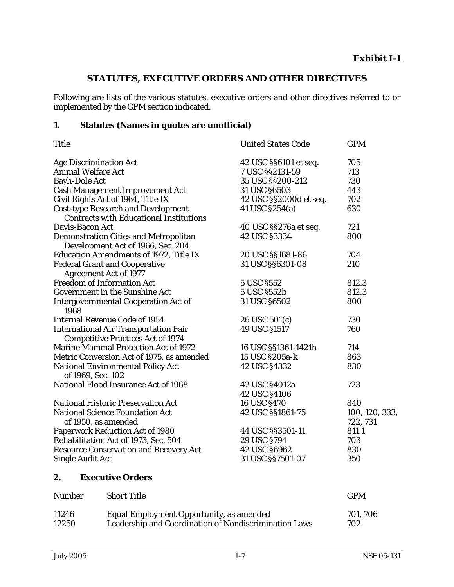#### *STATUTES, EXECUTIVE ORDERS AND OTHER DIRECTIVES*

Following are lists of the various statutes, executive orders and other directives referred to or implemented by the GPM section indicated.

#### **1. Statutes (Names in quotes are unofficial)**

| <b>Title</b>                                 |                                                               | <b>United States Code</b>   | <b>GPM</b>     |
|----------------------------------------------|---------------------------------------------------------------|-----------------------------|----------------|
|                                              | <b>Age Discrimination Act</b>                                 | 42 USC §§6101 et seq.       | 705            |
| <b>Animal Welfare Act</b>                    |                                                               | 7 USC §§2131-59             | 713            |
| <b>Bayh-Dole Act</b>                         |                                                               | 35 USC §§200-212            | 730            |
|                                              | <b>Cash Management Improvement Act</b>                        | 31 USC §6503                | 443            |
|                                              | Civil Rights Act of 1964, Title IX                            | 42 USC §§2000d et seq.      | 702            |
|                                              | <b>Cost-type Research and Development</b>                     | 41 USC §254(a)              | 630            |
|                                              | <b>Contracts with Educational Institutions</b>                |                             |                |
| Davis-Bacon Act                              |                                                               | 40 USC §§276a et seq.       | 721            |
|                                              | <b>Demonstration Cities and Metropolitan</b>                  | 42 USC §3334                | 800            |
|                                              | Development Act of 1966, Sec. 204                             |                             |                |
|                                              | <b>Education Amendments of 1972, Title IX</b>                 | 20 USC §§1681-86            | 704            |
|                                              | <b>Federal Grant and Cooperative</b>                          | 31 USC §§6301-08            | 210            |
|                                              | <b>Agreement Act of 1977</b>                                  |                             |                |
|                                              | <b>Freedom of Information Act</b>                             | 5 USC §552                  | 812.3          |
|                                              | <b>Government in the Sunshine Act</b>                         | 5 USC §552b                 | 812.3          |
| 1968                                         | <b>Intergovernmental Cooperation Act of</b>                   | 31 USC §6502                | 800            |
|                                              | <b>Internal Revenue Code of 1954</b>                          | 26 USC 501(c)               | 730            |
| <b>International Air Transportation Fair</b> |                                                               | 49 USC §1517                | 760            |
|                                              | <b>Competitive Practices Act of 1974</b>                      |                             |                |
|                                              | <b>Marine Mammal Protection Act of 1972</b>                   | 16 USC §§1361-1421h         | 714            |
| Metric Conversion Act of 1975, as amended    |                                                               | 15 USC §205a-k              | 863            |
|                                              | <b>National Environmental Policy Act</b><br>of 1969, Sec. 102 | 42 USC §4332                | 830            |
|                                              | National Flood Insurance Act of 1968                          |                             | 723            |
|                                              |                                                               | 42 USC §4012a               |                |
|                                              | <b>National Historic Preservation Act</b>                     | 42 USC §4106<br>16 USC §470 |                |
|                                              |                                                               |                             | 840            |
|                                              | <b>National Science Foundation Act</b>                        | 42 USC §§1861-75            | 100, 120, 333, |
|                                              | of 1950, as amended                                           |                             | 722, 731       |
|                                              | <b>Paperwork Reduction Act of 1980</b>                        | 44 USC §§3501-11            | 811.1          |
|                                              | Rehabilitation Act of 1973, Sec. 504                          | 29 USC §794                 | 703            |
|                                              | <b>Resource Conservation and Recovery Act</b>                 | 42 USC §6962                | 830            |
| <b>Single Audit Act</b>                      |                                                               | 31 USC §§7501-07            | 350            |
| 2.                                           | <b>Executive Orders</b>                                       |                             |                |
| <b>Number</b>                                | <b>Short Title</b>                                            |                             | <b>GPM</b>     |
| 11246                                        | Equal Employment Opportunity, as amended                      |                             | 701, 706       |
| 12250                                        | Leadership and Coordination of Nondiscrimination Laws         |                             | 702            |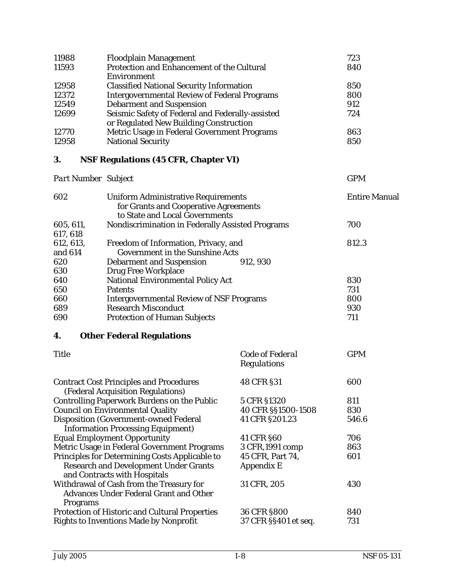| 11988 | <b>Floodplain Management</b>                        | 723 |
|-------|-----------------------------------------------------|-----|
| 11593 | Protection and Enhancement of the Cultural          | 840 |
|       | Environment                                         |     |
| 12958 | <b>Classified National Security Information</b>     | 850 |
| 12372 | <b>Intergovernmental Review of Federal Programs</b> | 800 |
| 12549 | <b>Debarment and Suspension</b>                     | 912 |
| 12699 | Seismic Safety of Federal and Federally-assisted    | 724 |
|       | or Regulated New Building Construction              |     |
| 12770 | Metric Usage in Federal Government Programs         | 863 |
| 12958 | <b>National Security</b>                            | 850 |

## **3. NSF Regulations (45 CFR, Chapter VI)**

| Part Number Subject |                                                                                                                | <b>GPM</b>           |
|---------------------|----------------------------------------------------------------------------------------------------------------|----------------------|
| 602                 | Uniform Administrative Requirements<br>for Grants and Cooperative Agreements<br>to State and Local Governments | <b>Entire Manual</b> |
| 605, 611,           | <b>Nondiscrimination in Federally Assisted Programs</b>                                                        | 700                  |
| 617, 618            |                                                                                                                |                      |
| 612, 613,           | Freedom of Information, Privacy, and                                                                           | 812.3                |
| and 614             | <b>Government in the Sunshine Acts</b>                                                                         |                      |
| 620                 | <b>Debarment and Suspension</b><br>912, 930                                                                    |                      |
| 630                 | <b>Drug Free Workplace</b>                                                                                     |                      |
| 640                 | <b>National Environmental Policy Act</b>                                                                       | 830                  |
| 650                 | <b>Patents</b>                                                                                                 | 731                  |
| 660                 | <b>Intergovernmental Review of NSF Programs</b>                                                                | 800                  |
| 689                 | <b>Research Misconduct</b>                                                                                     | 930                  |
| 690                 | <b>Protection of Human Subjects</b>                                                                            | 711                  |
|                     |                                                                                                                |                      |

## **4. Other Federal Regulations**

| <b>Title</b>                                                                                                                   | Code of Federal<br><b>Regulations</b> | GPM   |
|--------------------------------------------------------------------------------------------------------------------------------|---------------------------------------|-------|
| <b>Contract Cost Principles and Procedures</b><br>(Federal Acquisition Regulations)                                            | 48 CFR §31                            | 600   |
| <b>Controlling Paperwork Burdens on the Public</b>                                                                             | 5 CFR §1320                           | 811   |
| <b>Council on Environmental Quality</b>                                                                                        | 40 CFR §§1500-1508                    | 830   |
| <b>Disposition (Government-owned Federal</b><br><b>Information Processing Equipment)</b>                                       | 41 CFR §201.23                        | 546.6 |
| <b>Equal Employment Opportunity</b>                                                                                            | 41 CFR §60                            | 706   |
| Metric Usage in Federal Government Programs                                                                                    | 3 CFR, 1991 comp                      | 863   |
| Principles for Determining Costs Applicable to<br><b>Research and Development Under Grants</b><br>and Contracts with Hospitals | 45 CFR, Part 74,<br><b>Appendix E</b> | 601   |
| Withdrawal of Cash from the Treasury for<br><b>Advances Under Federal Grant and Other</b><br>Programs                          | 31 CFR, 205                           | 430   |
| <b>Protection of Historic and Cultural Properties</b>                                                                          | 36 CFR §800                           | 840   |
| <b>Rights to Inventions Made by Nonprofit</b>                                                                                  | 37 CFR §§401 et seq.                  | 731   |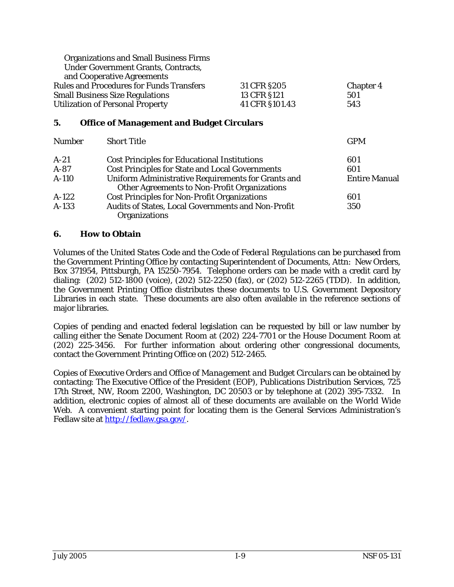| <b>Organizations and Small Business Firms</b>   |                |           |
|-------------------------------------------------|----------------|-----------|
| <b>Under Government Grants, Contracts,</b>      |                |           |
| and Cooperative Agreements                      |                |           |
| <b>Rules and Procedures for Funds Transfers</b> | 31 CFR §205    | Chapter 4 |
| <b>Small Business Size Regulations</b>          | 13 CFR §121    | 501       |
| <b>Utilization of Personal Property</b>         | 41 CFR §101.43 | 543       |

#### **5. Office of Management and Budget Circulars**

| <b>Number</b> | <b>Short Title</b>                                                                                 | GPM                  |
|---------------|----------------------------------------------------------------------------------------------------|----------------------|
| $A-21$        | <b>Cost Principles for Educational Institutions</b>                                                | 601                  |
| $A-87$        | <b>Cost Principles for State and Local Governments</b>                                             | 601                  |
| $A-110$       | Uniform Administrative Requirements for Grants and<br>Other Agreements to Non-Profit Organizations | <b>Entire Manual</b> |
| $A-122$       | <b>Cost Principles for Non-Profit Organizations</b>                                                | 601                  |
| A-133         | <b>Audits of States, Local Governments and Non-Profit</b><br><b>Organizations</b>                  | 350                  |

#### **6. How to Obtain**

Volumes of the *United States Code* and the *Code of Federal Regulations* can be purchased from the Government Printing Office by contacting Superintendent of Documents, Attn: New Orders, Box 371954, Pittsburgh, PA 15250-7954. Telephone orders can be made with a credit card by dialing: (202) 512-1800 (voice), (202) 512-2250 (fax), or (202) 512-2265 (TDD). In addition, the Government Printing Office distributes these documents to U.S. Government Depository Libraries in each state. These documents are also often available in the reference sections of major libraries.

Copies of pending and enacted federal legislation can be requested by bill or law number by calling either the Senate Document Room at (202) 224-7701 or the House Document Room at (202) 225-3456. For further information about ordering other congressional documents, contact the Government Printing Office on (202) 512-2465.

Copies of *Executive Orders* and *Office of Management and Budget Circulars* can be obtained by contacting: The Executive Office of the President (EOP), Publications Distribution Services, 725 17th Street, NW, Room 2200, Washington, DC 20503 or by telephone at (202) 395-7332. In addition, electronic copies of almost all of these documents are available on the World Wide Web. A convenient starting point for locating them is the General Services Administration's Fedlaw site at [http://fedlaw.gsa.gov/.](http://fedlaw.gsa.gov/)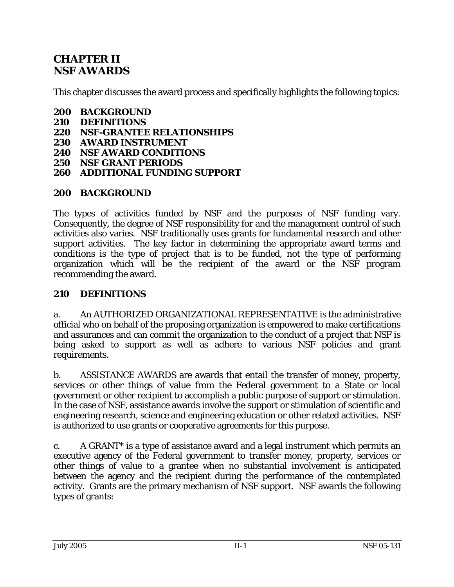## **CHAPTER II NSF AWARDS**

This chapter discusses the award process and specifically highlights the following topics:

#### **200 BACKGROUND**

- **210 DEFINITIONS**
- **220 NSF-GRANTEE RELATIONSHIPS**
- **230 AWARD INSTRUMENT**
- **240 NSF AWARD CONDITIONS**
- **250 NSF GRANT PERIODS**
- **260 ADDITIONAL FUNDING SUPPORT**

## **200 BACKGROUND**

The types of activities funded by NSF and the purposes of NSF funding vary. Consequently, the degree of NSF responsibility for and the management control of such activities also varies. NSF traditionally uses grants for fundamental research and other support activities. The key factor in determining the appropriate award terms and conditions is the type of project that is to be funded, not the type of performing organization which will be the recipient of the award or the NSF program recommending the award.

## **210 DEFINITIONS**

a. An AUTHORIZED ORGANIZATIONAL REPRESENTATIVE is the administrative official who on behalf of the proposing organization is empowered to make certifications and assurances and can commit the organization to the conduct of a project that NSF is being asked to support as well as adhere to various NSF policies and grant requirements.

b. ASSISTANCE AWARDS are awards that entail the transfer of money, property, services or other things of value from the Federal government to a State or local government or other recipient to accomplish a public purpose of support or stimulation. In the case of NSF, assistance awards involve the support or stimulation of scientific and engineering research, science and engineering education or other related activities. NSF is authorized to use grants or cooperative agreements for this purpose.

c. A GRANT<sup>\*</sup> is a type of assistance award and a legal instrument which permits an executive agency of the Federal government to transfer money, property, services or other things of value to a grantee when no substantial involvement is anticipated between the agency and the recipient during the performance of the contemplated activity. Grants are the primary mechanism of NSF support. NSF awards the following types of grants: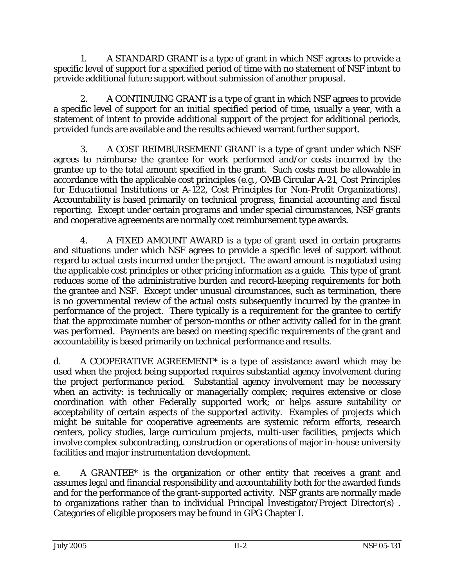1. A STANDARD GRANT is a type of grant in which NSF agrees to provide a specific level of support for a specified period of time with no statement of NSF intent to provide additional future support without submission of another proposal.

 2. A CONTINUING GRANT is a type of grant in which NSF agrees to provide a specific level of support for an initial specified period of time, usually a year, with a statement of intent to provide additional support of the project for additional periods, provided funds are available and the results achieved warrant further support.

 3. A COST REIMBURSEMENT GRANT is a type of grant under which NSF agrees to reimburse the grantee for work performed and/or costs incurred by the grantee up to the total amount specified in the grant. Such costs must be allowable in accordance with the applicable cost principles (e.g., OMB Circular A-21, *Cost Principles for Educational Institutions* or A-122, *Cost Principles for Non-Profit Organizations*). Accountability is based primarily on technical progress, financial accounting and fiscal reporting. Except under certain programs and under special circumstances, NSF grants and cooperative agreements are normally cost reimbursement type awards.

 4. A FIXED AMOUNT AWARD is a type of grant used in certain programs and situations under which NSF agrees to provide a specific level of support without regard to actual costs incurred under the project. The award amount is negotiated using the applicable cost principles or other pricing information as a guide. This type of grant reduces some of the administrative burden and record-keeping requirements for both the grantee and NSF. Except under unusual circumstances, such as termination, there is no governmental review of the actual costs subsequently incurred by the grantee in performance of the project. There typically is a requirement for the grantee to certify that the approximate number of person-months or other activity called for in the grant was performed. Payments are based on meeting specific requirements of the grant and accountability is based primarily on technical performance and results.

d. A COOPERATIVE AGREEMENT\* is a type of assistance award which may be used when the project being supported requires substantial agency involvement during the project performance period. Substantial agency involvement may be necessary when an activity: is technically or managerially complex; requires extensive or close coordination with other Federally supported work; or helps assure suitability or acceptability of certain aspects of the supported activity. Examples of projects which might be suitable for cooperative agreements are systemic reform efforts, research centers, policy studies, large curriculum projects, multi-user facilities, projects which involve complex subcontracting, construction or operations of major in-house university facilities and major instrumentation development.

e. A GRANTEE\* is the organization or other entity that receives a grant and assumes legal and financial responsibility and accountability both for the awarded funds and for the performance of the grant-supported activity. NSF grants are normally made to organizations rather than to individual Principal Investigator/Project Director(s) . Categories of eligible proposers may be found in GPG Chapter I.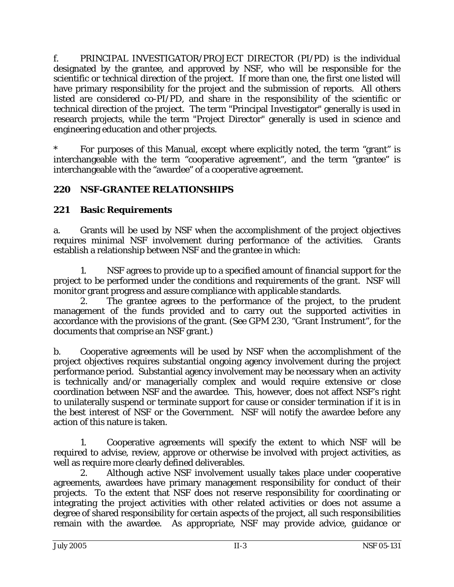f. PRINCIPAL INVESTIGATOR/PROJECT DIRECTOR (PI/PD) is the individual designated by the grantee, and approved by NSF, who will be responsible for the scientific or technical direction of the project. If more than one, the first one listed will have primary responsibility for the project and the submission of reports. All others listed are considered co-PI/PD, and share in the responsibility of the scientific or technical direction of the project. The term "Principal Investigator" generally is used in research projects, while the term "Project Director" generally is used in science and engineering education and other projects.

For purposes of this Manual, except where explicitly noted, the term "grant" is interchangeable with the term "cooperative agreement", and the term "grantee" is interchangeable with the "awardee" of a cooperative agreement.

## **220 NSF-GRANTEE RELATIONSHIPS**

## **221 Basic Requirements**

a. Grants will be used by NSF when the accomplishment of the project objectives requires minimal NSF involvement during performance of the activities. Grants establish a relationship between NSF and the grantee in which:

 1. NSF agrees to provide up to a specified amount of financial support for the project to be performed under the conditions and requirements of the grant. NSF will monitor grant progress and assure compliance with applicable standards.

 2. The grantee agrees to the performance of the project, to the prudent management of the funds provided and to carry out the supported activities in accordance with the provisions of the grant. (See GPM 230, "Grant Instrument", for the documents that comprise an NSF grant.)

b. Cooperative agreements will be used by NSF when the accomplishment of the project objectives requires substantial ongoing agency involvement during the project performance period. Substantial agency involvement may be necessary when an activity is technically and/or managerially complex and would require extensive or close coordination between NSF and the awardee. This, however, does not affect NSF's right to unilaterally suspend or terminate support for cause or consider termination if it is in the best interest of NSF or the Government. NSF will notify the awardee before any action of this nature is taken.

 1. Cooperative agreements will specify the extent to which NSF will be required to advise, review, approve or otherwise be involved with project activities, as well as require more clearly defined deliverables.

 2. Although active NSF involvement usually takes place under cooperative agreements, awardees have primary management responsibility for conduct of their projects. To the extent that NSF does not reserve responsibility for coordinating or integrating the project activities with other related activities or does not assume a degree of shared responsibility for certain aspects of the project, all such responsibilities remain with the awardee. As appropriate, NSF may provide advice, guidance or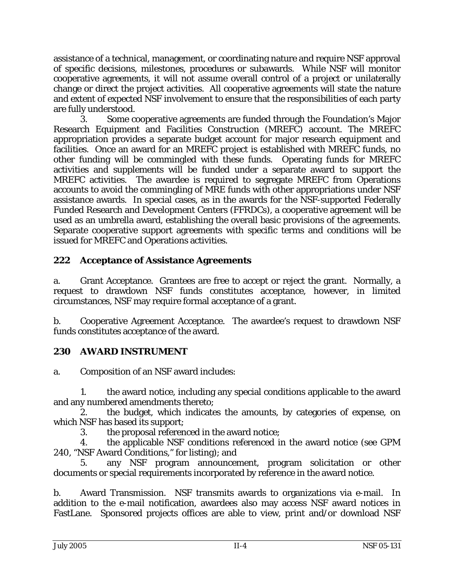assistance of a technical, management, or coordinating nature and require NSF approval of specific decisions, milestones, procedures or subawards. While NSF will monitor cooperative agreements, it will not assume overall control of a project or unilaterally change or direct the project activities. All cooperative agreements will state the nature and extent of expected NSF involvement to ensure that the responsibilities of each party are fully understood.

3. Some cooperative agreements are funded through the Foundation's Major Research Equipment and Facilities Construction (MREFC) account. The MREFC appropriation provides a separate budget account for major research equipment and facilities. Once an award for an MREFC project is established with MREFC funds, no other funding will be commingled with these funds. Operating funds for MREFC activities and supplements will be funded under a separate award to support the MREFC activities. The awardee is required to segregate MREFC from Operations accounts to avoid the commingling of MRE funds with other appropriations under NSF assistance awards. In special cases, as in the awards for the NSF-supported Federally Funded Research and Development Centers (FFRDCs), a cooperative agreement will be used as an umbrella award, establishing the overall basic provisions of the agreements. Separate cooperative support agreements with specific terms and conditions will be issued for MREFC and Operations activities.

## **222 Acceptance of Assistance Agreements**

a. Grant Acceptance. Grantees are free to accept or reject the grant. Normally, a request to drawdown NSF funds constitutes acceptance, however, in limited circumstances, NSF may require formal acceptance of a grant.

b. Cooperative Agreement Acceptance. The awardee's request to drawdown NSF funds constitutes acceptance of the award.

## **230 AWARD INSTRUMENT**

a. Composition of an NSF award includes:

 1. the award notice, including any special conditions applicable to the award and any numbered amendments thereto;

 2. the budget, which indicates the amounts, by categories of expense, on which NSF has based its support;

3. the proposal referenced in the award notice;

 4. the applicable NSF conditions referenced in the award notice (see GPM 240, "NSF Award Conditions," for listing); and

 5. any NSF program announcement, program solicitation or other documents or special requirements incorporated by reference in the award notice.

b. Award Transmission. NSF transmits awards to organizations via e-mail. In addition to the e-mail notification, awardees also may access NSF award notices in FastLane. Sponsored projects offices are able to view, print and/or download NSF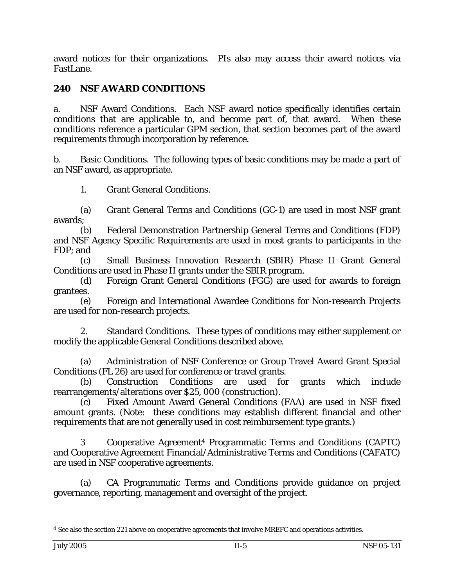award notices for their organizations. PIs also may access their award notices via FastLane.

## **240 NSF AWARD CONDITIONS**

a. NSF Award Conditions. Each NSF award notice specifically identifies certain conditions that are applicable to, and become part of, that award. When these conditions reference a particular GPM section, that section becomes part of the award requirements through incorporation by reference.

b. Basic Conditions. The following types of basic conditions may be made a part of an NSF award, as appropriate.

1. Grant General Conditions.

 (a) Grant General Terms and Conditions (GC-1) are used in most NSF grant awards;

 (b) Federal Demonstration Partnership General Terms and Conditions (FDP) and NSF Agency Specific Requirements are used in most grants to participants in the FDP; and

 (c) Small Business Innovation Research (SBIR) Phase II Grant General Conditions are used in Phase II grants under the SBIR program.

 (d) Foreign Grant General Conditions (FGG) are used for awards to foreign grantees.

 (e) Foreign and International Awardee Conditions for Non-research Projects are used for non-research projects.

 2. Standard Conditions. These types of conditions may either supplement or modify the applicable General Conditions described above.

 (a) Administration of NSF Conference or Group Travel Award Grant Special Conditions (FL 26) are used for conference or travel grants.

 (b) Construction Conditions are used for grants which include rearrangements/alterations over \$25, 000 (construction).

 (c) Fixed Amount Award General Conditions (FAA) are used in NSF fixed amount grants. (Note: these conditions may establish different financial and other requirements that are not generally used in cost reimbursement type grants.)

 3 Cooperative Agreement4 Programmatic Terms and Conditions (CAPTC) and Cooperative Agreement Financial/Administrative Terms and Conditions (CAFATC) are used in NSF cooperative agreements.

 (a) CA Programmatic Terms and Conditions provide guidance on project governance, reporting, management and oversight of the project.

 $\overline{a}$ 

<sup>4</sup> See also the section 221 above on cooperative agreements that involve MREFC and operations activities.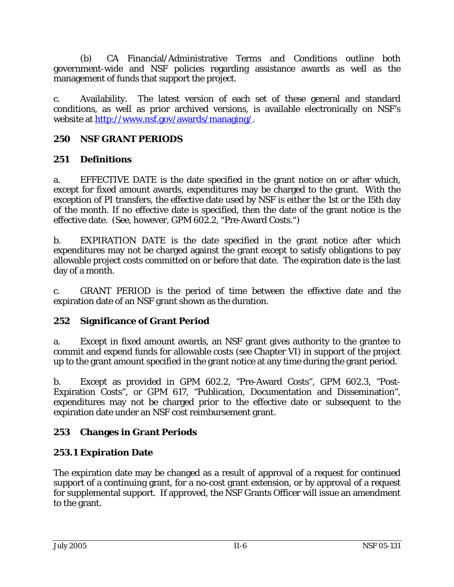(b) CA Financial/Administrative Terms and Conditions outline both government-wide and NSF policies regarding assistance awards as well as the management of funds that support the project.

c. Availability. The latest version of each set of these general and standard conditions, as well as prior archived versions, is available electronically on NSF's website at [http://www.nsf.gov/awards/managing/.](http://www.nsf.gov/awards/managing/) 

## **250 NSF GRANT PERIODS**

## **251 Definitions**

a. EFFECTIVE DATE is the date specified in the grant notice on or after which, except for fixed amount awards, expenditures may be charged to the grant. With the exception of PI transfers, the effective date used by NSF is either the 1st or the 15th day of the month. If no effective date is specified, then the date of the grant notice is the effective date. (See, however, GPM 602.2, "Pre-Award Costs.")

b. EXPIRATION DATE is the date specified in the grant notice after which expenditures may not be charged against the grant except to satisfy obligations to pay allowable project costs committed on or before that date. The expiration date is the last day of a month.

c. GRANT PERIOD is the period of time between the effective date and the expiration date of an NSF grant shown as the duration.

## **252 Significance of Grant Period**

a. Except in fixed amount awards, an NSF grant gives authority to the grantee to commit and expend funds for allowable costs (see Chapter VI) in support of the project up to the grant amount specified in the grant notice at any time during the grant period.

b. Except as provided in GPM 602.2, "Pre-Award Costs", GPM 602.3, "Post-Expiration Costs", or GPM 617, "Publication, Documentation and Dissemination", expenditures may not be charged prior to the effective date or subsequent to the expiration date under an NSF cost reimbursement grant.

## **253 Changes in Grant Periods**

## **253.1 Expiration Date**

The expiration date may be changed as a result of approval of a request for continued support of a continuing grant, for a no-cost grant extension, or by approval of a request for supplemental support. If approved, the NSF Grants Officer will issue an amendment to the grant.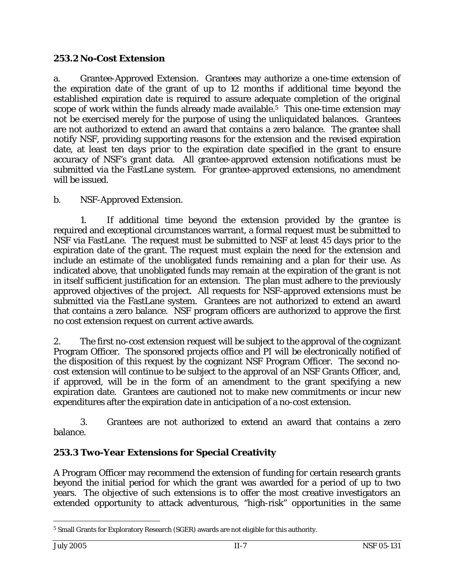#### **253.2 No-Cost Extension**

a. Grantee-Approved Extension. Grantees may authorize a one-time extension of the expiration date of the grant of up to 12 months if additional time beyond the established expiration date is required to assure adequate completion of the original scope of work within the funds already made available.<sup>5</sup> This one-time extension may not be exercised merely for the purpose of using the unliquidated balances. Grantees are not authorized to extend an award that contains a zero balance. The grantee shall notify NSF, providing supporting reasons for the extension and the revised expiration date, at least ten days prior to the expiration date specified in the grant to ensure accuracy of NSF's grant data. All grantee-approved extension notifications must be submitted via the FastLane system. For grantee-approved extensions, no amendment will be issued.

b. NSF-Approved Extension.

 1. If additional time beyond the extension provided by the grantee is required and exceptional circumstances warrant, a formal request must be submitted to NSF via FastLane. The request must be submitted to NSF at least 45 days prior to the expiration date of the grant. The request must explain the need for the extension and include an estimate of the unobligated funds remaining and a plan for their use. As indicated above, that unobligated funds may remain at the expiration of the grant is not in itself sufficient justification for an extension. The plan must adhere to the previously approved objectives of the project. All requests for NSF-approved extensions must be submitted via the FastLane system. Grantees are not authorized to extend an award that contains a zero balance. NSF program officers are authorized to approve the first no cost extension request on current active awards.

2. The first no-cost extension request will be subject to the approval of the cognizant Program Officer. The sponsored projects office and PI will be electronically notified of the disposition of this request by the cognizant NSF Program Officer. The second nocost extension will continue to be subject to the approval of an NSF Grants Officer, and, if approved, will be in the form of an amendment to the grant specifying a new expiration date. Grantees are cautioned not to make new commitments or incur new expenditures after the expiration date in anticipation of a no-cost extension.

3. Grantees are not authorized to extend an award that contains a zero balance.

## **253.3 Two-Year Extensions for Special Creativity**

A Program Officer may recommend the extension of funding for certain research grants beyond the initial period for which the grant was awarded for a period of up to two years. The objective of such extensions is to offer the most creative investigators an extended opportunity to attack adventurous, "high-risk" opportunities in the same

 $\overline{a}$ <sup>5</sup> Small Grants for Exploratory Research (SGER) awards are not eligible for this authority.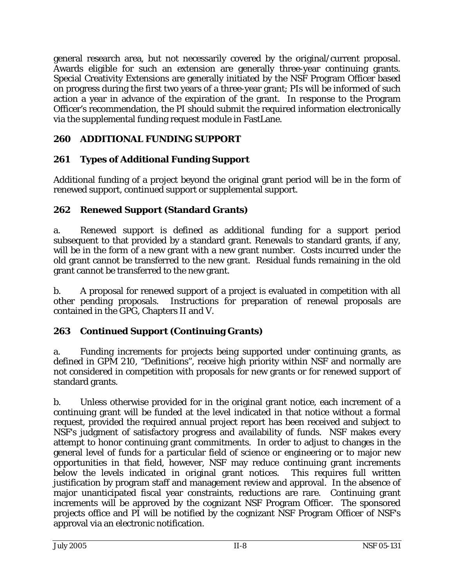general research area, but not necessarily covered by the original/current proposal. Awards eligible for such an extension are generally three-year continuing grants. Special Creativity Extensions are generally initiated by the NSF Program Officer based on progress during the first two years of a three-year grant; PIs will be informed of such action a year in advance of the expiration of the grant. In response to the Program Officer's recommendation, the PI should submit the required information electronically via the supplemental funding request module in FastLane.

## **260 ADDITIONAL FUNDING SUPPORT**

## **261 Types of Additional Funding Support**

Additional funding of a project beyond the original grant period will be in the form of renewed support, continued support or supplemental support.

## **262 Renewed Support (Standard Grants)**

a. Renewed support is defined as additional funding for a support period subsequent to that provided by a standard grant. Renewals to standard grants, if any, will be in the form of a new grant with a new grant number. Costs incurred under the old grant cannot be transferred to the new grant. Residual funds remaining in the old grant cannot be transferred to the new grant.

b. A proposal for renewed support of a project is evaluated in competition with all other pending proposals. Instructions for preparation of renewal proposals are contained in the GPG, Chapters II and V.

## **263 Continued Support (Continuing Grants)**

a. Funding increments for projects being supported under continuing grants, as defined in GPM 210, "Definitions", receive high priority within NSF and normally are not considered in competition with proposals for new grants or for renewed support of standard grants.

b. Unless otherwise provided for in the original grant notice, each increment of a continuing grant will be funded at the level indicated in that notice without a formal request, provided the required annual project report has been received and subject to NSF's judgment of satisfactory progress and availability of funds. NSF makes every attempt to honor continuing grant commitments. In order to adjust to changes in the general level of funds for a particular field of science or engineering or to major new opportunities in that field, however, NSF may reduce continuing grant increments below the levels indicated in original grant notices. This requires full written justification by program staff and management review and approval. In the absence of major unanticipated fiscal year constraints, reductions are rare. Continuing grant increments will be approved by the cognizant NSF Program Officer. The sponsored projects office and PI will be notified by the cognizant NSF Program Officer of NSF's approval via an electronic notification.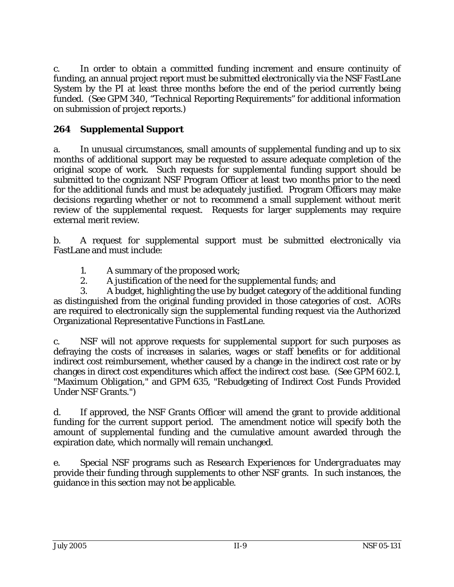c. In order to obtain a committed funding increment and ensure continuity of funding, an annual project report must be submitted electronically via the NSF FastLane System by the PI at least three months before the end of the period currently being funded. (See GPM 340, "Technical Reporting Requirements" for additional information on submission of project reports.)

## **264 Supplemental Support**

a. In unusual circumstances, small amounts of supplemental funding and up to six months of additional support may be requested to assure adequate completion of the original scope of work. Such requests for supplemental funding support should be submitted to the cognizant NSF Program Officer at least two months prior to the need for the additional funds and must be adequately justified. Program Officers may make decisions regarding whether or not to recommend a small supplement without merit review of the supplemental request. Requests for larger supplements may require external merit review.

b. A request for supplemental support must be submitted electronically via FastLane and must include:

- 1. A summary of the proposed work;
- 2. A justification of the need for the supplemental funds; and

 3. A budget*,* highlighting the use by budget category of the additional funding as distinguished from the original funding provided in those categories of cost. AORs are required to electronically sign the supplemental funding request via the Authorized Organizational Representative Functions in FastLane.

c. NSF will not approve requests for supplemental support for such purposes as defraying the costs of increases in salaries, wages or staff benefits or for additional indirect cost reimbursement, whether caused by a change in the indirect cost rate or by changes in direct cost expenditures which affect the indirect cost base. (See GPM 602.1, "Maximum Obligation," and GPM 635, "Rebudgeting of Indirect Cost Funds Provided Under NSF Grants.")

d. If approved, the NSF Grants Officer will amend the grant to provide additional funding for the current support period. The amendment notice will specify both the amount of supplemental funding and the cumulative amount awarded through the expiration date, which normally will remain unchanged.

e. Special NSF programs such as *Research Experiences for Undergraduates* may provide their funding through supplements to other NSF grants. In such instances, the guidance in this section may not be applicable.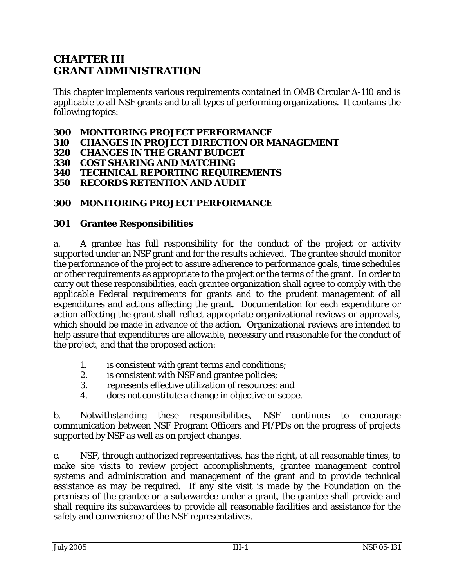# **CHAPTER III GRANT ADMINISTRATION**

This chapter implements various requirements contained in OMB Circular A-110 and is applicable to all NSF grants and to all types of performing organizations. It contains the following topics:

- **300 MONITORING PROJECT PERFORMANCE**
- **310 CHANGES IN PROJECT DIRECTION OR MANAGEMENT**
- **320 CHANGES IN THE GRANT BUDGET**
- **330 COST SHARING AND MATCHING**
- **340 TECHNICAL REPORTING REQUIREMENTS**
- **350 RECORDS RETENTION AND AUDIT**

## **300 MONITORING PROJECT PERFORMANCE**

## **301 Grantee Responsibilities**

a. A grantee has full responsibility for the conduct of the project or activity supported under an NSF grant and for the results achieved. The grantee should monitor the performance of the project to assure adherence to performance goals, time schedules or other requirements as appropriate to the project or the terms of the grant. In order to carry out these responsibilities, each grantee organization shall agree to comply with the applicable Federal requirements for grants and to the prudent management of all expenditures and actions affecting the grant. Documentation for each expenditure or action affecting the grant shall reflect appropriate organizational reviews or approvals, which should be made in advance of the action. Organizational reviews are intended to help assure that expenditures are allowable, necessary and reasonable for the conduct of the project, and that the proposed action:

- 1. is consistent with grant terms and conditions;
- 2. is consistent with NSF and grantee policies;
- 3. represents effective utilization of resources; and
- 4. does not constitute a change in objective or scope.

b. Notwithstanding these responsibilities, NSF continues to encourage communication between NSF Program Officers and PI/PDs on the progress of projects supported by NSF as well as on project changes.

c. NSF, through authorized representatives, has the right, at all reasonable times, to make site visits to review project accomplishments, grantee management control systems and administration and management of the grant and to provide technical assistance as may be required. If any site visit is made by the Foundation on the premises of the grantee or a subawardee under a grant, the grantee shall provide and shall require its subawardees to provide all reasonable facilities and assistance for the safety and convenience of the NSF representatives.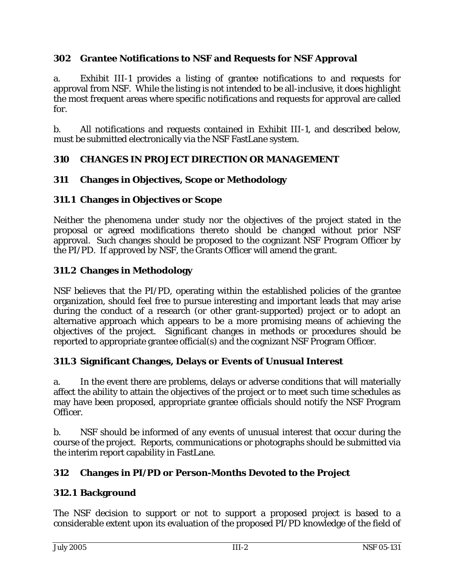## **302 Grantee Notifications to NSF and Requests for NSF Approval**

a. Exhibit III-1 provides a listing of grantee notifications to and requests for approval from NSF. While the listing is not intended to be all-inclusive, it does highlight the most frequent areas where specific notifications and requests for approval are called for.

b. All notifications and requests contained in Exhibit III-1, and described below, must be submitted electronically via the NSF FastLane system.

## **310 CHANGES IN PROJECT DIRECTION OR MANAGEMENT**

## **311 Changes in Objectives, Scope or Methodology**

## **311.1 Changes in Objectives or Scope**

Neither the phenomena under study nor the objectives of the project stated in the proposal or agreed modifications thereto should be changed without prior NSF approval. Such changes should be proposed to the cognizant NSF Program Officer by the PI/PD. If approved by NSF, the Grants Officer will amend the grant.

## **311.2 Changes in Methodology**

NSF believes that the PI/PD, operating within the established policies of the grantee organization, should feel free to pursue interesting and important leads that may arise during the conduct of a research (or other grant-supported) project or to adopt an alternative approach which appears to be a more promising means of achieving the objectives of the project. Significant changes in methods or procedures should be reported to appropriate grantee official(s) and the cognizant NSF Program Officer.

## **311.3 Significant Changes, Delays or Events of Unusual Interest**

a. In the event there are problems, delays or adverse conditions that will materially affect the ability to attain the objectives of the project or to meet such time schedules as may have been proposed, appropriate grantee officials should notify the NSF Program Officer.

b. NSF should be informed of any events of unusual interest that occur during the course of the project. Reports, communications or photographs should be submitted via the interim report capability in FastLane.

## **312 Changes in PI/PD or Person-Months Devoted to the Project**

## **312.1 Background**

The NSF decision to support or not to support a proposed project is based to a considerable extent upon its evaluation of the proposed PI/PD knowledge of the field of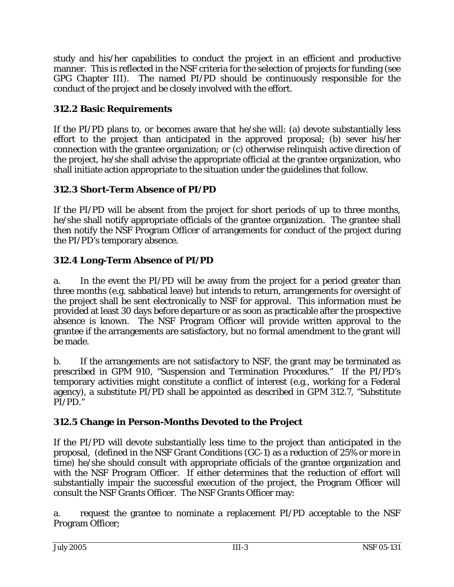study and his/her capabilities to conduct the project in an efficient and productive manner. This is reflected in the NSF criteria for the selection of projects for funding (see GPG Chapter III). The named PI/PD should be continuously responsible for the conduct of the project and be closely involved with the effort.

## **312.2 Basic Requirements**

If the PI/PD plans to, or becomes aware that he/she will: (a) devote substantially less effort to the project than anticipated in the approved proposal; (b) sever his/her connection with the grantee organization; or (c) otherwise relinquish active direction of the project, he/she shall advise the appropriate official at the grantee organization, who shall initiate action appropriate to the situation under the guidelines that follow.

## **312.3 Short-Term Absence of PI/PD**

If the PI/PD will be absent from the project for short periods of up to three months, he/she shall notify appropriate officials of the grantee organization. The grantee shall then notify the NSF Program Officer of arrangements for conduct of the project during the PI/PD's temporary absence.

## **312.4 Long-Term Absence of PI/PD**

a. In the event the PI/PD will be away from the project for a period greater than three months (e.g. sabbatical leave) but intends to return, arrangements for oversight of the project shall be sent electronically to NSF for approval. This information must be provided at least 30 days before departure or as soon as practicable after the prospective absence is known. The NSF Program Officer will provide written approval to the grantee if the arrangements are satisfactory, but no formal amendment to the grant will be made.

b. If the arrangements are not satisfactory to NSF, the grant may be terminated as prescribed in GPM 910, "Suspension and Termination Procedures." If the PI/PD's temporary activities might constitute a conflict of interest (e.g., working for a Federal agency), a substitute PI/PD shall be appointed as described in GPM 312.7, "Substitute PI/PD."

## **312.5 Change in Person-Months Devoted to the Project**

If the PI/PD will devote substantially less time to the project than anticipated in the proposal, (defined in the NSF Grant Conditions (GC-1) as a reduction of 25% or more in time) he/she should consult with appropriate officials of the grantee organization and with the NSF Program Officer. If either determines that the reduction of effort will substantially impair the successful execution of the project, the Program Officer will consult the NSF Grants Officer. The NSF Grants Officer may:

a. request the grantee to nominate a replacement PI/PD acceptable to the NSF Program Officer;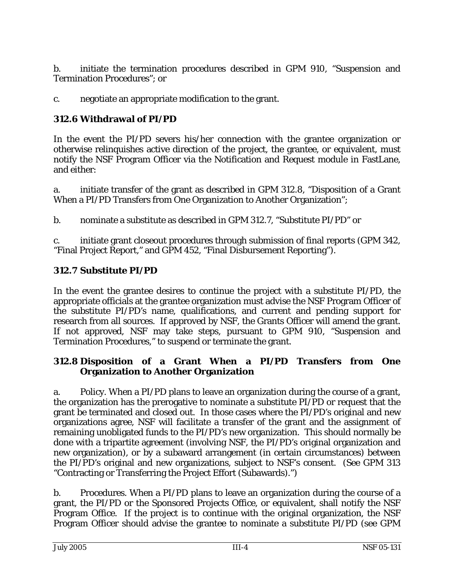b. initiate the termination procedures described in GPM 910, "Suspension and Termination Procedures"; or

c. negotiate an appropriate modification to the grant.

## **312.6 Withdrawal of PI/PD**

In the event the PI/PD severs his/her connection with the grantee organization or otherwise relinquishes active direction of the project, the grantee, or equivalent, must notify the NSF Program Officer via the Notification and Request module in FastLane, and either:

a. initiate transfer of the grant as described in GPM 312.8, "Disposition of a Grant When a PI/PD Transfers from One Organization to Another Organization";

b. nominate a substitute as described in GPM 312.7, "Substitute PI/PD" or

c. initiate grant closeout procedures through submission of final reports (GPM 342, "Final Project Report," and GPM 452, "Final Disbursement Reporting").

## **312.7 Substitute PI/PD**

In the event the grantee desires to continue the project with a substitute PI/PD, the appropriate officials at the grantee organization must advise the NSF Program Officer of the substitute PI/PD's name, qualifications, and current and pending support for research from all sources. If approved by NSF, the Grants Officer will amend the grant. If not approved, NSF may take steps, pursuant to GPM 910, "Suspension and Termination Procedures," to suspend or terminate the grant.

## **312.8 Disposition of a Grant When a PI/PD Transfers from One Organization to Another Organization**

a. Policy. When a PI/PD plans to leave an organization during the course of a grant, the organization has the prerogative to nominate a substitute PI/PD or request that the grant be terminated and closed out. In those cases where the PI/PD's original and new organizations agree, NSF will facilitate a transfer of the grant and the assignment of remaining unobligated funds to the PI/PD's new organization. This should normally be done with a tripartite agreement (involving NSF, the PI/PD's original organization and new organization), or by a subaward arrangement (in certain circumstances) between the PI/PD's original and new organizations, subject to NSF's consent. (See GPM 313 "Contracting or Transferring the Project Effort (Subawards).")

b. Procedures. When a PI/PD plans to leave an organization during the course of a grant, the PI/PD or the Sponsored Projects Office, or equivalent, shall notify the NSF Program Office. If the project is to continue with the original organization, the NSF Program Officer should advise the grantee to nominate a substitute PI/PD (see GPM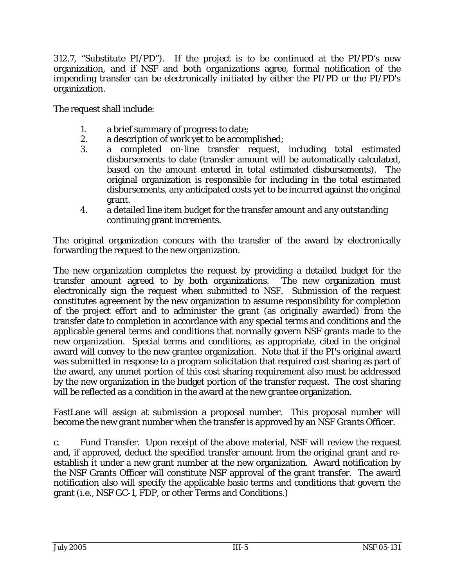312.7, "Substitute PI/PD"). If the project is to be continued at the PI/PD's new organization, and if NSF and both organizations agree, formal notification of the impending transfer can be electronically initiated by either the PI/PD or the PI/PD's organization.

The request shall include:

- 1. a brief summary of progress to date;
- 2. a description of work yet to be accomplished;
- 3. a completed on-line transfer request, including total estimated disbursements to date (transfer amount will be automatically calculated, based on the amount entered in total estimated disbursements). The original organization is responsible for including in the total estimated disbursements, any anticipated costs yet to be incurred against the original grant.
- 4. a detailed line item budget for the transfer amount and any outstanding continuing grant increments.

The original organization concurs with the transfer of the award by electronically forwarding the request to the new organization.

The new organization completes the request by providing a detailed budget for the transfer amount agreed to by both organizations. The new organization must electronically sign the request when submitted to NSF. Submission of the request constitutes agreement by the new organization to assume responsibility for completion of the project effort and to administer the grant (as originally awarded) from the transfer date to completion in accordance with any special terms and conditions and the applicable general terms and conditions that normally govern NSF grants made to the new organization. Special terms and conditions, as appropriate, cited in the original award will convey to the new grantee organization. Note that if the PI's original award was submitted in response to a program solicitation that required cost sharing as part of the award, any unmet portion of this cost sharing requirement also must be addressed by the new organization in the budget portion of the transfer request. The cost sharing will be reflected as a condition in the award at the new grantee organization.

FastLane will assign at submission a proposal number. This proposal number will become the new grant number when the transfer is approved by an NSF Grants Officer.

c. Fund Transfer. Upon receipt of the above material, NSF will review the request and, if approved, deduct the specified transfer amount from the original grant and reestablish it under a new grant number at the new organization. Award notification by the NSF Grants Officer will constitute NSF approval of the grant transfer. The award notification also will specify the applicable basic terms and conditions that govern the grant (i.e., NSF GC-1, FDP, or other Terms and Conditions.)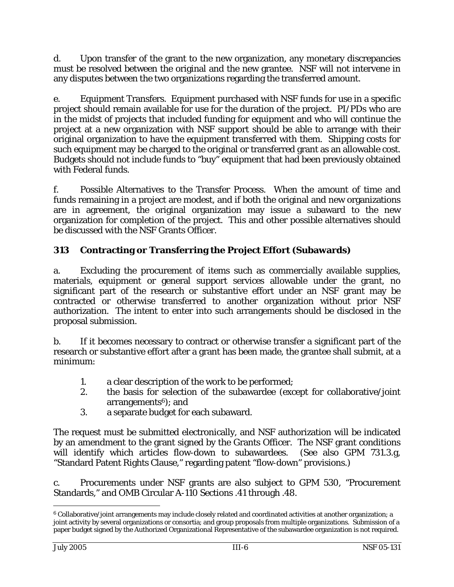d. Upon transfer of the grant to the new organization, any monetary discrepancies must be resolved between the original and the new grantee. NSF will not intervene in any disputes between the two organizations regarding the transferred amount.

e. Equipment Transfers. Equipment purchased with NSF funds for use in a specific project should remain available for use for the duration of the project. PI/PDs who are in the midst of projects that included funding for equipment and who will continue the project at a new organization with NSF support should be able to arrange with their original organization to have the equipment transferred with them. Shipping costs for such equipment may be charged to the original or transferred grant as an allowable cost. Budgets should not include funds to "buy" equipment that had been previously obtained with Federal funds.

f. Possible Alternatives to the Transfer Process. When the amount of time and funds remaining in a project are modest, and if both the original and new organizations are in agreement, the original organization may issue a subaward to the new organization for completion of the project. This and other possible alternatives should be discussed with the NSF Grants Officer.

## **313 Contracting or Transferring the Project Effort (Subawards)**

a. Excluding the procurement of items such as commercially available supplies, materials, equipment or general support services allowable under the grant, no significant part of the research or substantive effort under an NSF grant may be contracted or otherwise transferred to another organization without prior NSF authorization. The intent to enter into such arrangements should be disclosed in the proposal submission.

b. If it becomes necessary to contract or otherwise transfer a significant part of the research or substantive effort after a grant has been made, the grantee shall submit, at a minimum:

- 1. a clear description of the work to be performed;
- 2. the basis for selection of the subawardee (except for collaborative/joint  $arrangements<sup>6</sup>)$ ; and
- 3. a separate budget for each subaward.

The request must be submitted electronically, and NSF authorization will be indicated by an amendment to the grant signed by the Grants Officer. The NSF grant conditions will identify which articles flow-down to subawardees. (See also GPM 731.3.g, "Standard Patent Rights Clause," regarding patent "flow-down" provisions.)

c. Procurements under NSF grants are also subject to GPM 530, "Procurement Standards," and OMB Circular A-110 Sections .41 through .48.

<u>.</u>

<sup>6</sup> Collaborative/joint arrangements may include closely related and coordinated activities at another organization; a joint activity by several organizations or consortia; and group proposals from multiple organizations. Submission of a paper budget signed by the Authorized Organizational Representative of the subawardee organization is not required.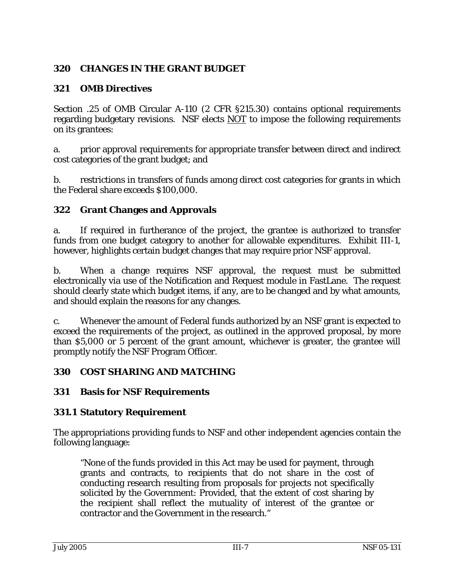## **320 CHANGES IN THE GRANT BUDGET**

## **321 OMB Directives**

Section .25 of OMB Circular A-110 (2 CFR §215.30) contains optional requirements regarding budgetary revisions. NSF elects NOT to impose the following requirements on its grantees:

a. prior approval requirements for appropriate transfer between direct and indirect cost categories of the grant budget; and

b. restrictions in transfers of funds among direct cost categories for grants in which the Federal share exceeds \$100,000.

## **322 Grant Changes and Approvals**

a. If required in furtherance of the project, the grantee is authorized to transfer funds from one budget category to another for allowable expenditures. Exhibit III-1, however, highlights certain budget changes that may require prior NSF approval.

b. When a change requires NSF approval, the request must be submitted electronically via use of the Notification and Request module in FastLane. The request should clearly state which budget items, if any, are to be changed and by what amounts, and should explain the reasons for any changes.

c. Whenever the amount of Federal funds authorized by an NSF grant is expected to exceed the requirements of the project, as outlined in the approved proposal, by more than \$5,000 or 5 percent of the grant amount, whichever is greater, the grantee will promptly notify the NSF Program Officer.

## **330 COST SHARING AND MATCHING**

## **331 Basis for NSF Requirements**

### **331.1 Statutory Requirement**

The appropriations providing funds to NSF and other independent agencies contain the following language:

"None of the funds provided in this Act may be used for payment, through grants and contracts, to recipients that do not share in the cost of conducting research resulting from proposals for projects not specifically solicited by the Government: Provided, that the extent of cost sharing by the recipient shall reflect the mutuality of interest of the grantee or contractor and the Government in the research."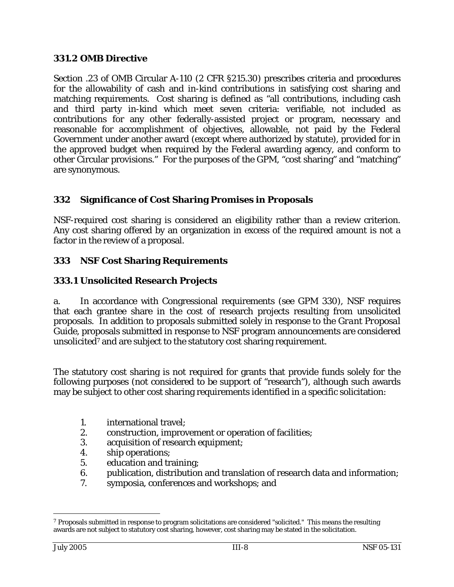#### **331.2 OMB Directive**

Section .23 of OMB Circular A-110 (2 CFR §215.30) prescribes criteria and procedures for the allowability of cash and in-kind contributions in satisfying cost sharing and matching requirements. Cost sharing is defined as "all contributions, including cash and third party in-kind which meet seven criteria: verifiable, not included as contributions for any other federally-assisted project or program, necessary and reasonable for accomplishment of objectives, allowable, not paid by the Federal Government under another award (except where authorized by statute), provided for in the approved budget when required by the Federal awarding agency, and conform to other Circular provisions." For the purposes of the GPM, "cost sharing" and "matching" are synonymous.

#### **332 Significance of Cost Sharing Promises in Proposals**

NSF-required cost sharing is considered an eligibility rather than a review criterion. Any cost sharing offered by an organization in excess of the required amount is not a factor in the review of a proposal.

#### **333 NSF Cost Sharing Requirements**

#### **333.1 Unsolicited Research Projects**

a. In accordance with Congressional requirements (see GPM 330), NSF requires that each grantee share in the cost of research projects resulting from unsolicited proposals. In addition to proposals submitted solely in response to the *Grant Proposal Guide*, proposals submitted in response to NSF program announcements are considered unsolicited<sup>7</sup> and are subject to the statutory cost sharing requirement.

The statutory cost sharing is not required for grants that provide funds solely for the following purposes (not considered to be support of "research"), although such awards may be subject to other cost sharing requirements identified in a specific solicitation:

- 1. international travel;
- 2. construction, improvement or operation of facilities;
- 3. acquisition of research equipment;
- 4. ship operations;
- 5. education and training;
- 6. publication, distribution and translation of research data and information;
- 7. symposia, conferences and workshops; and

 $\overline{a}$ 

<sup>7</sup> Proposals submitted in response to program solicitations are considered "solicited." This means the resulting awards are not subject to statutory cost sharing, however, cost sharing may be stated in the solicitation.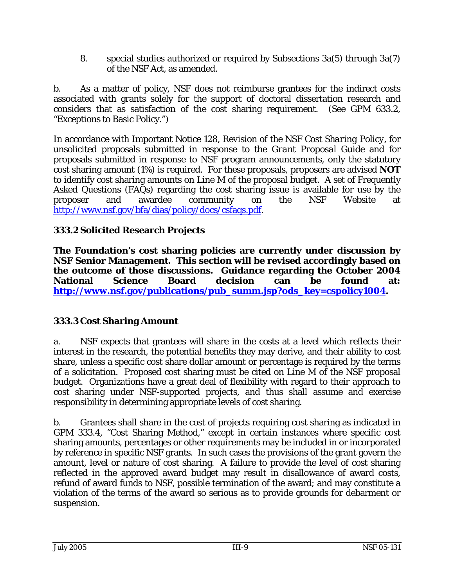8. special studies authorized or required by Subsections 3a(5) through 3a(7) of the NSF Act, as amended.

b. As a matter of policy, NSF does not reimburse grantees for the indirect costs associated with grants solely for the support of doctoral dissertation research and considers that as satisfaction of the cost sharing requirement. (See GPM 633.2, "Exceptions to Basic Policy.")

In accordance with Important Notice 128, *Revision of the NSF Cost Sharing Policy*, for unsolicited proposals submitted in response to the *Grant Proposal Guide* and for proposals submitted in response to NSF program announcements, only the statutory cost sharing amount (1%) is required. For these proposals, proposers are advised **NOT**  to identify cost sharing amounts on Line M of the proposal budget. A set of Frequently Asked Questions (FAQs) regarding the cost sharing issue is available for use by the proposer and awardee community on the NSF Website at [http://www.nsf.gov/bfa/dias/policy/docs/csfaqs.pdf.](http://www.nsf.gov/bfa/dias/policy/docs/csfaqs.pdf) 

### **333.2 Solicited Research Projects**

**The Foundation's cost sharing policies are currently under discussion by NSF Senior Management. This section will be revised accordingly based on the outcome of those discussions. Guidance regarding the October 2004 National Science Board decision can be found at: [http://www.nsf.gov/publications/pub\\_summ.jsp?ods\\_key=cspolicy1004.](http://www.nsf.gov/publications/pub_summ.jsp?ods_key=cspolicy1004)** 

### **333.3 Cost Sharing Amount**

a. NSF expects that grantees will share in the costs at a level which reflects their interest in the research, the potential benefits they may derive, and their ability to cost share, unless a specific cost share dollar amount or percentage is required by the terms of a solicitation. Proposed cost sharing must be cited on Line M of the NSF proposal budget. Organizations have a great deal of flexibility with regard to their approach to cost sharing under NSF-supported projects, and thus shall assume and exercise responsibility in determining appropriate levels of cost sharing.

b. Grantees shall share in the cost of projects requiring cost sharing as indicated in GPM 333.4, "Cost Sharing Method," except in certain instances where specific cost sharing amounts, percentages or other requirements may be included in or incorporated by reference in specific NSF grants. In such cases the provisions of the grant govern the amount, level or nature of cost sharing. A failure to provide the level of cost sharing reflected in the approved award budget may result in disallowance of award costs, refund of award funds to NSF, possible termination of the award; and may constitute a violation of the terms of the award so serious as to provide grounds for debarment or suspension.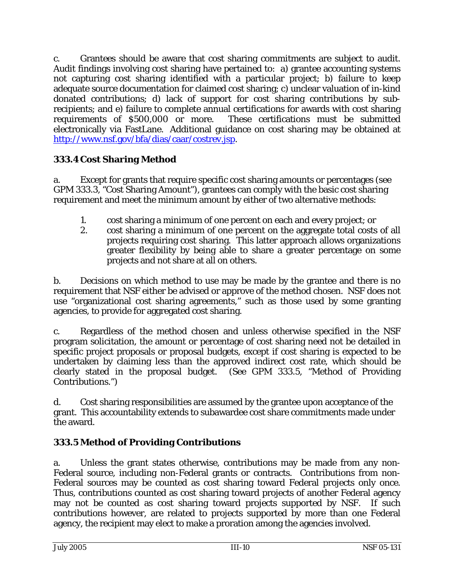c. Grantees should be aware that cost sharing commitments are subject to audit. Audit findings involving cost sharing have pertained to: a) grantee accounting systems not capturing cost sharing identified with a particular project; b) failure to keep adequate source documentation for claimed cost sharing; c) unclear valuation of in-kind donated contributions; d) lack of support for cost sharing contributions by subrecipients; and e) failure to complete annual certifications for awards with cost sharing requirements of \$500,000 or more. These certifications must be submitted electronically via FastLane. Additional guidance on cost sharing may be obtained at [http://www.nsf.gov/bfa/dias/caar/costrev.jsp.](http://www.nsf.gov/bfa/dias/caar/costrev.jsp)

## **333.4 Cost Sharing Method**

a. Except for grants that require specific cost sharing amounts or percentages (see GPM 333.3, "Cost Sharing Amount"), grantees can comply with the basic cost sharing requirement and meet the minimum amount by either of two alternative methods:

- 1. cost sharing a minimum of one percent on each and every project; or
- 2. cost sharing a minimum of one percent on the aggregate total costs of all projects requiring cost sharing. This latter approach allows organizations greater flexibility by being able to share a greater percentage on some projects and not share at all on others.

b. Decisions on which method to use may be made by the grantee and there is no requirement that NSF either be advised or approve of the method chosen. NSF does not use "organizational cost sharing agreements," such as those used by some granting agencies, to provide for aggregated cost sharing.

c. Regardless of the method chosen and unless otherwise specified in the NSF program solicitation, the amount or percentage of cost sharing need not be detailed in specific project proposals or proposal budgets, except if cost sharing is expected to be undertaken by claiming less than the approved indirect cost rate, which should be clearly stated in the proposal budget. (See GPM 333.5, "Method of Providing Contributions.")

d. Cost sharing responsibilities are assumed by the grantee upon acceptance of the grant. This accountability extends to subawardee cost share commitments made under the award.

## **333.5 Method of Providing Contributions**

a. Unless the grant states otherwise, contributions may be made from any non-Federal source, including non-Federal grants or contracts. Contributions from non-Federal sources may be counted as cost sharing toward Federal projects only once. Thus, contributions counted as cost sharing toward projects of another Federal agency may not be counted as cost sharing toward projects supported by NSF. If such contributions however, are related to projects supported by more than one Federal agency, the recipient may elect to make a proration among the agencies involved.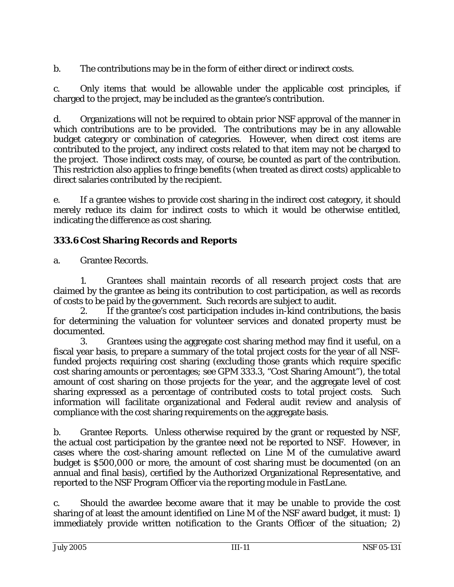b. The contributions may be in the form of either direct or indirect costs.

c. Only items that would be allowable under the applicable cost principles, if charged to the project, may be included as the grantee's contribution.

d. Organizations will not be required to obtain prior NSF approval of the manner in which contributions are to be provided. The contributions may be in any allowable budget category or combination of categories. However, when direct cost items are contributed to the project, any indirect costs related to that item may not be charged to the project. Those indirect costs may, of course, be counted as part of the contribution. This restriction also applies to fringe benefits (when treated as direct costs) applicable to direct salaries contributed by the recipient.

e. If a grantee wishes to provide cost sharing in the indirect cost category, it should merely reduce its claim for indirect costs to which it would be otherwise entitled, indicating the difference as cost sharing.

## **333.6 Cost Sharing Records and Reports**

a. Grantee Records.

 1. Grantees shall maintain records of all research project costs that are claimed by the grantee as being its contribution to cost participation, as well as records of costs to be paid by the government. Such records are subject to audit.

 2. If the grantee's cost participation includes in-kind contributions, the basis for determining the valuation for volunteer services and donated property must be documented.

 3. Grantees using the aggregate cost sharing method may find it useful, on a fiscal year basis, to prepare a summary of the total project costs for the year of all NSFfunded projects requiring cost sharing (excluding those grants which require specific cost sharing amounts or percentages; see GPM 333.3, "Cost Sharing Amount"), the total amount of cost sharing on those projects for the year, and the aggregate level of cost sharing expressed as a percentage of contributed costs to total project costs. Such information will facilitate organizational and Federal audit review and analysis of compliance with the cost sharing requirements on the aggregate basis.

b. Grantee Reports. Unless otherwise required by the grant or requested by NSF, the actual cost participation by the grantee need not be reported to NSF. However, in cases where the cost-sharing amount reflected on Line M of the cumulative award budget is \$500,000 or more, the amount of cost sharing must be documented (on an annual and final basis), certified by the Authorized Organizational Representative, and reported to the NSF Program Officer via the reporting module in FastLane.

c. Should the awardee become aware that it may be unable to provide the cost sharing of at least the amount identified on Line M of the NSF award budget, it must: 1) immediately provide written notification to the Grants Officer of the situation; 2)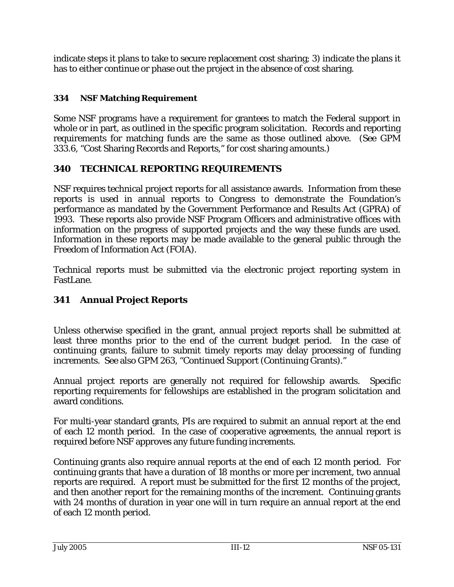indicate steps it plans to take to secure replacement cost sharing; 3) indicate the plans it has to either continue or phase out the project in the absence of cost sharing.

### **334 NSF Matching Requirement**

Some NSF programs have a requirement for grantees to match the Federal support in whole or in part, as outlined in the specific program solicitation. Records and reporting requirements for matching funds are the same as those outlined above. (See GPM 333.6, "Cost Sharing Records and Reports," for cost sharing amounts.)

### **340 TECHNICAL REPORTING REQUIREMENTS**

NSF requires technical project reports for all assistance awards. Information from these reports is used in annual reports to Congress to demonstrate the Foundation's performance as mandated by the Government Performance and Results Act (GPRA) of 1993. These reports also provide NSF Program Officers and administrative offices with information on the progress of supported projects and the way these funds are used. Information in these reports may be made available to the general public through the Freedom of Information Act (FOIA).

Technical reports must be submitted via the electronic project reporting system in FastLane.

## **341 Annual Project Reports**

Unless otherwise specified in the grant, annual project reports shall be submitted at least three months prior to the end of the current budget period. In the case of continuing grants, failure to submit timely reports may delay processing of funding increments. See also GPM 263, "Continued Support (Continuing Grants)."

Annual project reports are generally not required for fellowship awards. Specific reporting requirements for fellowships are established in the program solicitation and award conditions.

For multi-year standard grants, PIs are required to submit an annual report at the end of each 12 month period. In the case of cooperative agreements, the annual report is required before NSF approves any future funding increments.

Continuing grants also require annual reports at the end of each 12 month period. For continuing grants that have a duration of 18 months or more per increment, two annual reports are required. A report must be submitted for the first 12 months of the project, and then another report for the remaining months of the increment. Continuing grants with 24 months of duration in year one will in turn require an annual report at the end of each 12 month period.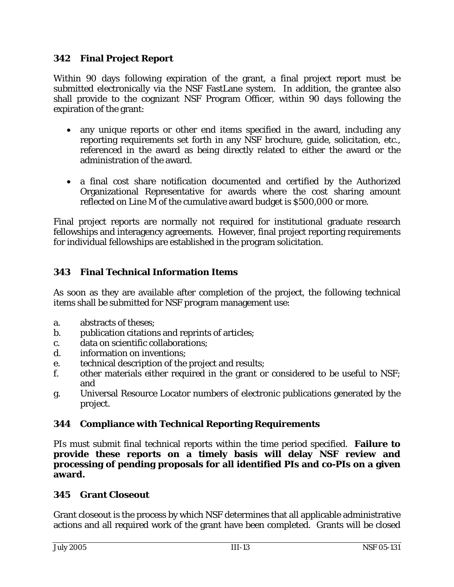### **342 Final Project Report**

Within 90 days following expiration of the grant, a final project report must be submitted electronically via the NSF FastLane system. In addition, the grantee also shall provide to the cognizant NSF Program Officer, within 90 days following the expiration of the grant:

- any unique reports or other end items specified in the award, including any reporting requirements set forth in any NSF brochure, guide, solicitation, etc., referenced in the award as being directly related to either the award or the administration of the award.
- a final cost share notification documented and certified by the Authorized Organizational Representative for awards where the cost sharing amount reflected on Line M of the cumulative award budget is \$500,000 or more.

Final project reports are normally not required for institutional graduate research fellowships and interagency agreements. However, final project reporting requirements for individual fellowships are established in the program solicitation.

## **343 Final Technical Information Items**

As soon as they are available after completion of the project, the following technical items shall be submitted for NSF program management use:

- a. abstracts of theses;
- b. publication citations and reprints of articles;
- c. data on scientific collaborations;
- d. information on inventions;
- e. technical description of the project and results;
- f. other materials either required in the grant or considered to be useful to NSF; and
- g. Universal Resource Locator numbers of electronic publications generated by the project.

### **344 Compliance with Technical Reporting Requirements**

PIs must submit final technical reports within the time period specified. **Failure to provide these reports on a timely basis will delay NSF review and processing of pending proposals for all identified PIs and co-PIs on a given award.** 

### **345 Grant Closeout**

Grant closeout is the process by which NSF determines that all applicable administrative actions and all required work of the grant have been completed. Grants will be closed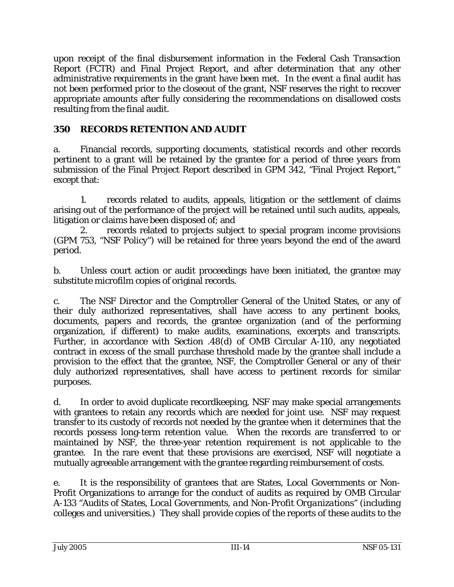upon receipt of the final disbursement information in the Federal Cash Transaction Report (FCTR) and Final Project Report, and after determination that any other administrative requirements in the grant have been met. In the event a final audit has not been performed prior to the closeout of the grant, NSF reserves the right to recover appropriate amounts after fully considering the recommendations on disallowed costs resulting from the final audit.

## **350 RECORDS RETENTION AND AUDIT**

a. Financial records, supporting documents, statistical records and other records pertinent to a grant will be retained by the grantee for a period of three years from submission of the Final Project Report described in GPM 342, "Final Project Report," except that:

 1. records related to audits, appeals, litigation or the settlement of claims arising out of the performance of the project will be retained until such audits, appeals, litigation or claims have been disposed of; and

records related to projects subject to special program income provisions (GPM 753, "NSF Policy") will be retained for three years beyond the end of the award period.

b. Unless court action or audit proceedings have been initiated, the grantee may substitute microfilm copies of original records.

c. The NSF Director and the Comptroller General of the United States, or any of their duly authorized representatives, shall have access to any pertinent books, documents, papers and records, the grantee organization (and of the performing organization, if different) to make audits, examinations, excerpts and transcripts. Further, in accordance with Section .48(d) of OMB Circular A-110, any negotiated contract in excess of the small purchase threshold made by the grantee shall include a provision to the effect that the grantee, NSF, the Comptroller General or any of their duly authorized representatives, shall have access to pertinent records for similar purposes.

d. In order to avoid duplicate recordkeeping, NSF may make special arrangements with grantees to retain any records which are needed for joint use. NSF may request transfer to its custody of records not needed by the grantee when it determines that the records possess long-term retention value. When the records are transferred to or maintained by NSF, the three-year retention requirement is not applicable to the grantee. In the rare event that these provisions are exercised, NSF will negotiate a mutually agreeable arrangement with the grantee regarding reimbursement of costs.

e. It is the responsibility of grantees that are States, Local Governments or Non-Profit Organizations to arrange for the conduct of audits as required by OMB Circular A-133 "*Audits of States, Local Governments, and Non-Profit Organizations*" (including colleges and universities.) They shall provide copies of the reports of these audits to the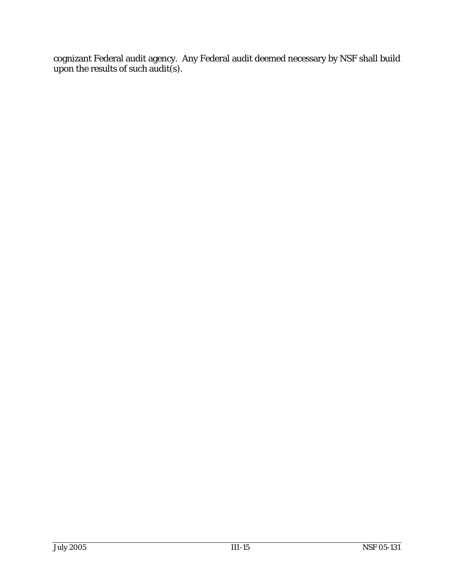cognizant Federal audit agency. Any Federal audit deemed necessary by NSF shall build upon the results of such audit(s).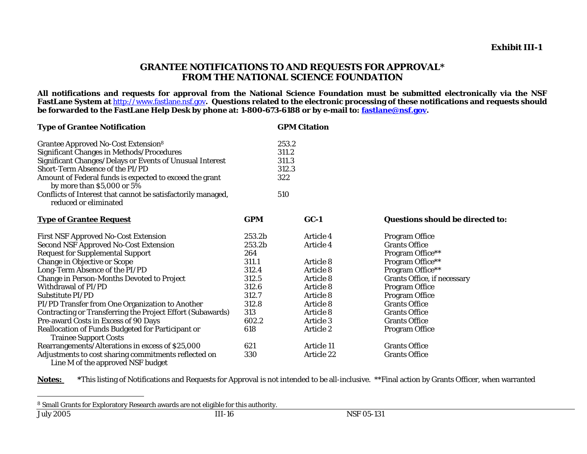#### *GRANTEE NOTIFICATIONS TO AND REQUESTS FOR APPROVAL\* FROM THE NATIONAL SCIENCE FOUNDATION*

**All notifications and requests for approval from the National Science Foundation must be submitted electronically via the NSF FastLane System at** <http://www.fastlane.nsf.gov>**. Questions related to the electronic processing of these notifications and requests should be forwarded to the FastLane Help Desk by phone at: 1-800-673-6188 or by e-mail to: [fastlane@nsf.gov](mailto:fastlane@nsf.gov).** 

| <b>Type of Grantee Notification</b>                                                       |            | <b>GPM Citation</b> |                                    |
|-------------------------------------------------------------------------------------------|------------|---------------------|------------------------------------|
| <b>Grantee Approved No-Cost Extension<sup>8</sup></b>                                     |            | 253.2               |                                    |
| <b>Significant Changes in Methods/Procedures</b>                                          |            | 311.2               |                                    |
| Significant Changes/Delays or Events of Unusual Interest                                  |            | 311.3               |                                    |
| Short-Term Absence of the PI/PD                                                           |            | 312.3               |                                    |
| Amount of Federal funds is expected to exceed the grant<br>by more than $$5,000$ or $5\%$ |            | 322                 |                                    |
| Conflicts of Interest that cannot be satisfactorily managed,<br>reduced or eliminated     |            | 510                 |                                    |
| <b>Type of Grantee Request</b>                                                            | <b>GPM</b> | $GC-1$              | Questions should be directed to:   |
| <b>First NSF Approved No-Cost Extension</b>                                               | 253.2b     | Article 4           | <b>Program Office</b>              |
| <b>Second NSF Approved No-Cost Extension</b>                                              | 253.2b     | Article 4           | <b>Grants Office</b>               |
| <b>Request for Supplemental Support</b>                                                   | 264        |                     | Program Office**                   |
| <b>Change in Objective or Scope</b>                                                       | 311.1      | Article 8           | Program Office**                   |
| Long-Term Absence of the PI/PD                                                            | 312.4      | Article 8           | Program Office**                   |
| <b>Change in Person-Months Devoted to Project</b>                                         | 312.5      | Article 8           | <b>Grants Office, if necessary</b> |
| Withdrawal of PI/PD                                                                       | 312.6      | Article 8           | <b>Program Office</b>              |
| Substitute PI/PD                                                                          | 312.7      | Article 8           | <b>Program Office</b>              |
| PI/PD Transfer from One Organization to Another                                           | 312.8      | Article 8           | <b>Grants Office</b>               |
| <b>Contracting or Transferring the Project Effort (Subawards)</b>                         | 313        | Article 8           | <b>Grants Office</b>               |
| Pre-award Costs in Excess of 90 Days                                                      | 602.2      | Article 3           | <b>Grants Office</b>               |
| Reallocation of Funds Budgeted for Participant or                                         | 618        | <b>Article 2</b>    | <b>Program Office</b>              |
| <b>Trainee Support Costs</b>                                                              |            |                     |                                    |
| Rearrangements/Alterations in excess of \$25,000                                          | 621        | Article 11          | <b>Grants Office</b>               |
| Adjustments to cost sharing commitments reflected on<br>Line M of the approved NSF budget | 330        | Article 22          | <b>Grants Office</b>               |

**Notes: \***This listing of Notifications and Requests for Approval is not intended to be all-inclusive. \*\*Final action by Grants Officer, when warranted

<sup>&</sup>lt;sup>8</sup> Small Grants for Exploratory Research awards are not eligible for this authority.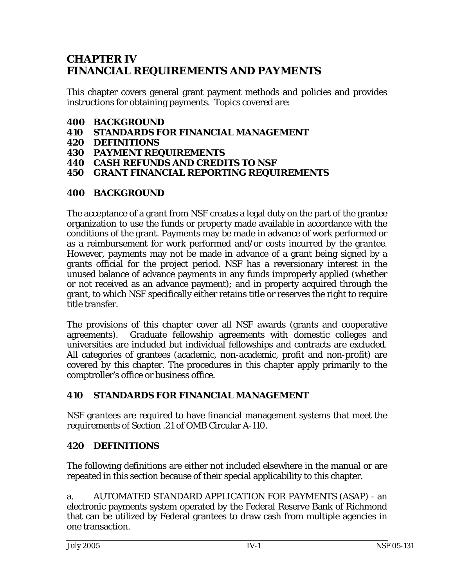# **CHAPTER IV FINANCIAL REQUIREMENTS AND PAYMENTS**

This chapter covers general grant payment methods and policies and provides instructions for obtaining payments. Topics covered are:

- **400 BACKGROUND**
- **410 STANDARDS FOR FINANCIAL MANAGEMENT**
- **420 DEFINITIONS**
- **430 PAYMENT REQUIREMENTS**
- **440 CASH REFUNDS AND CREDITS TO NSF**
- **450 GRANT FINANCIAL REPORTING REQUIREMENTS**

### **400 BACKGROUND**

The acceptance of a grant from NSF creates a legal duty on the part of the grantee organization to use the funds or property made available in accordance with the conditions of the grant. Payments may be made in advance of work performed or as a reimbursement for work performed and/or costs incurred by the grantee. However, payments may not be made in advance of a grant being signed by a grants official for the project period. NSF has a reversionary interest in the unused balance of advance payments in any funds improperly applied (whether or not received as an advance payment); and in property acquired through the grant, to which NSF specifically either retains title or reserves the right to require title transfer.

The provisions of this chapter cover all NSF awards (grants and cooperative agreements). Graduate fellowship agreements with domestic colleges and universities are included but individual fellowships and contracts are excluded. All categories of grantees (academic, non-academic, profit and non-profit) are covered by this chapter. The procedures in this chapter apply primarily to the comptroller's office or business office.

## **410 STANDARDS FOR FINANCIAL MANAGEMENT**

NSF grantees are required to have financial management systems that meet the requirements of Section .21 of OMB Circular A-110.

### **420 DEFINITIONS**

The following definitions are either not included elsewhere in the manual or are repeated in this section because of their special applicability to this chapter.

a. AUTOMATED STANDARD APPLICATION FOR PAYMENTS (ASAP) - an electronic payments system operated by the Federal Reserve Bank of Richmond that can be utilized by Federal grantees to draw cash from multiple agencies in one transaction.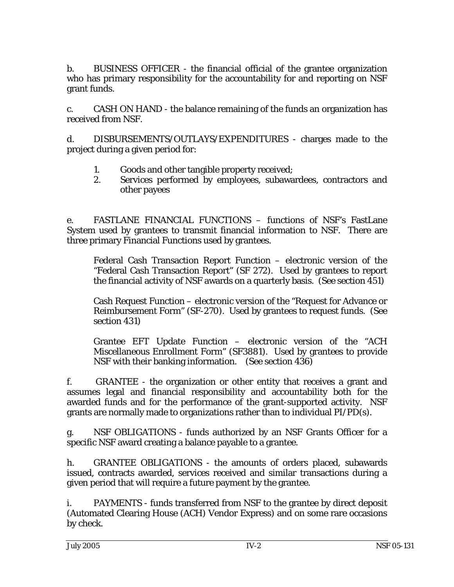b. BUSINESS OFFICER - the financial official of the grantee organization who has primary responsibility for the accountability for and reporting on NSF grant funds.

c. CASH ON HAND - the balance remaining of the funds an organization has received from NSF.

d. DISBURSEMENTS/OUTLAYS/EXPENDITURES - charges made to the project during a given period for:

- 1. Goods and other tangible property received;
- 2. Services performed by employees, subawardees, contractors and other payees

e. FASTLANE FINANCIAL FUNCTIONS – functions of NSF's FastLane System used by grantees to transmit financial information to NSF. There are three primary Financial Functions used by grantees.

Federal Cash Transaction Report Function – electronic version of the "Federal Cash Transaction Report" (SF 272). Used by grantees to report the financial activity of NSF awards on a quarterly basis. (See section 451)

Cash Request Function – electronic version of the "Request for Advance or Reimbursement Form" (SF-270). Used by grantees to request funds. (See section 431)

Grantee EFT Update Function – electronic version of the "ACH Miscellaneous Enrollment Form" (SF3881). Used by grantees to provide NSF with their banking information. (See section 436)

f. GRANTEE - the organization or other entity that receives a grant and assumes legal and financial responsibility and accountability both for the awarded funds and for the performance of the grant-supported activity. NSF grants are normally made to organizations rather than to individual PI/PD(s).

g. NSF OBLIGATIONS - funds authorized by an NSF Grants Officer for a specific NSF award creating a balance payable to a grantee.

h. GRANTEE OBLIGATIONS - the amounts of orders placed, subawards issued, contracts awarded, services received and similar transactions during a given period that will require a future payment by the grantee.

i. PAYMENTS - funds transferred from NSF to the grantee by direct deposit (Automated Clearing House (ACH) Vendor Express) and on some rare occasions by check.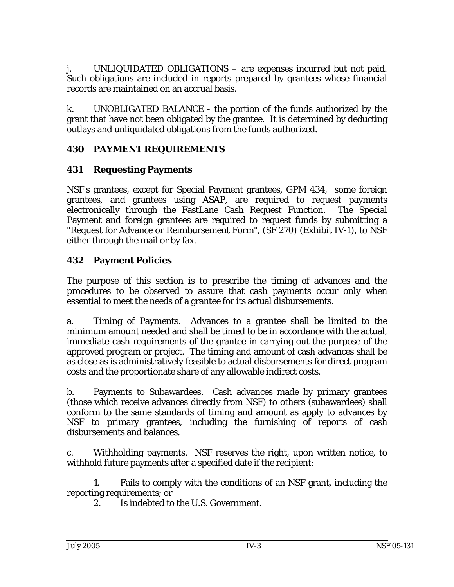j. UNLIQUIDATED OBLIGATIONS – are expenses incurred but not paid. Such obligations are included in reports prepared by grantees whose financial records are maintained on an accrual basis.

k. UNOBLIGATED BALANCE - the portion of the funds authorized by the grant that have not been obligated by the grantee. It is determined by deducting outlays and unliquidated obligations from the funds authorized.

## **430 PAYMENT REQUIREMENTS**

## **431 Requesting Payments**

NSF's grantees, except for Special Payment grantees, GPM 434, some foreign grantees, and grantees using ASAP, are required to request payments electronically through the FastLane Cash Request Function. The Special Payment and foreign grantees are required to request funds by submitting a "Request for Advance or Reimbursement Form", (SF 270) (Exhibit IV-1), to NSF either through the mail or by fax.

## **432 Payment Policies**

The purpose of this section is to prescribe the timing of advances and the procedures to be observed to assure that cash payments occur only when essential to meet the needs of a grantee for its actual disbursements.

a. Timing of Payments. Advances to a grantee shall be limited to the minimum amount needed and shall be timed to be in accordance with the actual, immediate cash requirements of the grantee in carrying out the purpose of the approved program or project. The timing and amount of cash advances shall be as close as is administratively feasible to actual disbursements for direct program costs and the proportionate share of any allowable indirect costs.

b. Payments to Subawardees. Cash advances made by primary grantees (those which receive advances directly from NSF) to others (subawardees) shall conform to the same standards of timing and amount as apply to advances by NSF to primary grantees, including the furnishing of reports of cash disbursements and balances.

c. Withholding payments. NSF reserves the right, upon written notice, to withhold future payments after a specified date if the recipient:

1. Fails to comply with the conditions of an NSF grant, including the reporting requirements; or

2. Is indebted to the U.S. Government.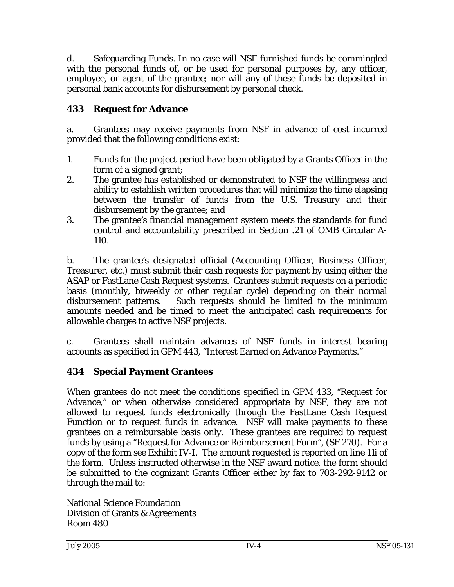d. Safeguarding Funds. In no case will NSF-furnished funds be commingled with the personal funds of, or be used for personal purposes by, any officer, employee, or agent of the grantee; nor will any of these funds be deposited in personal bank accounts for disbursement by personal check.

## **433 Request for Advance**

a. Grantees may receive payments from NSF in advance of cost incurred provided that the following conditions exist:

- 1. Funds for the project period have been obligated by a Grants Officer in the form of a signed grant;
- 2. The grantee has established or demonstrated to NSF the willingness and ability to establish written procedures that will minimize the time elapsing between the transfer of funds from the U.S. Treasury and their disbursement by the grantee; and
- 3. The grantee's financial management system meets the standards for fund control and accountability prescribed in Section .21 of OMB Circular A-110.

b. The grantee's designated official (Accounting Officer, Business Officer, Treasurer, etc.) must submit their cash requests for payment by using either the ASAP or FastLane Cash Request systems. Grantees submit requests on a periodic basis (monthly, biweekly or other regular cycle) depending on their normal disbursement patterns. Such requests should be limited to the minimum amounts needed and be timed to meet the anticipated cash requirements for allowable charges to active NSF projects.

c. Grantees shall maintain advances of NSF funds in interest bearing accounts as specified in GPM 443, "Interest Earned on Advance Payments."

## **434 Special Payment Grantees**

When grantees do not meet the conditions specified in GPM 433, "Request for Advance," or when otherwise considered appropriate by NSF, they are not allowed to request funds electronically through the FastLane Cash Request Function or to request funds in advance. NSF will make payments to these grantees on a reimbursable basis only. These grantees are required to request funds by using a "Request for Advance or Reimbursement Form", (SF 270). For a copy of the form see Exhibit IV-I. The amount requested is reported on line 11i of the form. Unless instructed otherwise in the NSF award notice, the form should be submitted to the cognizant Grants Officer either by fax to 703-292-9142 or through the mail to:

National Science Foundation Division of Grants & Agreements Room 480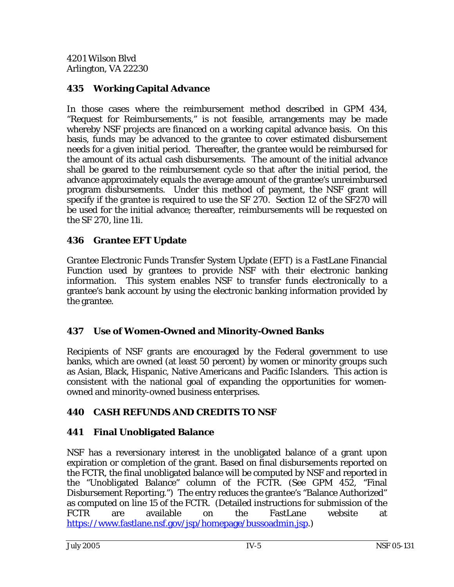4201 Wilson Blvd Arlington, VA 22230

## **435 Working Capital Advance**

In those cases where the reimbursement method described in GPM 434, "Request for Reimbursements," is not feasible, arrangements may be made whereby NSF projects are financed on a working capital advance basis. On this basis, funds may be advanced to the grantee to cover estimated disbursement needs for a given initial period. Thereafter, the grantee would be reimbursed for the amount of its actual cash disbursements. The amount of the initial advance shall be geared to the reimbursement cycle so that after the initial period, the advance approximately equals the average amount of the grantee's unreimbursed program disbursements. Under this method of payment, the NSF grant will specify if the grantee is required to use the SF 270. Section 12 of the SF270 will be used for the initial advance; thereafter, reimbursements will be requested on the SF 270, line 11i.

## **436 Grantee EFT Update**

Grantee Electronic Funds Transfer System Update (EFT) is a FastLane Financial Function used by grantees to provide NSF with their electronic banking information. This system enables NSF to transfer funds electronically to a grantee's bank account by using the electronic banking information provided by the grantee.

## **437 Use of Women-Owned and Minority-Owned Banks**

Recipients of NSF grants are encouraged by the Federal government to use banks, which are owned (at least 50 percent) by women or minority groups such as Asian, Black, Hispanic, Native Americans and Pacific Islanders. This action is consistent with the national goal of expanding the opportunities for womenowned and minority-owned business enterprises.

## **440 CASH REFUNDS AND CREDITS TO NSF**

## **441 Final Unobligated Balance**

NSF has a reversionary interest in the unobligated balance of a grant upon expiration or completion of the grant. Based on final disbursements reported on the FCTR, the final unobligated balance will be computed by NSF and reported in the "Unobligated Balance" column of the FCTR. (See GPM 452, "Final Disbursement Reporting.") The entry reduces the grantee's "Balance Authorized" as computed on line 15 of the FCTR. (Detailed instructions for submission of the FCTR are available on the FastLane website at <https://www.fastlane.nsf.gov/jsp/homepage/bussoadmin.jsp>.)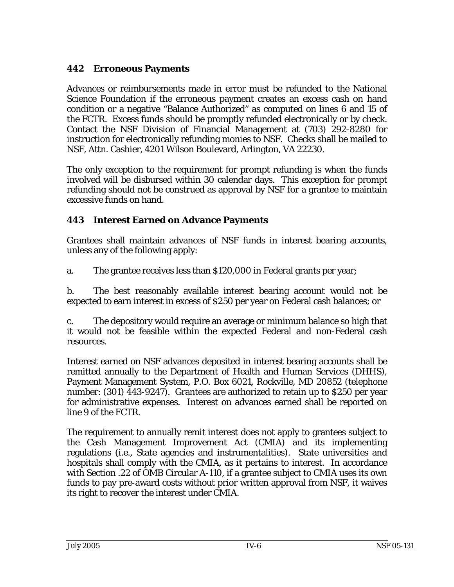## **442 Erroneous Payments**

Advances or reimbursements made in error must be refunded to the National Science Foundation if the erroneous payment creates an excess cash on hand condition or a negative "Balance Authorized" as computed on lines 6 and 15 of the FCTR. Excess funds should be promptly refunded electronically or by check. Contact the NSF Division of Financial Management at (703) 292-8280 for instruction for electronically refunding monies to NSF. Checks shall be mailed to NSF, Attn. Cashier, 4201 Wilson Boulevard, Arlington, VA 22230.

The only exception to the requirement for prompt refunding is when the funds involved will be disbursed within 30 calendar days. This exception for prompt refunding should not be construed as approval by NSF for a grantee to maintain excessive funds on hand.

## **443 Interest Earned on Advance Payments**

Grantees shall maintain advances of NSF funds in interest bearing accounts, unless any of the following apply:

a. The grantee receives less than \$120,000 in Federal grants per year;

b. The best reasonably available interest bearing account would not be expected to earn interest in excess of \$250 per year on Federal cash balances; or

c. The depository would require an average or minimum balance so high that it would not be feasible within the expected Federal and non-Federal cash resources.

Interest earned on NSF advances deposited in interest bearing accounts shall be remitted annually to the Department of Health and Human Services (DHHS), Payment Management System, P.O. Box 6021, Rockville, MD 20852 (telephone number: (301) 443-9247). Grantees are authorized to retain up to \$250 per year for administrative expenses. Interest on advances earned shall be reported on line 9 of the FCTR.

The requirement to annually remit interest does not apply to grantees subject to the Cash Management Improvement Act (CMIA) and its implementing regulations (i.e., State agencies and instrumentalities). State universities and hospitals shall comply with the CMIA, as it pertains to interest. In accordance with Section .22 of OMB Circular A-110, if a grantee subject to CMIA uses its own funds to pay pre-award costs without prior written approval from NSF, it waives its right to recover the interest under CMIA.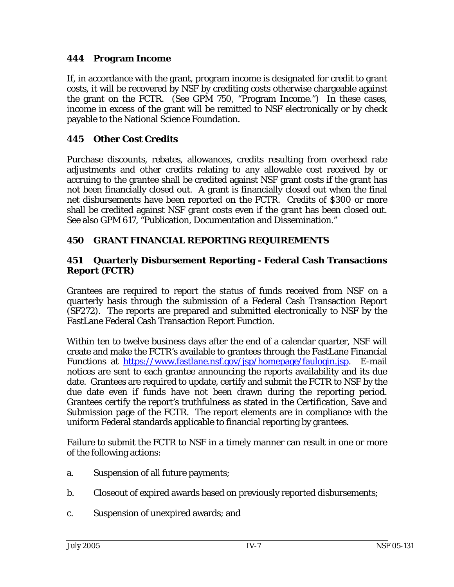### **444 Program Income**

If, in accordance with the grant, program income is designated for credit to grant costs, it will be recovered by NSF by crediting costs otherwise chargeable against the grant on the FCTR. (See GPM 750, "Program Income.") In these cases, income in excess of the grant will be remitted to NSF electronically or by check payable to the National Science Foundation.

## **445 Other Cost Credits**

Purchase discounts, rebates, allowances, credits resulting from overhead rate adjustments and other credits relating to any allowable cost received by or accruing to the grantee shall be credited against NSF grant costs if the grant has not been financially closed out. A grant is financially closed out when the final net disbursements have been reported on the FCTR. Credits of \$300 or more shall be credited against NSF grant costs even if the grant has been closed out. See also GPM 617, "Publication, Documentation and Dissemination."

## **450 GRANT FINANCIAL REPORTING REQUIREMENTS**

#### **451 Quarterly Disbursement Reporting - Federal Cash Transactions Report (FCTR)**

Grantees are required to report the status of funds received from NSF on a quarterly basis through the submission of a Federal Cash Transaction Report (SF272). The reports are prepared and submitted electronically to NSF by the FastLane Federal Cash Transaction Report Function.

Within ten to twelve business days after the end of a calendar quarter, NSF will create and make the FCTR's available to grantees through the FastLane Financial Functions at [https://www.fastlane.nsf.gov/jsp/homepage/faulogin.jsp.](https://www.fastlane.nsf.gov/jsp/homepage/faulogin.jsp) E-mail notices are sent to each grantee announcing the reports availability and its due date. Grantees are required to update, certify and submit the FCTR to NSF by the due date even if funds have not been drawn during the reporting period. Grantees certify the report's truthfulness as stated in the Certification, Save and Submission page of the FCTR. The report elements are in compliance with the uniform Federal standards applicable to financial reporting by grantees.

Failure to submit the FCTR to NSF in a timely manner can result in one or more of the following actions:

- a. Suspension of all future payments;
- b. Closeout of expired awards based on previously reported disbursements;
- c. Suspension of unexpired awards; and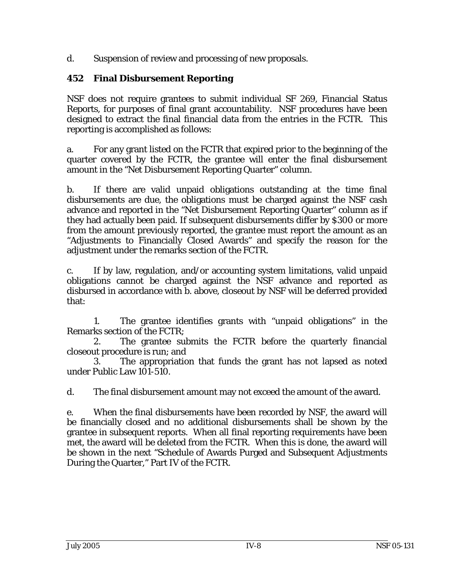d. Suspension of review and processing of new proposals.

## **452 Final Disbursement Reporting**

NSF does not require grantees to submit individual SF 269, Financial Status Reports, for purposes of final grant accountability. NSF procedures have been designed to extract the final financial data from the entries in the FCTR. This reporting is accomplished as follows:

a. For any grant listed on the FCTR that expired prior to the beginning of the quarter covered by the FCTR, the grantee will enter the final disbursement amount in the "Net Disbursement Reporting Quarter" column.

b. If there are valid unpaid obligations outstanding at the time final disbursements are due, the obligations must be charged against the NSF cash advance and reported in the "Net Disbursement Reporting Quarter" column as if they had actually been paid. If subsequent disbursements differ by \$300 or more from the amount previously reported, the grantee must report the amount as an "Adjustments to Financially Closed Awards" and specify the reason for the adjustment under the remarks section of the FCTR.

c. If by law, regulation, and/or accounting system limitations, valid unpaid obligations cannot be charged against the NSF advance and reported as disbursed in accordance with b. above, closeout by NSF will be deferred provided that:

1. The grantee identifies grants with "unpaid obligations" in the Remarks section of the FCTR;

2. The grantee submits the FCTR before the quarterly financial closeout procedure is run; and

3. The appropriation that funds the grant has not lapsed as noted under Public Law 101-510.

d. The final disbursement amount may not exceed the amount of the award.

e. When the final disbursements have been recorded by NSF, the award will be financially closed and no additional disbursements shall be shown by the grantee in subsequent reports. When all final reporting requirements have been met, the award will be deleted from the FCTR. When this is done, the award will be shown in the next "Schedule of Awards Purged and Subsequent Adjustments During the Quarter," Part IV of the FCTR.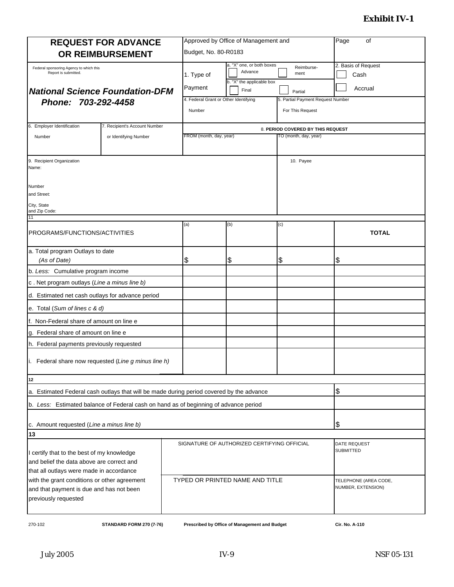### **Exhibit IV-1**

|                                                                                                                                                                                                                                                         | <b>REQUEST FOR ADVANCE</b><br>OR REIMBURSEMENT |                                                 | Budget, No. 80-R0183            | Approved by Office of Management and                              |                                         | Page<br>οf                                  |
|---------------------------------------------------------------------------------------------------------------------------------------------------------------------------------------------------------------------------------------------------------|------------------------------------------------|-------------------------------------------------|---------------------------------|-------------------------------------------------------------------|-----------------------------------------|---------------------------------------------|
| Federal sponsoring Agency to which this<br>Report is submitted.                                                                                                                                                                                         |                                                |                                                 | 1. Type of                      | a. "X" one, or both boxes<br>Advance<br>b. "X" the applicable box | Reimburse-<br>ment                      | 2. Basis of Request<br>Cash                 |
| <b>National Science Foundation-DFM</b>                                                                                                                                                                                                                  |                                                |                                                 | Payment                         | Final                                                             | Partial                                 | Accrual                                     |
| Phone: 703-292-4458                                                                                                                                                                                                                                     |                                                | 4. Federal Grant or Other Identifying<br>Number |                                 | 5. Partial Payment Request Number<br>For This Request             |                                         |                                             |
| 6. Employer Identification                                                                                                                                                                                                                              | 7. Recipient's Account Number                  |                                                 |                                 |                                                                   | 8. PERIOD COVERED BY THIS REQUEST       |                                             |
| Number                                                                                                                                                                                                                                                  | or Identifying Number                          |                                                 | FROM (month, day, year)         |                                                                   | TO (month, day, year)                   |                                             |
| 9. Recipient Organization<br>Name:                                                                                                                                                                                                                      |                                                |                                                 |                                 |                                                                   | 10. Payee                               |                                             |
| Number<br>and Street:<br>City, State                                                                                                                                                                                                                    |                                                |                                                 |                                 |                                                                   |                                         |                                             |
| and Zip Code:<br>11                                                                                                                                                                                                                                     |                                                |                                                 |                                 |                                                                   |                                         |                                             |
| PROGRAMS/FUNCTIONS/ACTIVITIES                                                                                                                                                                                                                           |                                                |                                                 | (a)                             | (b)                                                               | (c)                                     | <b>TOTAL</b>                                |
| a. Total program Outlays to date<br>(As of Date)                                                                                                                                                                                                        |                                                |                                                 | \$                              | \$                                                                | \$                                      | \$                                          |
| b. Less: Cumulative program income                                                                                                                                                                                                                      |                                                |                                                 |                                 |                                                                   |                                         |                                             |
| c. Net program outlays (Line a minus line b)                                                                                                                                                                                                            |                                                |                                                 |                                 |                                                                   |                                         |                                             |
| d. Estimated net cash outlays for advance period                                                                                                                                                                                                        |                                                |                                                 |                                 |                                                                   |                                         |                                             |
| e. Total (Sum of lines c & d)                                                                                                                                                                                                                           |                                                |                                                 |                                 |                                                                   |                                         |                                             |
| f. Non-Federal share of amount on line e                                                                                                                                                                                                                |                                                |                                                 |                                 |                                                                   |                                         |                                             |
| g. Federal share of amount on line e                                                                                                                                                                                                                    |                                                |                                                 |                                 |                                                                   |                                         |                                             |
| h. Federal payments previously requested                                                                                                                                                                                                                |                                                |                                                 |                                 |                                                                   |                                         |                                             |
| i. Federal share now requested (Line g minus line h)                                                                                                                                                                                                    |                                                |                                                 |                                 |                                                                   |                                         |                                             |
| 12                                                                                                                                                                                                                                                      |                                                |                                                 |                                 |                                                                   |                                         |                                             |
| a. Estimated Federal cash outlays that will be made during period covered by the advance                                                                                                                                                                |                                                |                                                 |                                 |                                                                   | \$                                      |                                             |
| b. Less: Estimated balance of Federal cash on hand as of beginning of advance period                                                                                                                                                                    |                                                |                                                 |                                 |                                                                   |                                         |                                             |
| c. Amount requested (Line a minus line b)                                                                                                                                                                                                               |                                                |                                                 |                                 |                                                                   |                                         | \$                                          |
| 13                                                                                                                                                                                                                                                      |                                                |                                                 |                                 |                                                                   |                                         |                                             |
| I certify that to the best of my knowledge<br>and belief the data above are correct and<br>that all outlays were made in accordance<br>with the grant conditions or other agreement<br>and that payment is due and has not been<br>previously requested |                                                | SIGNATURE OF AUTHORIZED CERTIFYING OFFICIAL     |                                 |                                                                   | <b>DATE REQUEST</b><br><b>SUBMITTED</b> |                                             |
|                                                                                                                                                                                                                                                         |                                                |                                                 | TYPED OR PRINTED NAME AND TITLE |                                                                   |                                         | TELEPHONE (AREA CODE,<br>NUMBER, EXTENSION) |

270-102 **STANDARD FORM 270 (7-76) Prescribed by Office of Management and Budget Cir. No. A-110**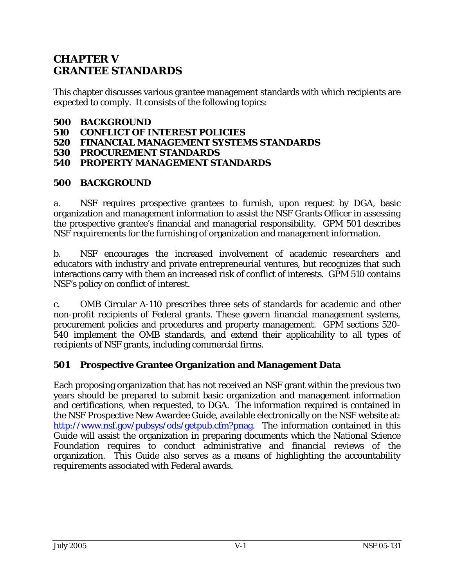# **CHAPTER V GRANTEE STANDARDS**

This chapter discusses various grantee management standards with which recipients are expected to comply. It consists of the following topics:

#### **500 BACKGROUND**

- **510 CONFLICT OF INTEREST POLICIES**
- **520 FINANCIAL MANAGEMENT SYSTEMS STANDARDS**
- **530 PROCUREMENT STANDARDS**

#### **540 PROPERTY MANAGEMENT STANDARDS**

#### **500 BACKGROUND**

a. NSF requires prospective grantees to furnish, upon request by DGA, basic organization and management information to assist the NSF Grants Officer in assessing the prospective grantee's financial and managerial responsibility. GPM 501 describes NSF requirements for the furnishing of organization and management information.

b. NSF encourages the increased involvement of academic researchers and educators with industry and private entrepreneurial ventures, but recognizes that such interactions carry with them an increased risk of conflict of interests. GPM 510 contains NSF's policy on conflict of interest.

c. OMB Circular A-110 prescribes three sets of standards for academic and other non-profit recipients of Federal grants. These govern financial management systems, procurement policies and procedures and property management. GPM sections 520- 540 implement the OMB standards, and extend their applicability to all types of recipients of NSF grants, including commercial firms.

### **501 Prospective Grantee Organization and Management Data**

Each proposing organization that has not received an NSF grant within the previous two years should be prepared to submit basic organization and management information and certifications, when requested, to DGA. The information required is contained in the NSF Prospective New Awardee Guide, available electronically on the NSF website at: [http://www.nsf.gov/pubsys/ods/getpub.cfm?pnag.](http://www.nsf.gov/pubsys/ods/getpub.cfm?pnag) The information contained in this Guide will assist the organization in preparing documents which the National Science Foundation requires to conduct administrative and financial reviews of the organization. This Guide also serves as a means of highlighting the accountability requirements associated with Federal awards.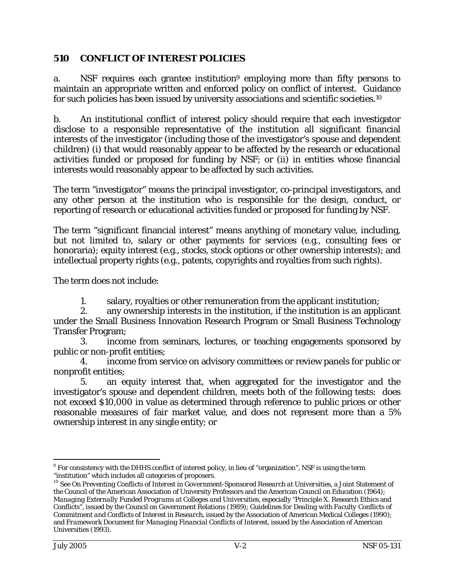#### **510 CONFLICT OF INTEREST POLICIES**

a. NSF requires each grantee institution<sup>9</sup> employing more than fifty persons to maintain an appropriate written and enforced policy on conflict of interest. Guidance for such policies has been issued by university associations and scientific societies.10

b. An institutional conflict of interest policy should require that each investigator disclose to a responsible representative of the institution all significant financial interests of the investigator (including those of the investigator's spouse and dependent children) (i) that would reasonably appear to be affected by the research or educational activities funded or proposed for funding by NSF; or (ii) in entities whose financial interests would reasonably appear to be affected by such activities.

The term "investigator" means the principal investigator, co-principal investigators, and any other person at the institution who is responsible for the design, conduct, or reporting of research or educational activities funded or proposed for funding by NSF.

The term "significant financial interest" means anything of monetary value, including, but not limited to, salary or other payments for services (e.g., consulting fees or honoraria); equity interest (e.g., stocks, stock options or other ownership interests); and intellectual property rights (e.g., patents, copyrights and royalties from such rights).

The term does not include:

1. salary, royalties or other remuneration from the applicant institution;

 2. any ownership interests in the institution, if the institution is an applicant under the Small Business Innovation Research Program or Small Business Technology Transfer Program;

 3. income from seminars, lectures, or teaching engagements sponsored by public or non-profit entities;

 4. income from service on advisory committees or review panels for public or nonprofit entities;

 5. an equity interest that, when aggregated for the investigator and the investigator's spouse and dependent children, meets both of the following tests: does not exceed \$10,000 in value as determined through reference to public prices or other reasonable measures of fair market value, and does not represent more than a 5% ownership interest in any single entity; or

 $\overline{a}$  $9$  For consistency with the DHHS conflict of interest policy, in lieu of "organization", NSF is using the term "institution" which includes all categories of proposers.

<sup>&</sup>lt;sup>10</sup> See *On Preventing Conflicts of Interest in Government-Sponsored Research at Universities*, a Joint Statement of the Council of the American Association of University Professors and the American Council on Education (1964); *Managing Externally Funded Programs at Colleges and Universities*, especially "Principle X. Research Ethics and Conflicts", issued by the Council on Government Relations (1989); *Guidelines for Dealing with Faculty Conflicts of Commitment and Conflicts of Interest in Research*, issued by the Association of American Medical Colleges (1990); and *Framework Document for Managing Financial Conflicts of Interest*, issued by the Association of American Universities (1993).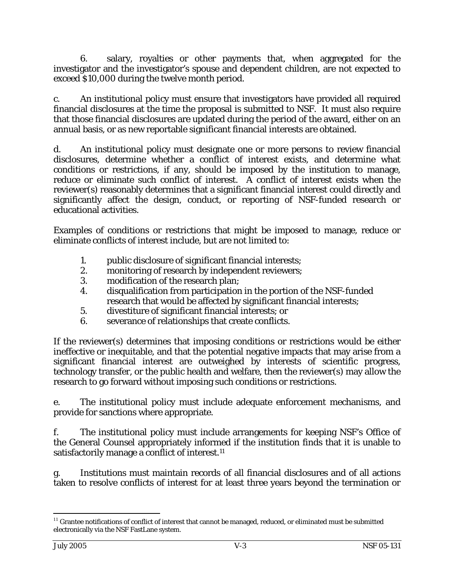6. salary, royalties or other payments that, when aggregated for the investigator and the investigator's spouse and dependent children, are not expected to exceed \$10,000 during the twelve month period.

c. An institutional policy must ensure that investigators have provided all required financial disclosures at the time the proposal is submitted to NSF. It must also require that those financial disclosures are updated during the period of the award, either on an annual basis, or as new reportable significant financial interests are obtained.

d. An institutional policy must designate one or more persons to review financial disclosures, determine whether a conflict of interest exists, and determine what conditions or restrictions, if any, should be imposed by the institution to manage, reduce or eliminate such conflict of interest. A conflict of interest exists when the reviewer(s) reasonably determines that a significant financial interest could directly and significantly affect the design, conduct, or reporting of NSF-funded research or educational activities.

Examples of conditions or restrictions that might be imposed to manage, reduce or eliminate conflicts of interest include, but are not limited to:

- 1. public disclosure of significant financial interests;
- 2. monitoring of research by independent reviewers;
- 3. modification of the research plan;
- 4. disqualification from participation in the portion of the NSF-funded research that would be affected by significant financial interests;
- 5. divestiture of significant financial interests; or
- 6. severance of relationships that create conflicts.

If the reviewer(s) determines that imposing conditions or restrictions would be either ineffective or inequitable, and that the potential negative impacts that may arise from a significant financial interest are outweighed by interests of scientific progress, technology transfer, or the public health and welfare, then the reviewer(s) may allow the research to go forward without imposing such conditions or restrictions.

e. The institutional policy must include adequate enforcement mechanisms, and provide for sanctions where appropriate.

f. The institutional policy must include arrangements for keeping NSF's Office of the General Counsel appropriately informed if the institution finds that it is unable to satisfactorily manage a conflict of interest.<sup>11</sup>

g. Institutions must maintain records of all financial disclosures and of all actions taken to resolve conflicts of interest for at least three years beyond the termination or

<sup>1</sup>  $^\mathrm{11}$  Grantee notifications of conflict of interest that cannot be managed, reduced, or eliminated must be submitted electronically via the NSF FastLane system.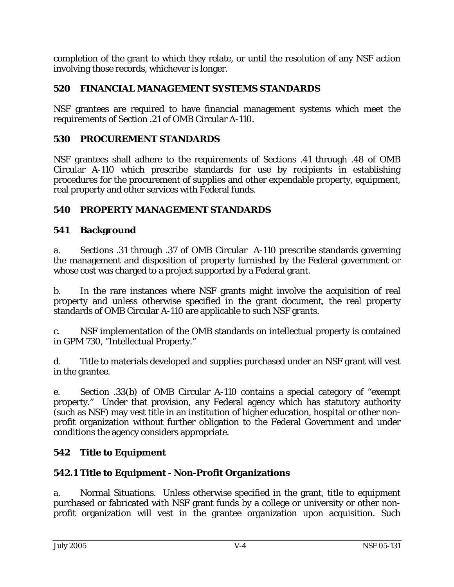completion of the grant to which they relate, or until the resolution of any NSF action involving those records, whichever is longer.

## **520 FINANCIAL MANAGEMENT SYSTEMS STANDARDS**

NSF grantees are required to have financial management systems which meet the requirements of Section .21 of OMB Circular A-110.

### **530 PROCUREMENT STANDARDS**

NSF grantees shall adhere to the requirements of Sections .41 through .48 of OMB Circular A-110 which prescribe standards for use by recipients in establishing procedures for the procurement of supplies and other expendable property, equipment, real property and other services with Federal funds.

## **540 PROPERTY MANAGEMENT STANDARDS**

## **541 Background**

a. Sections .31 through .37 of OMB Circular A-110 prescribe standards governing the management and disposition of property furnished by the Federal government or whose cost was charged to a project supported by a Federal grant.

b. In the rare instances where NSF grants might involve the acquisition of real property and unless otherwise specified in the grant document, the real property standards of OMB Circular A-110 are applicable to such NSF grants.

c. NSF implementation of the OMB standards on intellectual property is contained in GPM 730, "Intellectual Property."

d. Title to materials developed and supplies purchased under an NSF grant will vest in the grantee.

e. Section .33(b) of OMB Circular A-110 contains a special category of "exempt property." Under that provision, any Federal agency which has statutory authority (such as NSF) may vest title in an institution of higher education, hospital or other nonprofit organization without further obligation to the Federal Government and under conditions the agency considers appropriate.

### **542 Title to Equipment**

## **542.1 Title to Equipment - Non-Profit Organizations**

a. Normal Situations. Unless otherwise specified in the grant, title to equipment purchased or fabricated with NSF grant funds by a college or university or other nonprofit organization will vest in the grantee organization upon acquisition. Such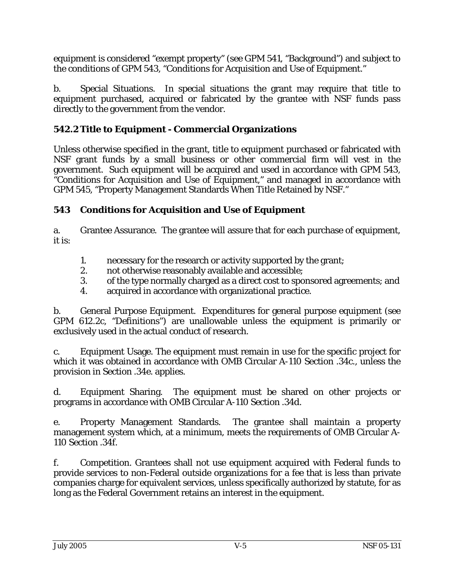equipment is considered "exempt property" (see GPM 541, "Background") and subject to the conditions of GPM 543, "Conditions for Acquisition and Use of Equipment."

b. Special Situations. In special situations the grant may require that title to equipment purchased, acquired or fabricated by the grantee with NSF funds pass directly to the government from the vendor.

## **542.2 Title to Equipment - Commercial Organizations**

Unless otherwise specified in the grant, title to equipment purchased or fabricated with NSF grant funds by a small business or other commercial firm will vest in the government. Such equipment will be acquired and used in accordance with GPM 543, "Conditions for Acquisition and Use of Equipment," and managed in accordance with GPM 545, "Property Management Standards When Title Retained by NSF."

## **543 Conditions for Acquisition and Use of Equipment**

a. Grantee Assurance. The grantee will assure that for each purchase of equipment, it is:

- 1. necessary for the research or activity supported by the grant;
- 2. not otherwise reasonably available and accessible;
- 3. of the type normally charged as a direct cost to sponsored agreements; and
- 4. acquired in accordance with organizational practice.

b. General Purpose Equipment. Expenditures for general purpose equipment (see GPM 612.2c, "Definitions") are unallowable unless the equipment is primarily or exclusively used in the actual conduct of research.

c. Equipment Usage. The equipment must remain in use for the specific project for which it was obtained in accordance with OMB Circular A-110 Section .34c., unless the provision in Section .34e. applies.

d. Equipment Sharing. The equipment must be shared on other projects or programs in accordance with OMB Circular A-110 Section .34d.

e. Property Management Standards. The grantee shall maintain a property management system which, at a minimum, meets the requirements of OMB Circular A-110 Section .34f.

f. Competition. Grantees shall not use equipment acquired with Federal funds to provide services to non-Federal outside organizations for a fee that is less than private companies charge for equivalent services, unless specifically authorized by statute, for as long as the Federal Government retains an interest in the equipment.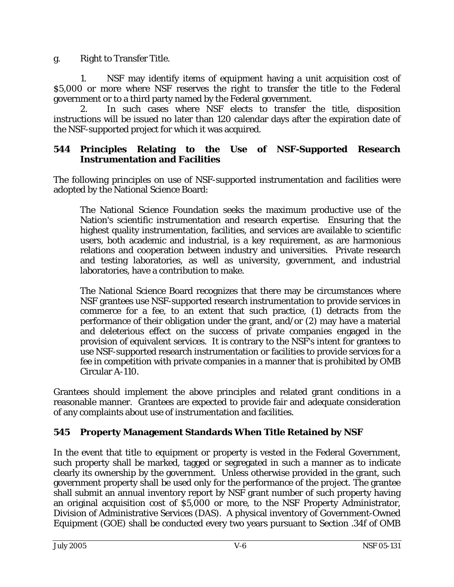g. Right to Transfer Title.

 1. NSF may identify items of equipment having a unit acquisition cost of \$5,000 or more where NSF reserves the right to transfer the title to the Federal government or to a third party named by the Federal government.

 2. In such cases where NSF elects to transfer the title, disposition instructions will be issued no later than 120 calendar days after the expiration date of the NSF-supported project for which it was acquired.

#### **544 Principles Relating to the Use of NSF-Supported Research Instrumentation and Facilities**

The following principles on use of NSF-supported instrumentation and facilities were adopted by the National Science Board:

The National Science Foundation seeks the maximum productive use of the Nation's scientific instrumentation and research expertise. Ensuring that the highest quality instrumentation, facilities, and services are available to scientific users, both academic and industrial, is a key requirement, as are harmonious relations and cooperation between industry and universities. Private research and testing laboratories, as well as university, government, and industrial laboratories, have a contribution to make.

The National Science Board recognizes that there may be circumstances where NSF grantees use NSF-supported research instrumentation to provide services in commerce for a fee, to an extent that such practice, (1) detracts from the performance of their obligation under the grant, and/or (2) may have a material and deleterious effect on the success of private companies engaged in the provision of equivalent services. It is contrary to the NSF's intent for grantees to use NSF-supported research instrumentation or facilities to provide services for a fee in competition with private companies in a manner that is prohibited by OMB Circular A-110.

Grantees should implement the above principles and related grant conditions in a reasonable manner. Grantees are expected to provide fair and adequate consideration of any complaints about use of instrumentation and facilities.

## **545 Property Management Standards When Title Retained by NSF**

In the event that title to equipment or property is vested in the Federal Government, such property shall be marked, tagged or segregated in such a manner as to indicate clearly its ownership by the government. Unless otherwise provided in the grant, such government property shall be used only for the performance of the project. The grantee shall submit an annual inventory report by NSF grant number of such property having an original acquisition cost of \$5,000 or more, to the NSF Property Administrator, Division of Administrative Services (DAS). A physical inventory of Government-Owned Equipment (GOE) shall be conducted every two years pursuant to Section .34f of OMB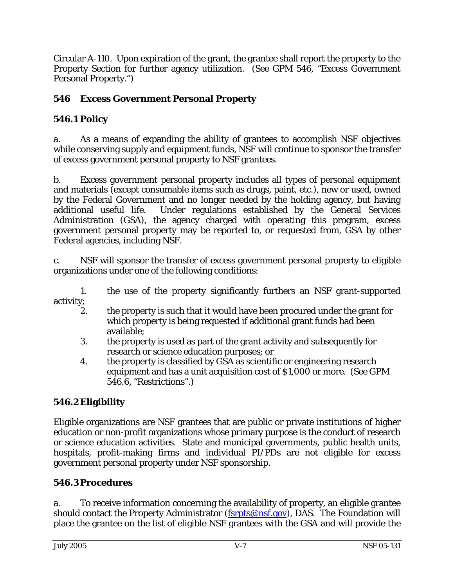Circular A-110. Upon expiration of the grant, the grantee shall report the property to the Property Section for further agency utilization. (See GPM 546, "Excess Government Personal Property.")

## **546 Excess Government Personal Property**

## **546.1 Policy**

a. As a means of expanding the ability of grantees to accomplish NSF objectives while conserving supply and equipment funds, NSF will continue to sponsor the transfer of excess government personal property to NSF grantees.

b. Excess government personal property includes all types of personal equipment and materials (except consumable items such as drugs, paint, etc.), new or used, owned by the Federal Government and no longer needed by the holding agency, but having additional useful life. Under regulations established by the General Services Administration (GSA), the agency charged with operating this program, excess government personal property may be reported to, or requested from, GSA by other Federal agencies, including NSF.

c. NSF will sponsor the transfer of excess government personal property to eligible organizations under one of the following conditions:

 1. the use of the property significantly furthers an NSF grant-supported activity;

- 2. the property is such that it would have been procured under the grant for which property is being requested if additional grant funds had been available;
- 3. the property is used as part of the grant activity and subsequently for research or science education purposes; or
- 4. the property is classified by GSA as scientific or engineering research equipment and has a unit acquisition cost of \$1,000 or more. (See GPM 546.6, "Restrictions".)

# **546.2 Eligibility**

Eligible organizations are NSF grantees that are public or private institutions of higher education or non-profit organizations whose primary purpose is the conduct of research or science education activities. State and municipal governments, public health units, hospitals, profit-making firms and individual PI/PDs are not eligible for excess government personal property under NSF sponsorship.

## **546.3 Procedures**

a. To receive information concerning the availability of property, an eligible grantee should contact the Property Administrator ( $f_{s}$ rpts@nsf.gov), DAS. The Foundation will place the grantee on the list of eligible NSF grantees with the GSA and will provide the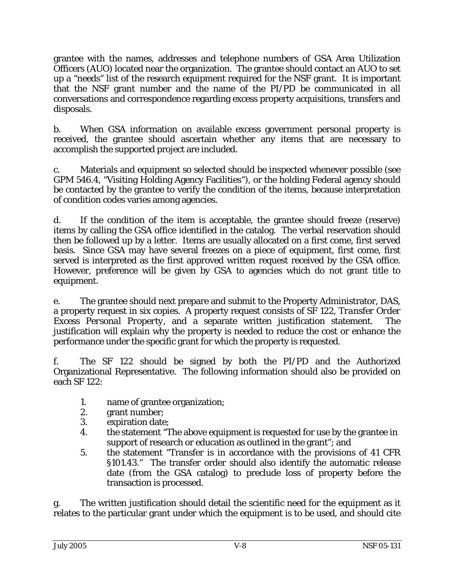grantee with the names, addresses and telephone numbers of GSA Area Utilization Officers (AUO) located near the organization. The grantee should contact an AUO to set up a "needs" list of the research equipment required for the NSF grant. It is important that the NSF grant number and the name of the PI/PD be communicated in all conversations and correspondence regarding excess property acquisitions, transfers and disposals.

b. When GSA information on available excess government personal property is received, the grantee should ascertain whether any items that are necessary to accomplish the supported project are included.

c. Materials and equipment so selected should be inspected whenever possible (see GPM 546.4, "Visiting Holding Agency Facilities"), or the holding Federal agency should be contacted by the grantee to verify the condition of the items, because interpretation of condition codes varies among agencies.

d. If the condition of the item is acceptable, the grantee should freeze (reserve) items by calling the GSA office identified in the catalog. The verbal reservation should then be followed up by a letter. Items are usually allocated on a first come, first served basis. Since GSA may have several freezes on a piece of equipment, first come, first served is interpreted as the first approved written request received by the GSA office. However, preference will be given by GSA to agencies which do not grant title to equipment.

e. The grantee should next prepare and submit to the Property Administrator, DAS, a property request in six copies. A property request consists of SF 122, *Transfer Order Excess Personal Property,* and a separate written justification statement. The justification will explain why the property is needed to reduce the cost or enhance the performance under the specific grant for which the property is requested.

f. The SF 122 should be signed by both the PI/PD and the Authorized Organizational Representative. The following information should also be provided on each SF 122:

- 1. name of grantee organization;
- 2. grant number;
- 3. expiration date;
- 4. the statement "The above equipment is requested for use by the grantee in support of research or education as outlined in the grant"; and
- 5. the statement "Transfer is in accordance with the provisions of 41 CFR §101.43." The transfer order should also identify the automatic release date (from the GSA catalog) to preclude loss of property before the transaction is processed.

g. The written justification should detail the scientific need for the equipment as it relates to the particular grant under which the equipment is to be used, and should cite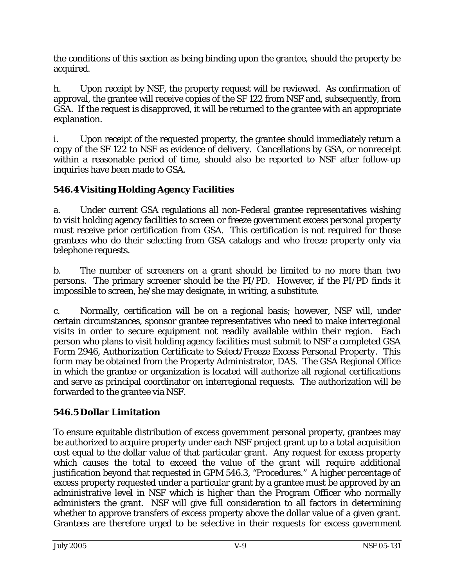the conditions of this section as being binding upon the grantee, should the property be acquired.

h. Upon receipt by NSF, the property request will be reviewed. As confirmation of approval, the grantee will receive copies of the SF 122 from NSF and, subsequently, from GSA. If the request is disapproved, it will be returned to the grantee with an appropriate explanation.

i. Upon receipt of the requested property, the grantee should immediately return a copy of the SF 122 to NSF as evidence of delivery. Cancellations by GSA, or nonreceipt within a reasonable period of time, should also be reported to NSF after follow-up inquiries have been made to GSA.

## **546.4 Visiting Holding Agency Facilities**

a. Under current GSA regulations all non-Federal grantee representatives wishing to visit holding agency facilities to screen or freeze government excess personal property must receive prior certification from GSA. This certification is not required for those grantees who do their selecting from GSA catalogs and who freeze property only via telephone requests.

b. The number of screeners on a grant should be limited to no more than two persons. The primary screener should be the PI/PD. However, if the PI/PD finds it impossible to screen, he/she may designate, in writing, a substitute.

c. Normally, certification will be on a regional basis; however, NSF will, under certain circumstances, sponsor grantee representatives who need to make interregional visits in order to secure equipment not readily available within their region. Each person who plans to visit holding agency facilities must submit to NSF a completed GSA Form 2946, *Authorization Certificate to Select/Freeze Excess Personal Property*. This form may be obtained from the Property Administrator, DAS. The GSA Regional Office in which the grantee or organization is located will authorize all regional certifications and serve as principal coordinator on interregional requests. The authorization will be forwarded to the grantee via NSF.

## **546.5 Dollar Limitation**

To ensure equitable distribution of excess government personal property, grantees may be authorized to acquire property under each NSF project grant up to a total acquisition cost equal to the dollar value of that particular grant. Any request for excess property which causes the total to exceed the value of the grant will require additional justification beyond that requested in GPM 546.3, "Procedures." A higher percentage of excess property requested under a particular grant by a grantee must be approved by an administrative level in NSF which is higher than the Program Officer who normally administers the grant. NSF will give full consideration to all factors in determining whether to approve transfers of excess property above the dollar value of a given grant. Grantees are therefore urged to be selective in their requests for excess government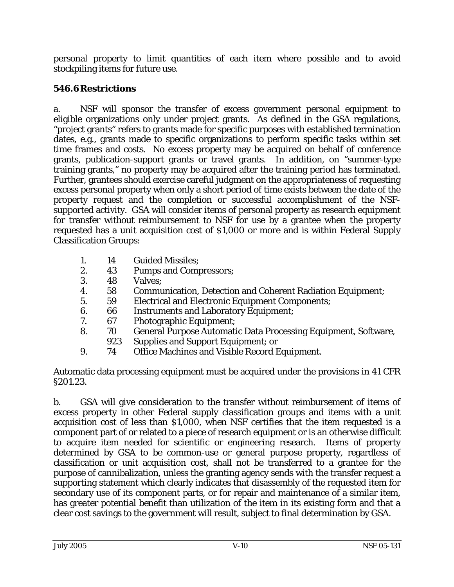personal property to limit quantities of each item where possible and to avoid stockpiling items for future use.

## **546.6 Restrictions**

a. NSF will sponsor the transfer of excess government personal equipment to eligible organizations only under project grants. As defined in the GSA regulations, "project grants" refers to grants made for specific purposes with established termination dates, e.g., grants made to specific organizations to perform specific tasks within set time frames and costs. No excess property may be acquired on behalf of conference grants, publication-support grants or travel grants. In addition, on "summer-type training grants," no property may be acquired after the training period has terminated. Further, grantees should exercise careful judgment on the appropriateness of requesting excess personal property when only a short period of time exists between the date of the property request and the completion or successful accomplishment of the NSFsupported activity. GSA will consider items of personal property as research equipment for transfer without reimbursement to NSF for use by a grantee when the property requested has a unit acquisition cost of \$1,000 or more and is within Federal Supply Classification Groups:

- 1. 14 Guided Missiles;
- 2. 43 Pumps and Compressors;
- 3. 48 Valves;
- 4. 58 Communication, Detection and Coherent Radiation Equipment;
- 5. 59 Electrical and Electronic Equipment Components;
- 6. 66 Instruments and Laboratory Equipment;
- 7. 67 Photographic Equipment;
- 8. 70 General Purpose Automatic Data Processing Equipment, Software, 923 Supplies and Support Equipment; or
- 9. 74 Office Machines and Visible Record Equipment.

Automatic data processing equipment must be acquired under the provisions in 41 CFR §201.23.

b. GSA will give consideration to the transfer without reimbursement of items of excess property in other Federal supply classification groups and items with a unit acquisition cost of less than \$1,000, when NSF certifies that the item requested is a component part of or related to a piece of research equipment or is an otherwise difficult to acquire item needed for scientific or engineering research. Items of property determined by GSA to be common-use or general purpose property, regardless of classification or unit acquisition cost, shall not be transferred to a grantee for the purpose of cannibalization, unless the granting agency sends with the transfer request a supporting statement which clearly indicates that disassembly of the requested item for secondary use of its component parts, or for repair and maintenance of a similar item, has greater potential benefit than utilization of the item in its existing form and that a clear cost savings to the government will result, subject to final determination by GSA.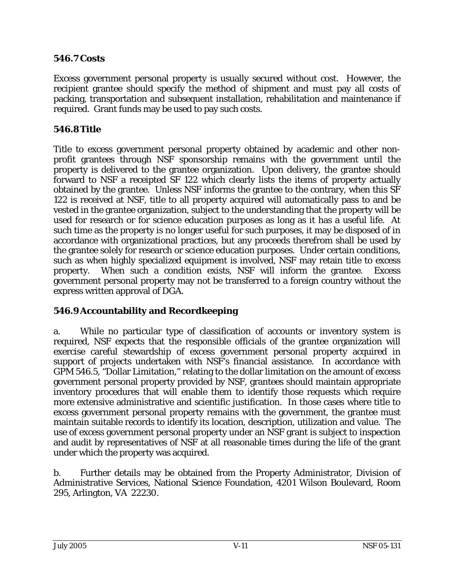### **546.7 Costs**

Excess government personal property is usually secured without cost. However, the recipient grantee should specify the method of shipment and must pay all costs of packing, transportation and subsequent installation, rehabilitation and maintenance if required. Grant funds may be used to pay such costs.

#### **546.8 Title**

Title to excess government personal property obtained by academic and other nonprofit grantees through NSF sponsorship remains with the government until the property is delivered to the grantee organization. Upon delivery, the grantee should forward to NSF a receipted SF 122 which clearly lists the items of property actually obtained by the grantee. Unless NSF informs the grantee to the contrary, when this SF 122 is received at NSF, title to all property acquired will automatically pass to and be vested in the grantee organization, subject to the understanding that the property will be used for research or for science education purposes as long as it has a useful life. At such time as the property is no longer useful for such purposes, it may be disposed of in accordance with organizational practices, but any proceeds therefrom shall be used by the grantee solely for research or science education purposes. Under certain conditions, such as when highly specialized equipment is involved, NSF may retain title to excess property. When such a condition exists, NSF will inform the grantee. Excess government personal property may not be transferred to a foreign country without the express written approval of DGA.

### **546.9 Accountability and Recordkeeping**

a. While no particular type of classification of accounts or inventory system is required, NSF expects that the responsible officials of the grantee organization will exercise careful stewardship of excess government personal property acquired in support of projects undertaken with NSF's financial assistance. In accordance with GPM 546.5, "Dollar Limitation," relating to the dollar limitation on the amount of excess government personal property provided by NSF, grantees should maintain appropriate inventory procedures that will enable them to identify those requests which require more extensive administrative and scientific justification. In those cases where title to excess government personal property remains with the government, the grantee must maintain suitable records to identify its location, description, utilization and value. The use of excess government personal property under an NSF grant is subject to inspection and audit by representatives of NSF at all reasonable times during the life of the grant under which the property was acquired.

b. Further details may be obtained from the Property Administrator, Division of Administrative Services, National Science Foundation, 4201 Wilson Boulevard, Room 295, Arlington, VA 22230.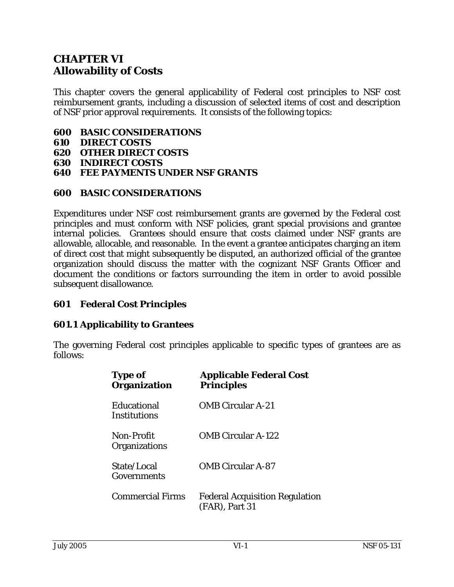## **CHAPTER VI Allowability of Costs**

This chapter covers the general applicability of Federal cost principles to NSF cost reimbursement grants, including a discussion of selected items of cost and description of NSF prior approval requirements. It consists of the following topics:

#### **600 BASIC CONSIDERATIONS**

- **610 DIRECT COSTS**
- **620 OTHER DIRECT COSTS**
- **630 INDIRECT COSTS**
- **640 FEE PAYMENTS UNDER NSF GRANTS**

#### **600 BASIC CONSIDERATIONS**

Expenditures under NSF cost reimbursement grants are governed by the Federal cost principles and must conform with NSF policies, grant special provisions and grantee internal policies. Grantees should ensure that costs claimed under NSF grants are allowable, allocable, and reasonable. In the event a grantee anticipates charging an item of direct cost that might subsequently be disputed, an authorized official of the grantee organization should discuss the matter with the cognizant NSF Grants Officer and document the conditions or factors surrounding the item in order to avoid possible subsequent disallowance.

#### **601 Federal Cost Principles**

#### **601.1 Applicability to Grantees**

The governing Federal cost principles applicable to specific types of grantees are as follows:

| <b>Type of</b><br><b>Organization</b> | <b>Applicable Federal Cost</b><br><b>Principles</b>        |
|---------------------------------------|------------------------------------------------------------|
| Educational<br>Institutions           | <b>OMB Circular A-21</b>                                   |
| Non-Profit<br><b>Organizations</b>    | <b>OMB Circular A-122</b>                                  |
| State/Local<br><b>Governments</b>     | <b>OMB Circular A-87</b>                                   |
| <b>Commercial Firms</b>               | <b>Federal Acquisition Regulation</b><br>$(FAR)$ , Part 31 |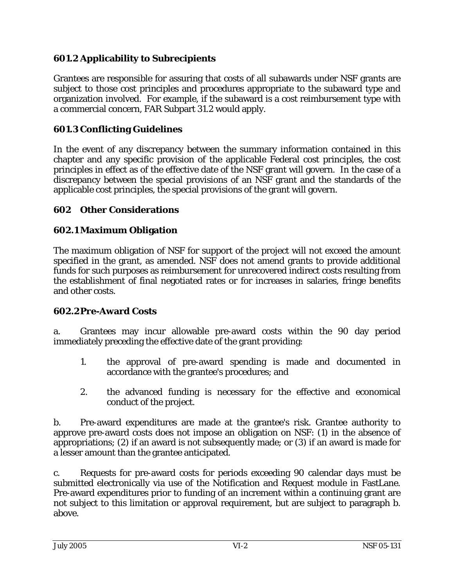## **601.2 Applicability to Subrecipients**

Grantees are responsible for assuring that costs of all subawards under NSF grants are subject to those cost principles and procedures appropriate to the subaward type and organization involved. For example, if the subaward is a cost reimbursement type with a commercial concern, FAR Subpart 31.2 would apply.

## **601.3 Conflicting Guidelines**

In the event of any discrepancy between the summary information contained in this chapter and any specific provision of the applicable Federal cost principles, the cost principles in effect as of the effective date of the NSF grant will govern. In the case of a discrepancy between the special provisions of an NSF grant and the standards of the applicable cost principles, the special provisions of the grant will govern.

## **602 Other Considerations**

## **602.1 Maximum Obligation**

The maximum obligation of NSF for support of the project will not exceed the amount specified in the grant, as amended. NSF does not amend grants to provide additional funds for such purposes as reimbursement for unrecovered indirect costs resulting from the establishment of final negotiated rates or for increases in salaries, fringe benefits and other costs.

### **602.2 Pre-Award Costs**

a. Grantees may incur allowable pre-award costs within the 90 day period immediately preceding the effective date of the grant providing:

- 1. the approval of pre-award spending is made and documented in accordance with the grantee's procedures; and
- 2. the advanced funding is necessary for the effective and economical conduct of the project.

b. Pre-award expenditures are made at the grantee's risk. Grantee authority to approve pre-award costs does not impose an obligation on NSF: (1) in the absence of appropriations; (2) if an award is not subsequently made; or (3) if an award is made for a lesser amount than the grantee anticipated.

c. Requests for pre-award costs for periods exceeding 90 calendar days must be submitted electronically via use of the Notification and Request module in FastLane. Pre-award expenditures prior to funding of an increment within a continuing grant are not subject to this limitation or approval requirement, but are subject to paragraph b. above.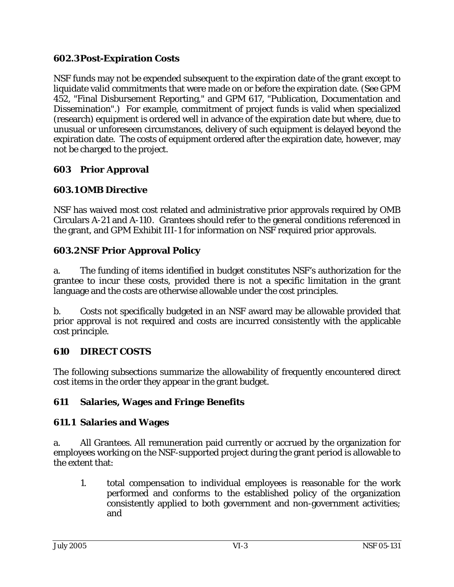### **602.3 Post-Expiration Costs**

NSF funds may not be expended subsequent to the expiration date of the grant except to liquidate valid commitments that were made on or before the expiration date. (See GPM 452, "Final Disbursement Reporting," and GPM 617, "Publication, Documentation and Dissemination".) For example, commitment of project funds is valid when specialized (research) equipment is ordered well in advance of the expiration date but where, due to unusual or unforeseen circumstances, delivery of such equipment is delayed beyond the expiration date. The costs of equipment ordered after the expiration date, however, may not be charged to the project.

## **603 Prior Approval**

## **603.1 OMB Directive**

NSF has waived most cost related and administrative prior approvals required by OMB Circulars A-21 and A-110. Grantees should refer to the general conditions referenced in the grant, and GPM Exhibit III-1 for information on NSF required prior approvals.

### **603.2 NSF Prior Approval Policy**

a. The funding of items identified in budget constitutes NSF's authorization for the grantee to incur these costs, provided there is not a specific limitation in the grant language and the costs are otherwise allowable under the cost principles.

b. Costs not specifically budgeted in an NSF award may be allowable provided that prior approval is not required and costs are incurred consistently with the applicable cost principle.

### **610 DIRECT COSTS**

The following subsections summarize the allowability of frequently encountered direct cost items in the order they appear in the grant budget.

### **611 Salaries, Wages and Fringe Benefits**

### **611.1 Salaries and Wages**

a. All Grantees. All remuneration paid currently or accrued by the organization for employees working on the NSF-supported project during the grant period is allowable to the extent that:

1. total compensation to individual employees is reasonable for the work performed and conforms to the established policy of the organization consistently applied to both government and non-government activities; and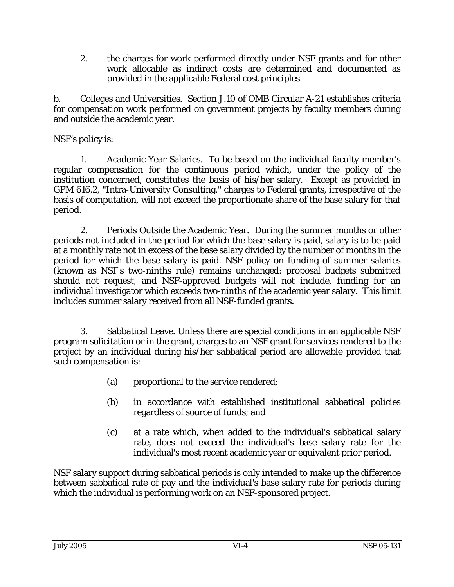2. the charges for work performed directly under NSF grants and for other work allocable as indirect costs are determined and documented as provided in the applicable Federal cost principles.

b. Colleges and Universities. Section J.10 of OMB Circular A-21 establishes criteria for compensation work performed on government projects by faculty members during and outside the academic year.

NSF's policy is:

1. Academic Year Salaries. To be based on the individual faculty member's regular compensation for the continuous period which, under the policy of the institution concerned, constitutes the basis of his/her salary. Except as provided in GPM 616.2, "Intra-University Consulting," charges to Federal grants, irrespective of the basis of computation, will not exceed the proportionate share of the base salary for that period.

2. Periods Outside the Academic Year. During the summer months or other periods not included in the period for which the base salary is paid, salary is to be paid at a monthly rate not in excess of the base salary divided by the number of months in the period for which the base salary is paid. NSF policy on funding of summer salaries (known as NSF's two-ninths rule) remains unchanged: proposal budgets submitted should not request, and NSF-approved budgets will not include, funding for an individual investigator which exceeds two-ninths of the academic year salary. This limit includes summer salary received from all NSF-funded grants.

3. Sabbatical Leave. Unless there are special conditions in an applicable NSF program solicitation or in the grant, charges to an NSF grant for services rendered to the project by an individual during his/her sabbatical period are allowable provided that such compensation is:

- (a) proportional to the service rendered;
- (b) in accordance with established institutional sabbatical policies regardless of source of funds; and
- (c) at a rate which, when added to the individual's sabbatical salary rate, does not exceed the individual's base salary rate for the individual's most recent academic year or equivalent prior period.

NSF salary support during sabbatical periods is only intended to make up the difference between sabbatical rate of pay and the individual's base salary rate for periods during which the individual is performing work on an NSF-sponsored project.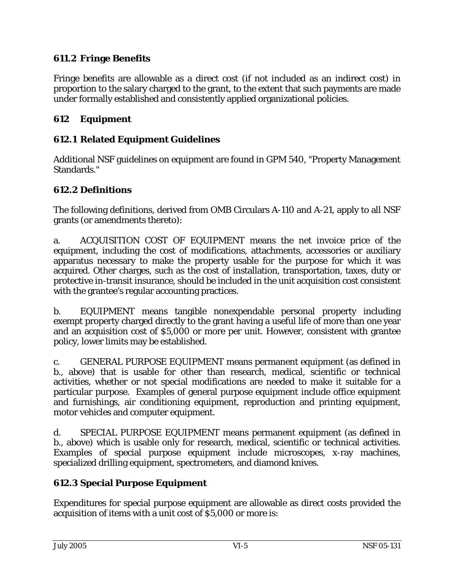## **611.2 Fringe Benefits**

Fringe benefits are allowable as a direct cost (if not included as an indirect cost) in proportion to the salary charged to the grant, to the extent that such payments are made under formally established and consistently applied organizational policies.

## **612 Equipment**

## **612.1 Related Equipment Guidelines**

Additional NSF guidelines on equipment are found in GPM 540, "Property Management Standards."

### **612.2 Definitions**

The following definitions, derived from OMB Circulars A-110 and A-21, apply to all NSF grants (or amendments thereto):

a. ACQUISITION COST OF EQUIPMENT means the net invoice price of the equipment, including the cost of modifications, attachments, accessories or auxiliary apparatus necessary to make the property usable for the purpose for which it was acquired. Other charges, such as the cost of installation, transportation, taxes, duty or protective in-transit insurance, should be included in the unit acquisition cost consistent with the grantee's regular accounting practices.

b. EQUIPMENT means tangible nonexpendable personal property including exempt property charged directly to the grant having a useful life of more than one year and an acquisition cost of \$5,000 or more per unit. However, consistent with grantee policy, lower limits may be established.

c. GENERAL PURPOSE EQUIPMENT means permanent equipment (as defined in b., above) that is usable for other than research, medical, scientific or technical activities, whether or not special modifications are needed to make it suitable for a particular purpose. Examples of general purpose equipment include office equipment and furnishings, air conditioning equipment, reproduction and printing equipment, motor vehicles and computer equipment.

d. SPECIAL PURPOSE EQUIPMENT means permanent equipment (as defined in b., above) which is usable only for research, medical, scientific or technical activities. Examples of special purpose equipment include microscopes, x-ray machines, specialized drilling equipment, spectrometers, and diamond knives.

### **612.3 Special Purpose Equipment**

Expenditures for special purpose equipment are allowable as direct costs provided the acquisition of items with a unit cost of \$5,000 or more is: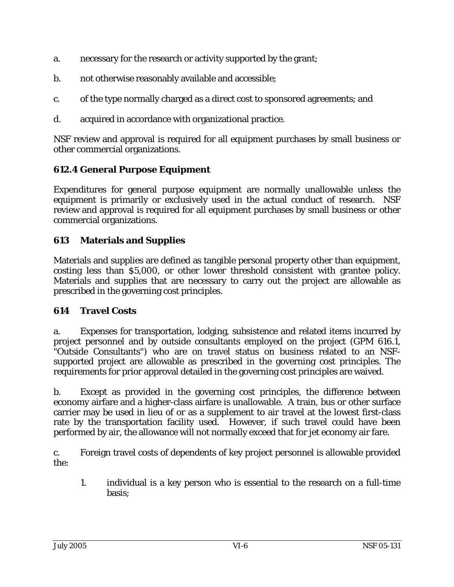- a. necessary for the research or activity supported by the grant;
- b. not otherwise reasonably available and accessible;
- c. of the type normally charged as a direct cost to sponsored agreements; and
- d. acquired in accordance with organizational practice.

NSF review and approval is required for all equipment purchases by small business or other commercial organizations.

## **612.4 General Purpose Equipment**

Expenditures for general purpose equipment are normally unallowable unless the equipment is primarily or exclusively used in the actual conduct of research. NSF review and approval is required for all equipment purchases by small business or other commercial organizations.

## **613 Materials and Supplies**

Materials and supplies are defined as tangible personal property other than equipment, costing less than \$5,000, or other lower threshold consistent with grantee policy. Materials and supplies that are necessary to carry out the project are allowable as prescribed in the governing cost principles.

## **614 Travel Costs**

a. Expenses for transportation, lodging, subsistence and related items incurred by project personnel and by outside consultants employed on the project (GPM 616.1, "Outside Consultants") who are on travel status on business related to an NSFsupported project are allowable as prescribed in the governing cost principles. The requirements for prior approval detailed in the governing cost principles are waived.

b. Except as provided in the governing cost principles, the difference between economy airfare and a higher-class airfare is unallowable. A train, bus or other surface carrier may be used in lieu of or as a supplement to air travel at the lowest first-class rate by the transportation facility used. However, if such travel could have been performed by air, the allowance will not normally exceed that for jet economy air fare.

c. Foreign travel costs of dependents of key project personnel is allowable provided the:

1. individual is a key person who is essential to the research on a full-time basis;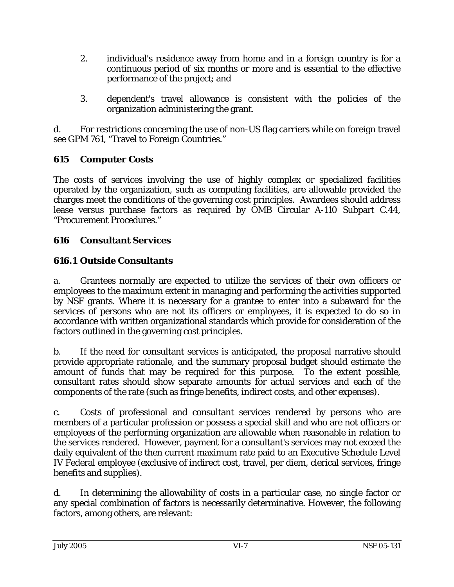- 2. individual's residence away from home and in a foreign country is for a continuous period of six months or more and is essential to the effective performance of the project; and
- 3. dependent's travel allowance is consistent with the policies of the organization administering the grant.

d. For restrictions concerning the use of non-US flag carriers while on foreign travel see GPM 761, "Travel to Foreign Countries."

### **615 Computer Costs**

The costs of services involving the use of highly complex or specialized facilities operated by the organization, such as computing facilities, are allowable provided the charges meet the conditions of the governing cost principles. Awardees should address lease versus purchase factors as required by OMB Circular A-110 Subpart C.44, "Procurement Procedures."

## **616 Consultant Services**

## **616.1 Outside Consultants**

a. Grantees normally are expected to utilize the services of their own officers or employees to the maximum extent in managing and performing the activities supported by NSF grants. Where it is necessary for a grantee to enter into a subaward for the services of persons who are not its officers or employees, it is expected to do so in accordance with written organizational standards which provide for consideration of the factors outlined in the governing cost principles.

b. If the need for consultant services is anticipated, the proposal narrative should provide appropriate rationale, and the summary proposal budget should estimate the amount of funds that may be required for this purpose. To the extent possible, consultant rates should show separate amounts for actual services and each of the components of the rate (such as fringe benefits, indirect costs, and other expenses).

c. Costs of professional and consultant services rendered by persons who are members of a particular profession or possess a special skill and who are not officers or employees of the performing organization are allowable when reasonable in relation to the services rendered. However, payment for a consultant's services may not exceed the daily equivalent of the then current maximum rate paid to an Executive Schedule Level IV Federal employee (exclusive of indirect cost, travel, per diem, clerical services, fringe benefits and supplies).

d. In determining the allowability of costs in a particular case, no single factor or any special combination of factors is necessarily determinative. However, the following factors, among others, are relevant: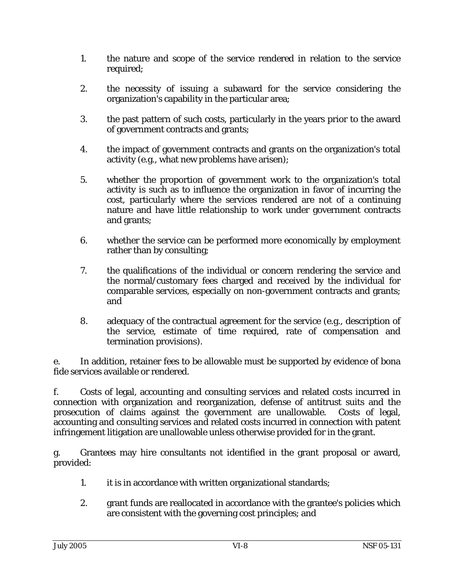- 1. the nature and scope of the service rendered in relation to the service required;
- 2. the necessity of issuing a subaward for the service considering the organization's capability in the particular area;
- 3. the past pattern of such costs, particularly in the years prior to the award of government contracts and grants;
- 4. the impact of government contracts and grants on the organization's total activity (e.g., what new problems have arisen);
- 5. whether the proportion of government work to the organization's total activity is such as to influence the organization in favor of incurring the cost, particularly where the services rendered are not of a continuing nature and have little relationship to work under government contracts and grants;
- 6. whether the service can be performed more economically by employment rather than by consulting;
- 7. the qualifications of the individual or concern rendering the service and the normal/customary fees charged and received by the individual for comparable services, especially on non-government contracts and grants; and
- 8. adequacy of the contractual agreement for the service (e.g., description of the service, estimate of time required, rate of compensation and termination provisions).

e. In addition, retainer fees to be allowable must be supported by evidence of bona fide services available or rendered.

f. Costs of legal, accounting and consulting services and related costs incurred in connection with organization and reorganization, defense of antitrust suits and the prosecution of claims against the government are unallowable. Costs of legal, accounting and consulting services and related costs incurred in connection with patent infringement litigation are unallowable unless otherwise provided for in the grant.

g. Grantees may hire consultants not identified in the grant proposal or award, provided:

- 1. it is in accordance with written organizational standards;
- 2. grant funds are reallocated in accordance with the grantee's policies which are consistent with the governing cost principles; and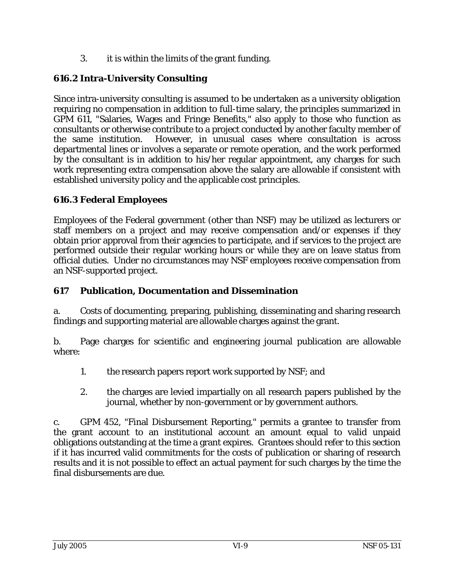3. it is within the limits of the grant funding.

# **616.2 Intra-University Consulting**

Since intra-university consulting is assumed to be undertaken as a university obligation requiring no compensation in addition to full-time salary, the principles summarized in GPM 611, "Salaries, Wages and Fringe Benefits," also apply to those who function as consultants or otherwise contribute to a project conducted by another faculty member of the same institution. However, in unusual cases where consultation is across departmental lines or involves a separate or remote operation, and the work performed by the consultant is in addition to his/her regular appointment, any charges for such work representing extra compensation above the salary are allowable if consistent with established university policy and the applicable cost principles.

## **616.3 Federal Employees**

Employees of the Federal government (other than NSF) may be utilized as lecturers or staff members on a project and may receive compensation and/or expenses if they obtain prior approval from their agencies to participate, and if services to the project are performed outside their regular working hours or while they are on leave status from official duties. Under no circumstances may NSF employees receive compensation from an NSF-supported project.

## **617 Publication, Documentation and Dissemination**

a. Costs of documenting, preparing, publishing, disseminating and sharing research findings and supporting material are allowable charges against the grant.

b. Page charges for scientific and engineering journal publication are allowable where:

- 1. the research papers report work supported by NSF; and
- 2. the charges are levied impartially on all research papers published by the journal, whether by non-government or by government authors.

c. GPM 452, "Final Disbursement Reporting," permits a grantee to transfer from the grant account to an institutional account an amount equal to valid unpaid obligations outstanding at the time a grant expires. Grantees should refer to this section if it has incurred valid commitments for the costs of publication or sharing of research results and it is not possible to effect an actual payment for such charges by the time the final disbursements are due.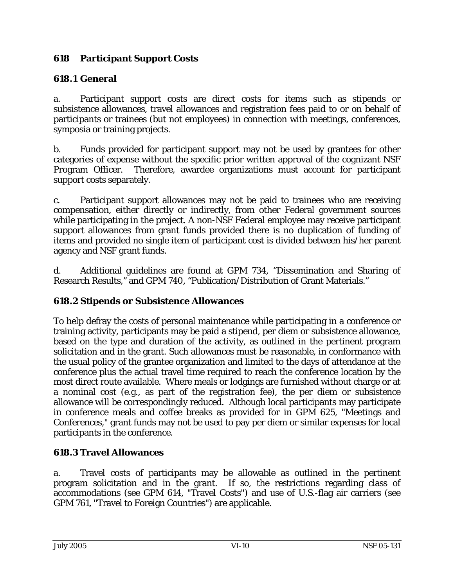## **618 Participant Support Costs**

## **618.1 General**

a. Participant support costs are direct costs for items such as stipends or subsistence allowances, travel allowances and registration fees paid to or on behalf of participants or trainees (but not employees) in connection with meetings, conferences, symposia or training projects.

b. Funds provided for participant support may not be used by grantees for other categories of expense without the specific prior written approval of the cognizant NSF Program Officer. Therefore, awardee organizations must account for participant support costs separately.

c. Participant support allowances may not be paid to trainees who are receiving compensation, either directly or indirectly, from other Federal government sources while participating in the project. A non-NSF Federal employee may receive participant support allowances from grant funds provided there is no duplication of funding of items and provided no single item of participant cost is divided between his/her parent agency and NSF grant funds.

d. Additional guidelines are found at GPM 734, "Dissemination and Sharing of Research Results," and GPM 740, "Publication/Distribution of Grant Materials."

### **618.2 Stipends or Subsistence Allowances**

To help defray the costs of personal maintenance while participating in a conference or training activity, participants may be paid a stipend, per diem or subsistence allowance, based on the type and duration of the activity, as outlined in the pertinent program solicitation and in the grant. Such allowances must be reasonable, in conformance with the usual policy of the grantee organization and limited to the days of attendance at the conference plus the actual travel time required to reach the conference location by the most direct route available. Where meals or lodgings are furnished without charge or at a nominal cost (e.g., as part of the registration fee), the per diem or subsistence allowance will be correspondingly reduced. Although local participants may participate in conference meals and coffee breaks as provided for in GPM 625, "Meetings and Conferences," grant funds may not be used to pay per diem or similar expenses for local participants in the conference.

### **618.3 Travel Allowances**

a. Travel costs of participants may be allowable as outlined in the pertinent program solicitation and in the grant. If so, the restrictions regarding class of accommodations (see GPM 614, "Travel Costs") and use of U.S.-flag air carriers (see GPM 761, "Travel to Foreign Countries") are applicable.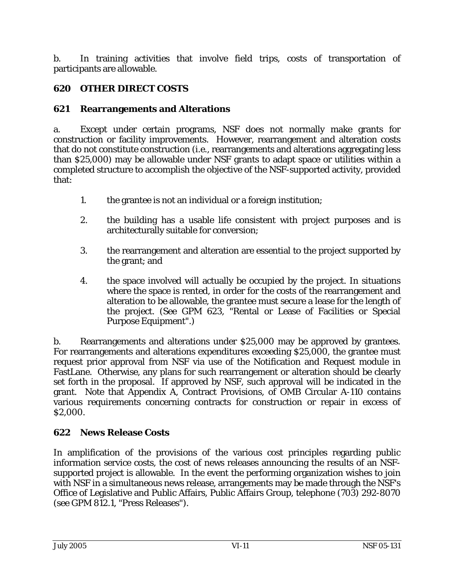b. In training activities that involve field trips, costs of transportation of participants are allowable.

## **620 OTHER DIRECT COSTS**

## **621 Rearrangements and Alterations**

a. Except under certain programs, NSF does not normally make grants for construction or facility improvements. However, rearrangement and alteration costs that do not constitute construction (i.e., rearrangements and alterations aggregating less than \$25,000) may be allowable under NSF grants to adapt space or utilities within a completed structure to accomplish the objective of the NSF-supported activity, provided that:

- 1. the grantee is not an individual or a foreign institution;
- 2. the building has a usable life consistent with project purposes and is architecturally suitable for conversion;
- 3. the rearrangement and alteration are essential to the project supported by the grant; and
- 4. the space involved will actually be occupied by the project. In situations where the space is rented, in order for the costs of the rearrangement and alteration to be allowable, the grantee must secure a lease for the length of the project. (See GPM 623, "Rental or Lease of Facilities or Special Purpose Equipment".)

b. Rearrangements and alterations under \$25,000 may be approved by grantees. For rearrangements and alterations expenditures exceeding \$25,000, the grantee must request prior approval from NSF via use of the Notification and Request module in FastLane. Otherwise, any plans for such rearrangement or alteration should be clearly set forth in the proposal. If approved by NSF, such approval will be indicated in the grant. Note that Appendix A, Contract Provisions, of OMB Circular A-110 contains various requirements concerning contracts for construction or repair in excess of \$2,000.

## **622 News Release Costs**

In amplification of the provisions of the various cost principles regarding public information service costs, the cost of news releases announcing the results of an NSFsupported project is allowable. In the event the performing organization wishes to join with NSF in a simultaneous news release, arrangements may be made through the NSF's Office of Legislative and Public Affairs, Public Affairs Group, telephone (703) 292-8070 (see GPM 812.1, "Press Releases").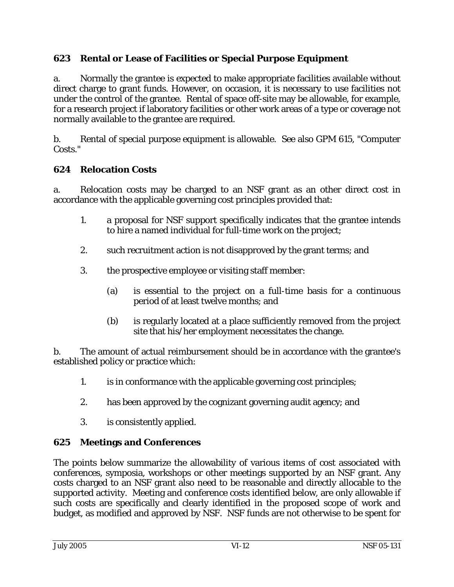## **623 Rental or Lease of Facilities or Special Purpose Equipment**

a. Normally the grantee is expected to make appropriate facilities available without direct charge to grant funds. However, on occasion, it is necessary to use facilities not under the control of the grantee. Rental of space off-site may be allowable, for example, for a research project if laboratory facilities or other work areas of a type or coverage not normally available to the grantee are required.

b. Rental of special purpose equipment is allowable. See also GPM 615, "Computer Costs."

## **624 Relocation Costs**

a. Relocation costs may be charged to an NSF grant as an other direct cost in accordance with the applicable governing cost principles provided that:

- 1. a proposal for NSF support specifically indicates that the grantee intends to hire a named individual for full-time work on the project;
- 2. such recruitment action is not disapproved by the grant terms; and
- 3. the prospective employee or visiting staff member:
	- (a) is essential to the project on a full-time basis for a continuous period of at least twelve months; and
	- (b) is regularly located at a place sufficiently removed from the project site that his/her employment necessitates the change.

b. The amount of actual reimbursement should be in accordance with the grantee's established policy or practice which:

- 1. is in conformance with the applicable governing cost principles;
- 2. has been approved by the cognizant governing audit agency; and
- 3. is consistently applied.

### **625 Meetings and Conferences**

The points below summarize the allowability of various items of cost associated with conferences, symposia, workshops or other meetings supported by an NSF grant. Any costs charged to an NSF grant also need to be reasonable and directly allocable to the supported activity. Meeting and conference costs identified below, are only allowable if such costs are specifically and clearly identified in the proposed scope of work and budget, as modified and approved by NSF. NSF funds are not otherwise to be spent for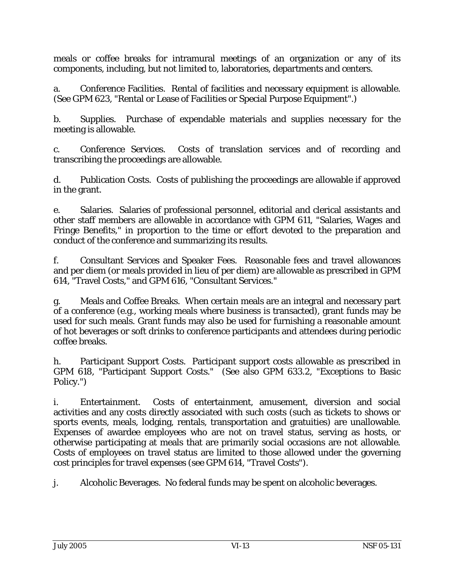meals or coffee breaks for intramural meetings of an organization or any of its components, including, but not limited to, laboratories, departments and centers.

a. Conference Facilities. Rental of facilities and necessary equipment is allowable. (See GPM 623, "Rental or Lease of Facilities or Special Purpose Equipment".)

b. Supplies. Purchase of expendable materials and supplies necessary for the meeting is allowable.

c. Conference Services. Costs of translation services and of recording and transcribing the proceedings are allowable.

d. Publication Costs. Costs of publishing the proceedings are allowable if approved in the grant.

e. Salaries. Salaries of professional personnel, editorial and clerical assistants and other staff members are allowable in accordance with GPM 611, "Salaries, Wages and Fringe Benefits," in proportion to the time or effort devoted to the preparation and conduct of the conference and summarizing its results.

f. Consultant Services and Speaker Fees. Reasonable fees and travel allowances and per diem (or meals provided in lieu of per diem) are allowable as prescribed in GPM 614, "Travel Costs," and GPM 616, "Consultant Services."

g. Meals and Coffee Breaks. When certain meals are an integral and necessary part of a conference (e.g., working meals where business is transacted), grant funds may be used for such meals. Grant funds may also be used for furnishing a reasonable amount of hot beverages or soft drinks to conference participants and attendees during periodic coffee breaks.

h. Participant Support Costs. Participant support costs allowable as prescribed in GPM 618, "Participant Support Costs." (See also GPM 633.2, "Exceptions to Basic Policy.")

i. Entertainment. Costs of entertainment, amusement, diversion and social activities and any costs directly associated with such costs (such as tickets to shows or sports events, meals, lodging, rentals, transportation and gratuities) are unallowable. Expenses of awardee employees who are not on travel status, serving as hosts, or otherwise participating at meals that are primarily social occasions are not allowable. Costs of employees on travel status are limited to those allowed under the governing cost principles for travel expenses (see GPM 614, "Travel Costs").

j. Alcoholic Beverages. No federal funds may be spent on alcoholic beverages.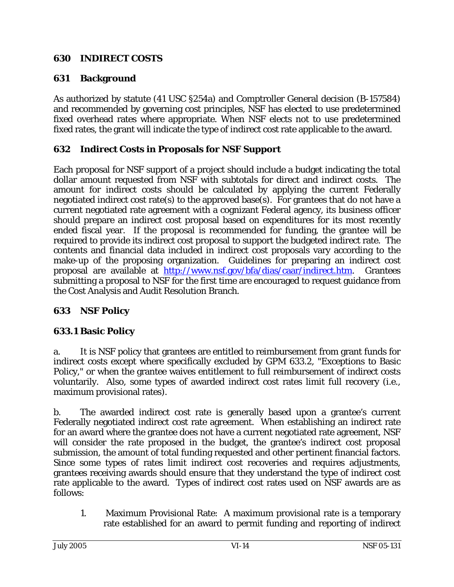## **630 INDIRECT COSTS**

## **631 Background**

As authorized by statute (41 USC §254a) and Comptroller General decision (B-157584) and recommended by governing cost principles, NSF has elected to use predetermined fixed overhead rates where appropriate. When NSF elects not to use predetermined fixed rates, the grant will indicate the type of indirect cost rate applicable to the award.

### **632 Indirect Costs in Proposals for NSF Support**

Each proposal for NSF support of a project should include a budget indicating the total dollar amount requested from NSF with subtotals for direct and indirect costs. The amount for indirect costs should be calculated by applying the current Federally negotiated indirect cost rate(s) to the approved base(s). For grantees that do not have a current negotiated rate agreement with a cognizant Federal agency, its business officer should prepare an indirect cost proposal based on expenditures for its most recently ended fiscal year. If the proposal is recommended for funding, the grantee will be required to provide its indirect cost proposal to support the budgeted indirect rate. The contents and financial data included in indirect cost proposals vary according to the make-up of the proposing organization. Guidelines for preparing an indirect cost proposal are available at [http://www.nsf.gov/bfa/dias/caar/indirect.htm.](http://www.nsf.gov/bfa/dias/caar/indirect.htm) Grantees submitting a proposal to NSF for the first time are encouraged to request guidance from the Cost Analysis and Audit Resolution Branch.

## **633 NSF Policy**

## **633.1 Basic Policy**

a. It is NSF policy that grantees are entitled to reimbursement from grant funds for indirect costs except where specifically excluded by GPM 633.2, "Exceptions to Basic Policy," or when the grantee waives entitlement to full reimbursement of indirect costs voluntarily. Also, some types of awarded indirect cost rates limit full recovery (i.e., maximum provisional rates).

b. The awarded indirect cost rate is generally based upon a grantee's current Federally negotiated indirect cost rate agreement. When establishing an indirect rate for an award where the grantee does not have a current negotiated rate agreement, NSF will consider the rate proposed in the budget, the grantee's indirect cost proposal submission, the amount of total funding requested and other pertinent financial factors. Since some types of rates limit indirect cost recoveries and requires adjustments, grantees receiving awards should ensure that they understand the type of indirect cost rate applicable to the award. Types of indirect cost rates used on NSF awards are as follows:

1. Maximum Provisional Rate: A maximum provisional rate is a temporary rate established for an award to permit funding and reporting of indirect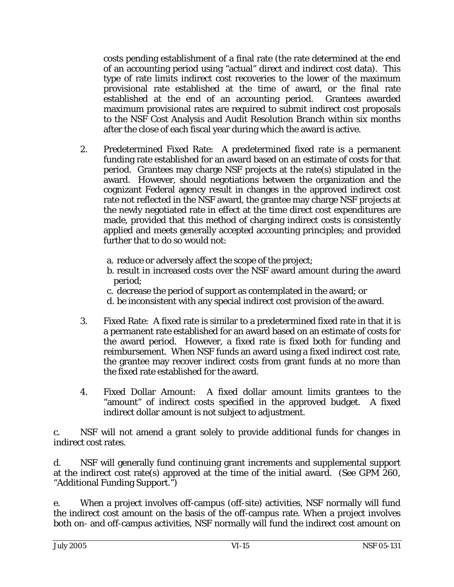costs pending establishment of a final rate (the rate determined at the end of an accounting period using "actual" direct and indirect cost data). This type of rate limits indirect cost recoveries to the lower of the maximum provisional rate established at the time of award, or the final rate established at the end of an accounting period. Grantees awarded maximum provisional rates are required to submit indirect cost proposals to the NSF Cost Analysis and Audit Resolution Branch within six months after the close of each fiscal year during which the award is active.

- 2. Predetermined Fixed Rate: A predetermined fixed rate is a permanent funding rate established for an award based on an estimate of costs for that period. Grantees may charge NSF projects at the rate(s) stipulated in the award. However, should negotiations between the organization and the cognizant Federal agency result in changes in the approved indirect cost rate not reflected in the NSF award, the grantee may charge NSF projects at the newly negotiated rate in effect at the time direct cost expenditures are made, provided that this method of charging indirect costs is consistently applied and meets generally accepted accounting principles; and provided further that to do so would not:
	- a. reduce or adversely affect the scope of the project;
	- b. result in increased costs over the NSF award amount during the award period;
	- c. decrease the period of support as contemplated in the award; or
	- d. be inconsistent with any special indirect cost provision of the award.
- 3. Fixed Rate: A fixed rate is similar to a predetermined fixed rate in that it is a permanent rate established for an award based on an estimate of costs for the award period. However, a fixed rate is fixed both for funding and reimbursement. When NSF funds an award using a fixed indirect cost rate, the grantee may recover indirect costs from grant funds at no more than the fixed rate established for the award.
- 4. Fixed Dollar Amount: A fixed dollar amount limits grantees to the "amount" of indirect costs specified in the approved budget. A fixed indirect dollar amount is not subject to adjustment.

c. NSF will not amend a grant solely to provide additional funds for changes in indirect cost rates.

d. NSF will generally fund continuing grant increments and supplemental support at the indirect cost rate(s) approved at the time of the initial award. (See GPM 260, "Additional Funding Support.")

e. When a project involves off-campus (off-site) activities, NSF normally will fund the indirect cost amount on the basis of the off-campus rate. When a project involves both on- and off-campus activities, NSF normally will fund the indirect cost amount on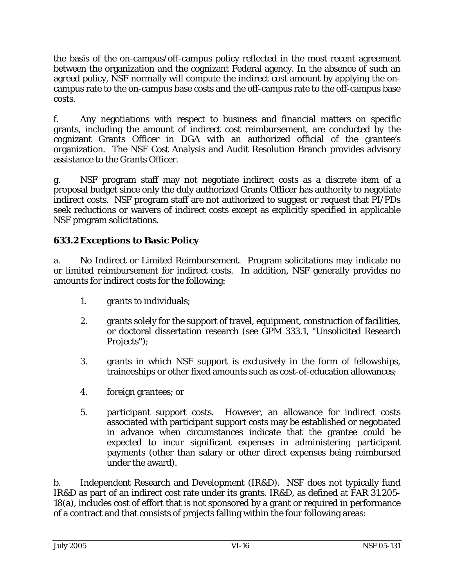the basis of the on-campus/off-campus policy reflected in the most recent agreement between the organization and the cognizant Federal agency. In the absence of such an agreed policy, NSF normally will compute the indirect cost amount by applying the oncampus rate to the on-campus base costs and the off-campus rate to the off-campus base costs.

f. Any negotiations with respect to business and financial matters on specific grants, including the amount of indirect cost reimbursement, are conducted by the cognizant Grants Officer in DGA with an authorized official of the grantee's organization. The NSF Cost Analysis and Audit Resolution Branch provides advisory assistance to the Grants Officer.

g. NSF program staff may not negotiate indirect costs as a discrete item of a proposal budget since only the duly authorized Grants Officer has authority to negotiate indirect costs. NSF program staff are not authorized to suggest or request that PI/PDs seek reductions or waivers of indirect costs except as explicitly specified in applicable NSF program solicitations.

# **633.2 Exceptions to Basic Policy**

a. No Indirect or Limited Reimbursement. Program solicitations may indicate no or limited reimbursement for indirect costs. In addition, NSF generally provides no amounts for indirect costs for the following:

- 1. grants to individuals;
- 2. grants solely for the support of travel, equipment, construction of facilities, or doctoral dissertation research (see GPM 333.1, "Unsolicited Research Projects");
- 3. grants in which NSF support is exclusively in the form of fellowships, traineeships or other fixed amounts such as cost-of-education allowances;
- 4. foreign grantees; or
- 5. participant support costs. However, an allowance for indirect costs associated with participant support costs may be established or negotiated in advance when circumstances indicate that the grantee could be expected to incur significant expenses in administering participant payments (other than salary or other direct expenses being reimbursed under the award).

b. Independent Research and Development (IR&D). NSF does not typically fund IR&D as part of an indirect cost rate under its grants. IR&D, as defined at FAR 31.205- 18(a), includes cost of effort that is not sponsored by a grant or required in performance of a contract and that consists of projects falling within the four following areas: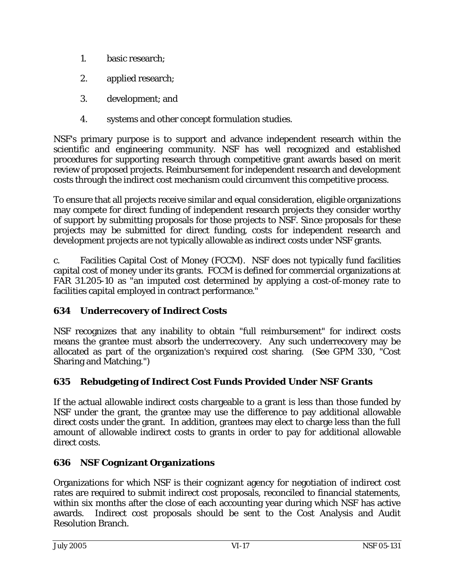- 1. basic research;
- 2. applied research;
- 3. development; and
- 4. systems and other concept formulation studies.

NSF's primary purpose is to support and advance independent research within the scientific and engineering community. NSF has well recognized and established procedures for supporting research through competitive grant awards based on merit review of proposed projects. Reimbursement for independent research and development costs through the indirect cost mechanism could circumvent this competitive process.

To ensure that all projects receive similar and equal consideration, eligible organizations may compete for direct funding of independent research projects they consider worthy of support by submitting proposals for those projects to NSF. Since proposals for these projects may be submitted for direct funding, costs for independent research and development projects are not typically allowable as indirect costs under NSF grants.

c. Facilities Capital Cost of Money (FCCM). NSF does not typically fund facilities capital cost of money under its grants. FCCM is defined for commercial organizations at FAR 31.205-10 as "an imputed cost determined by applying a cost-of-money rate to facilities capital employed in contract performance."

## **634 Underrecovery of Indirect Costs**

NSF recognizes that any inability to obtain "full reimbursement" for indirect costs means the grantee must absorb the underrecovery. Any such underrecovery may be allocated as part of the organization's required cost sharing. (See GPM 330, "Cost Sharing and Matching.")

## **635 Rebudgeting of Indirect Cost Funds Provided Under NSF Grants**

If the actual allowable indirect costs chargeable to a grant is less than those funded by NSF under the grant, the grantee may use the difference to pay additional allowable direct costs under the grant. In addition, grantees may elect to charge less than the full amount of allowable indirect costs to grants in order to pay for additional allowable direct costs.

## **636 NSF Cognizant Organizations**

Organizations for which NSF is their cognizant agency for negotiation of indirect cost rates are required to submit indirect cost proposals, reconciled to financial statements, within six months after the close of each accounting year during which NSF has active awards. Indirect cost proposals should be sent to the Cost Analysis and Audit Resolution Branch.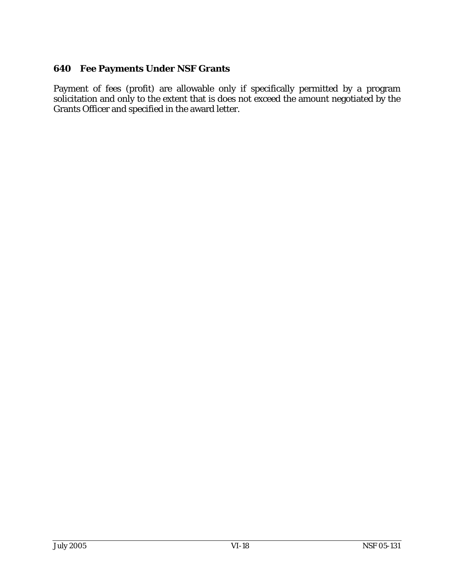### **640 Fee Payments Under NSF Grants**

Payment of fees (profit) are allowable only if specifically permitted by a program solicitation and only to the extent that is does not exceed the amount negotiated by the Grants Officer and specified in the award letter.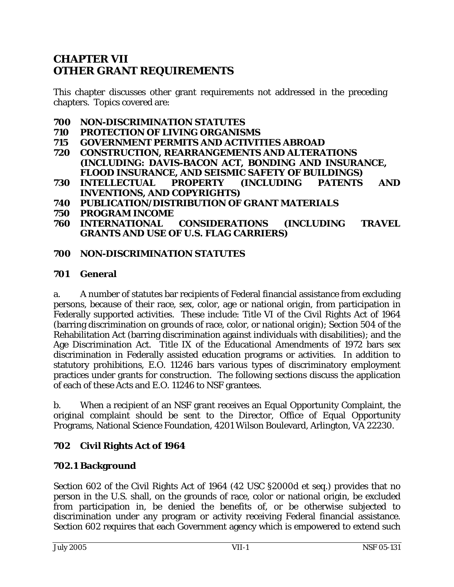# **CHAPTER VII OTHER GRANT REQUIREMENTS**

This chapter discusses other grant requirements not addressed in the preceding chapters. Topics covered are:

- **700 NON-DISCRIMINATION STATUTES**
- **710 PROTECTION OF LIVING ORGANISMS**
- **715 GOVERNMENT PERMITS AND ACTIVITIES ABROAD**
- **720 CONSTRUCTION, REARRANGEMENTS AND ALTERATIONS (INCLUDING: DAVIS-BACON ACT, BONDING AND INSURANCE, FLOOD INSURANCE, AND SEISMIC SAFETY OF BUILDINGS)**
- **730 INTELLECTUAL PROPERTY (INCLUDING PATENTS AND INVENTIONS, AND COPYRIGHTS)**
- **740 PUBLICATION/DISTRIBUTION OF GRANT MATERIALS**
- **750 PROGRAM INCOME**
- **760 INTERNATIONAL CONSIDERATIONS (INCLUDING TRAVEL GRANTS AND USE OF U.S. FLAG CARRIERS)**

#### **700 NON-DISCRIMINATION STATUTES**

#### **701 General**

a. A number of statutes bar recipients of Federal financial assistance from excluding persons, because of their race, sex, color, age or national origin, from participation in Federally supported activities. These include: Title VI of the Civil Rights Act of 1964 (barring discrimination on grounds of race, color, or national origin); Section 504 of the Rehabilitation Act (barring discrimination against individuals with disabilities); and the Age Discrimination Act. Title IX of the Educational Amendments of 1972 bars sex discrimination in Federally assisted education programs or activities. In addition to statutory prohibitions, E.O. 11246 bars various types of discriminatory employment practices under grants for construction. The following sections discuss the application of each of these Acts and E.O. 11246 to NSF grantees.

b. When a recipient of an NSF grant receives an Equal Opportunity Complaint, the original complaint should be sent to the Director, Office of Equal Opportunity Programs, National Science Foundation, 4201 Wilson Boulevard, Arlington, VA 22230.

### **702 Civil Rights Act of 1964**

### **702.1 Background**

Section 602 of the Civil Rights Act of 1964 (42 USC §2000d et seq.) provides that no person in the U.S. shall, on the grounds of race, color or national origin, be excluded from participation in, be denied the benefits of, or be otherwise subjected to discrimination under any program or activity receiving Federal financial assistance. Section 602 requires that each Government agency which is empowered to extend such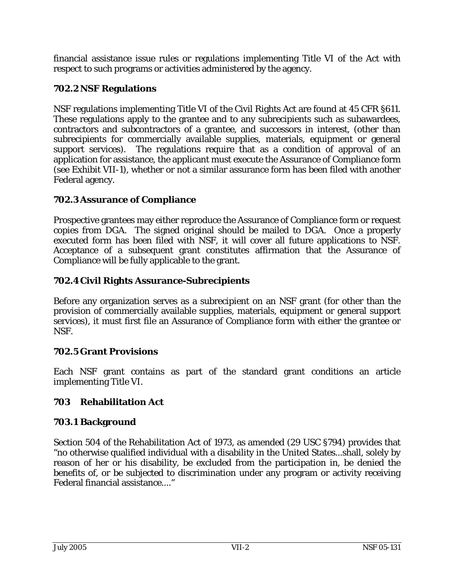financial assistance issue rules or regulations implementing Title VI of the Act with respect to such programs or activities administered by the agency.

## **702.2 NSF Regulations**

NSF regulations implementing Title VI of the Civil Rights Act are found at 45 CFR §611. These regulations apply to the grantee and to any subrecipients such as subawardees, contractors and subcontractors of a grantee, and successors in interest, (other than subrecipients for commercially available supplies, materials, equipment or general support services). The regulations require that as a condition of approval of an application for assistance, the applicant must execute the Assurance of Compliance form (see Exhibit VII-1), whether or not a similar assurance form has been filed with another Federal agency.

### **702.3 Assurance of Compliance**

Prospective grantees may either reproduce the Assurance of Compliance form or request copies from DGA. The signed original should be mailed to DGA. Once a properly executed form has been filed with NSF, it will cover all future applications to NSF. Acceptance of a subsequent grant constitutes affirmation that the Assurance of Compliance will be fully applicable to the grant.

## **702.4 Civil Rights Assurance-Subrecipients**

Before any organization serves as a subrecipient on an NSF grant (for other than the provision of commercially available supplies, materials, equipment or general support services), it must first file an Assurance of Compliance form with either the grantee or NSF.

### **702.5 Grant Provisions**

Each NSF grant contains as part of the standard grant conditions an article implementing Title VI.

### **703 Rehabilitation Act**

### **703.1 Background**

Section 504 of the Rehabilitation Act of 1973, as amended (29 USC §794) provides that "no otherwise qualified individual with a disability in the United States...shall, solely by reason of her or his disability, be excluded from the participation in, be denied the benefits of, or be subjected to discrimination under any program or activity receiving Federal financial assistance...."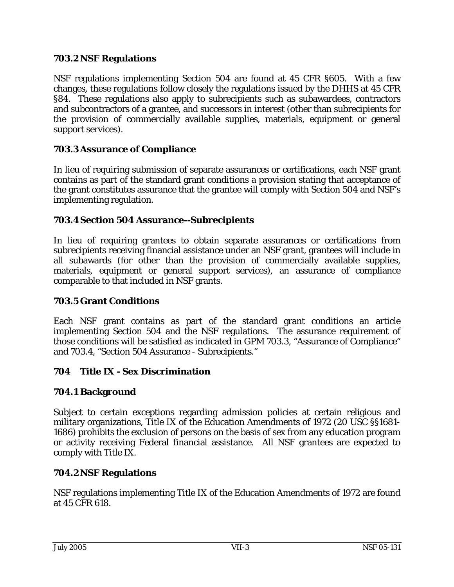### **703.2 NSF Regulations**

NSF regulations implementing Section 504 are found at 45 CFR §605. With a few changes, these regulations follow closely the regulations issued by the DHHS at 45 CFR §84. These regulations also apply to subrecipients such as subawardees, contractors and subcontractors of a grantee, and successors in interest (other than subrecipients for the provision of commercially available supplies, materials, equipment or general support services).

### **703.3 Assurance of Compliance**

In lieu of requiring submission of separate assurances or certifications, each NSF grant contains as part of the standard grant conditions a provision stating that acceptance of the grant constitutes assurance that the grantee will comply with Section 504 and NSF's implementing regulation.

### **703.4 Section 504 Assurance--Subrecipients**

In lieu of requiring grantees to obtain separate assurances or certifications from subrecipients receiving financial assistance under an NSF grant, grantees will include in all subawards (for other than the provision of commercially available supplies, materials, equipment or general support services), an assurance of compliance comparable to that included in NSF grants.

### **703.5 Grant Conditions**

Each NSF grant contains as part of the standard grant conditions an article implementing Section 504 and the NSF regulations. The assurance requirement of those conditions will be satisfied as indicated in GPM 703.3, "Assurance of Compliance" and 703.4, "Section 504 Assurance - Subrecipients."

### **704 Title IX - Sex Discrimination**

### **704.1 Background**

Subject to certain exceptions regarding admission policies at certain religious and military organizations, Title IX of the Education Amendments of 1972 (20 USC §§1681- 1686) prohibits the exclusion of persons on the basis of sex from any education program or activity receiving Federal financial assistance. All NSF grantees are expected to comply with Title IX.

### **704.2 NSF Regulations**

NSF regulations implementing Title IX of the Education Amendments of 1972 are found at 45 CFR 618.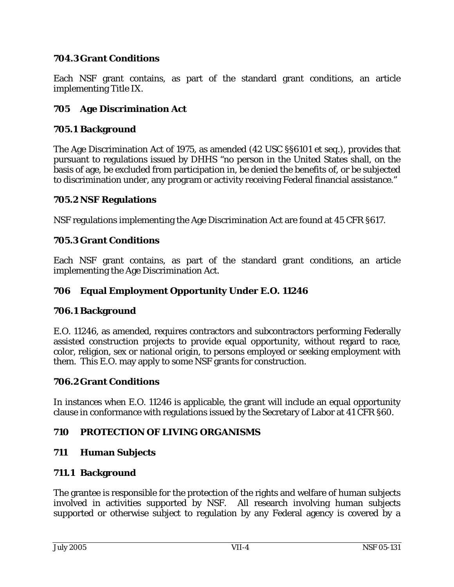### **704.3 Grant Conditions**

Each NSF grant contains, as part of the standard grant conditions, an article implementing Title IX.

#### **705 Age Discrimination Act**

#### **705.1 Background**

The Age Discrimination Act of 1975, as amended (42 USC §§6101 et seq.), provides that pursuant to regulations issued by DHHS "no person in the United States shall, on the basis of age, be excluded from participation in, be denied the benefits of, or be subjected to discrimination under, any program or activity receiving Federal financial assistance."

#### **705.2 NSF Regulations**

NSF regulations implementing the Age Discrimination Act are found at 45 CFR §617.

#### **705.3 Grant Conditions**

Each NSF grant contains, as part of the standard grant conditions, an article implementing the Age Discrimination Act.

#### **706 Equal Employment Opportunity Under E.O. 11246**

#### **706.1 Background**

E.O. 11246, as amended, requires contractors and subcontractors performing Federally assisted construction projects to provide equal opportunity, without regard to race, color, religion, sex or national origin, to persons employed or seeking employment with them. This E.O. may apply to some NSF grants for construction.

#### **706.2 Grant Conditions**

In instances when E.O. 11246 is applicable, the grant will include an equal opportunity clause in conformance with regulations issued by the Secretary of Labor at 41 CFR §60.

#### **710 PROTECTION OF LIVING ORGANISMS**

#### **711 Human Subjects**

#### **711.1 Background**

The grantee is responsible for the protection of the rights and welfare of human subjects involved in activities supported by NSF. All research involving human subjects supported or otherwise subject to regulation by any Federal agency is covered by a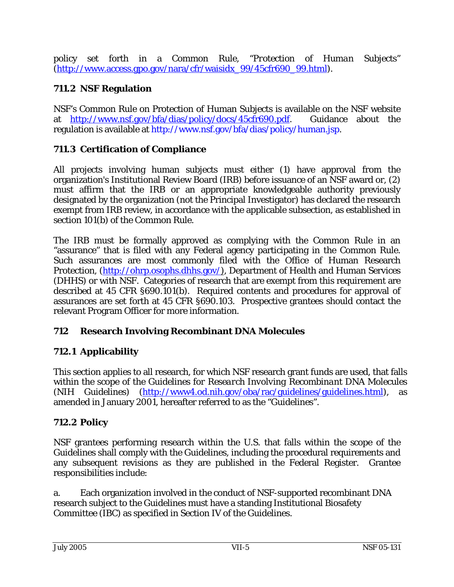policy set forth in a Common Rule, "*Protection of Human Subjects*" [\(http://www.access.gpo.gov/nara/cfr/waisidx\\_99/45cfr690\\_99.htm](http://www.access.gpo.gov/nara/cfr/waisidx_99/45cfr690_99.html)l).

# **711.2 NSF Regulation**

NSF's Common Rule on Protection of Human Subjects is available on the NSF website at <http://www.nsf.gov/bfa/dias/policy/docs/45cfr690.pdf>*.* Guidance about the regulation is available at [http://www.nsf.gov/bfa/dias/policy/human.jsp.](http://www.nsf.gov/bfa/dias/policy/human.jsp) 

## **711.3 Certification of Compliance**

All projects involving human subjects must either (1) have approval from the organization's Institutional Review Board (IRB) before issuance of an NSF award or, (2) must affirm that the IRB or an appropriate knowledgeable authority previously designated by the organization (not the Principal Investigator) has declared the research exempt from IRB review, in accordance with the applicable subsection, as established in section 101(b) of the Common Rule.

The IRB must be formally approved as complying with the Common Rule in an "assurance" that is filed with any Federal agency participating in the Common Rule. Such assurances are most commonly filed with the Office of Human Research Protection, [\(http://ohrp.osophs.dhhs.gov/](http://ohrp.osophs.dhhs.gov/)), Department of Health and Human Services (DHHS) or with NSF. Categories of research that are exempt from this requirement are described at 45 CFR §690.101(b). Required contents and procedures for approval of assurances are set forth at 45 CFR §690.103. Prospective grantees should contact the relevant Program Officer for more information.

## **712 Research Involving Recombinant DNA Molecules**

# **712.1 Applicability**

This section applies to all research, for which NSF research grant funds are used, that falls within the scope of the *Guidelines for Research Involving Recombinant DNA Molecules (NIH Guidelines*) [\(http://www4.od.nih.gov/oba/rac/guidelines/guidelines.htm](http://www4.od.nih.gov/oba/rac/guidelines/guidelines.html)l), as amended in January 2001, hereafter referred to as the "Guidelines".

## **712.2 Policy**

NSF grantees performing research within the U.S. that falls within the scope of the Guidelines shall comply with the Guidelines, including the procedural requirements and any subsequent revisions as they are published in the Federal Register. Grantee responsibilities include:

a. Each organization involved in the conduct of NSF-supported recombinant DNA research subject to the Guidelines must have a standing Institutional Biosafety Committee (IBC) as specified in Section IV of the Guidelines.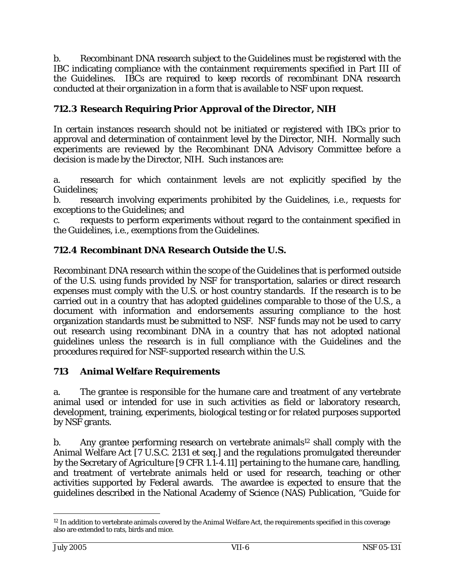b. Recombinant DNA research subject to the Guidelines must be registered with the IBC indicating compliance with the containment requirements specified in Part III of the Guidelines. IBCs are required to keep records of recombinant DNA research conducted at their organization in a form that is available to NSF upon request.

## **712.3 Research Requiring Prior Approval of the Director, NIH**

In certain instances research should not be initiated or registered with IBCs prior to approval and determination of containment level by the Director, NIH. Normally such experiments are reviewed by the Recombinant DNA Advisory Committee before a decision is made by the Director, NIH. Such instances are:

a. research for which containment levels are not explicitly specified by the Guidelines;

b. research involving experiments prohibited by the Guidelines, i.e., requests for exceptions to the Guidelines; and

c. requests to perform experiments without regard to the containment specified in the Guidelines, i.e., exemptions from the Guidelines.

## **712.4 Recombinant DNA Research Outside the U.S.**

Recombinant DNA research within the scope of the Guidelines that is performed outside of the U.S. using funds provided by NSF for transportation, salaries or direct research expenses must comply with the U.S. or host country standards. If the research is to be carried out in a country that has adopted guidelines comparable to those of the U.S., a document with information and endorsements assuring compliance to the host organization standards must be submitted to NSF. NSF funds may not be used to carry out research using recombinant DNA in a country that has not adopted national guidelines unless the research is in full compliance with the Guidelines and the procedures required for NSF-supported research within the U.S.

### **713 Animal Welfare Requirements**

a. The grantee is responsible for the humane care and treatment of any vertebrate animal used or intended for use in such activities as field or laboratory research, development, training, experiments, biological testing or for related purposes supported by NSF grants.

b. Any grantee performing research on vertebrate animals<sup>12</sup> shall comply with the Animal Welfare Act [7 U.S.C. 2131 et seq.] and the regulations promulgated thereunder by the Secretary of Agriculture [9 CFR 1.1-4.11] pertaining to the humane care, handling, and treatment of vertebrate animals held or used for research, teaching or other activities supported by Federal awards. The awardee is expected to ensure that the guidelines described in the National Academy of Science (NAS) Publication, "*Guide for* 

<sup>1</sup> <sup>12</sup> In addition to vertebrate animals covered by the Animal Welfare Act, the requirements specified in this coverage also are extended to rats, birds and mice.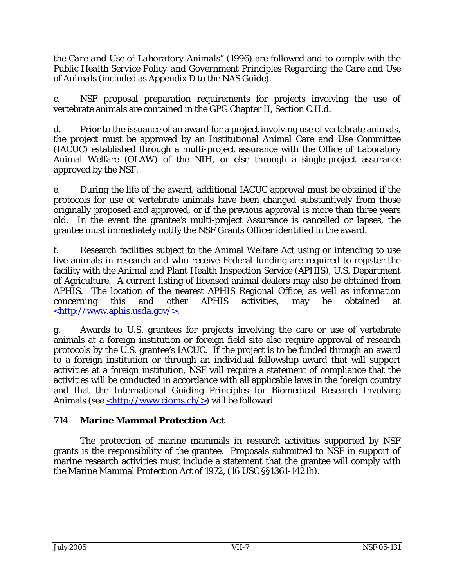*the Care and Use of Laboratory Animals*" (1996) are followed and to comply with the *Public Health Service Policy and Government Principles Regarding the Care and Use of Animals* (included as Appendix D to the NAS Guide).

c. NSF proposal preparation requirements for projects involving the use of vertebrate animals are contained in the GPG Chapter II, Section C.II.d.

d. Prior to the issuance of an award for a project involving use of vertebrate animals, the project must be approved by an Institutional Animal Care and Use Committee (IACUC) established through a multi-project assurance with the Office of Laboratory Animal Welfare (OLAW) of the NIH, or else through a single-project assurance approved by the NSF.

e. During the life of the award, additional IACUC approval must be obtained if the protocols for use of vertebrate animals have been changed substantively from those originally proposed and approved, or if the previous approval is more than three years old. In the event the grantee's multi-project Assurance is cancelled or lapses, the grantee must immediately notify the NSF Grants Officer identified in the award.

f. Research facilities subject to the Animal Welfare Act using or intending to use live animals in research and who receive Federal funding are required to register the facility with the Animal and Plant Health Inspection Service (APHIS), U.S. Department of Agriculture. A current listing of licensed animal dealers may also be obtained from APHIS. The location of the nearest APHIS Regional Office, as well as information concerning this and other APHIS activities, may be obtained at  $\langle \frac{\text{http://www.aphis.usda.gov/}}$  $\langle \frac{\text{http://www.aphis.usda.gov/}}$  $\langle \frac{\text{http://www.aphis.usda.gov/}}$ .

g. Awards to U.S. grantees for projects involving the care or use of vertebrate animals at a foreign institution or foreign field site also require approval of research protocols by the U.S. grantee's IACUC. If the project is to be funded through an award to a foreign institution or through an individual fellowship award that will support activities at a foreign institution, NSF will require a statement of compliance that the activities will be conducted in accordance with all applicable laws in the foreign country and that the International Guiding Principles for Biomedical Research Involving Animals (see  $\leq$ <http://www.cioms.ch/>>) will be followed.

## **714 Marine Mammal Protection Act**

 The protection of marine mammals in research activities supported by NSF grants is the responsibility of the grantee. Proposals submitted to NSF in support of marine research activities must include a statement that the grantee will comply with the Marine Mammal Protection Act of 1972, (16 USC §§1361-1421h).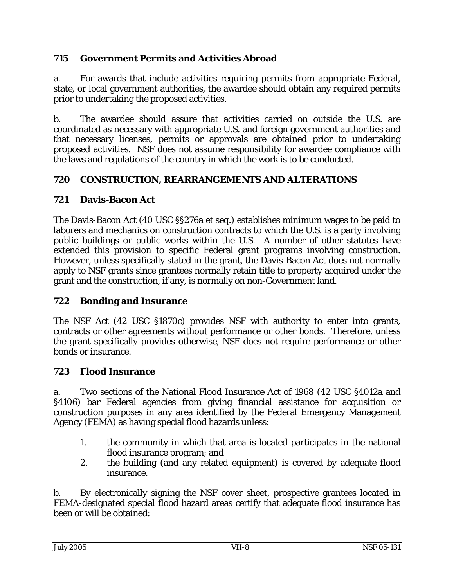## **715 Government Permits and Activities Abroad**

a. For awards that include activities requiring permits from appropriate Federal, state, or local government authorities, the awardee should obtain any required permits prior to undertaking the proposed activities.

b. The awardee should assure that activities carried on outside the U.S. are coordinated as necessary with appropriate U.S. and foreign government authorities and that necessary licenses, permits or approvals are obtained prior to undertaking proposed activities. NSF does not assume responsibility for awardee compliance with the laws and regulations of the country in which the work is to be conducted.

## **720 CONSTRUCTION, REARRANGEMENTS AND ALTERATIONS**

### **721 Davis-Bacon Act**

The Davis-Bacon Act (40 USC §§276a et seq.) establishes minimum wages to be paid to laborers and mechanics on construction contracts to which the U.S. is a party involving public buildings or public works within the U.S. A number of other statutes have extended this provision to specific Federal grant programs involving construction. However, unless specifically stated in the grant, the Davis-Bacon Act does not normally apply to NSF grants since grantees normally retain title to property acquired under the grant and the construction, if any, is normally on non-Government land.

## **722 Bonding and Insurance**

The NSF Act (42 USC §1870c) provides NSF with authority to enter into grants, contracts or other agreements without performance or other bonds. Therefore, unless the grant specifically provides otherwise, NSF does not require performance or other bonds or insurance.

### **723 Flood Insurance**

a. Two sections of the National Flood Insurance Act of 1968 (42 USC §4012a and §4106) bar Federal agencies from giving financial assistance for acquisition or construction purposes in any area identified by the Federal Emergency Management Agency (FEMA) as having special flood hazards unless:

- 1. the community in which that area is located participates in the national flood insurance program; and
- 2. the building (and any related equipment) is covered by adequate flood insurance.

b. By electronically signing the NSF cover sheet, prospective grantees located in FEMA-designated special flood hazard areas certify that adequate flood insurance has been or will be obtained: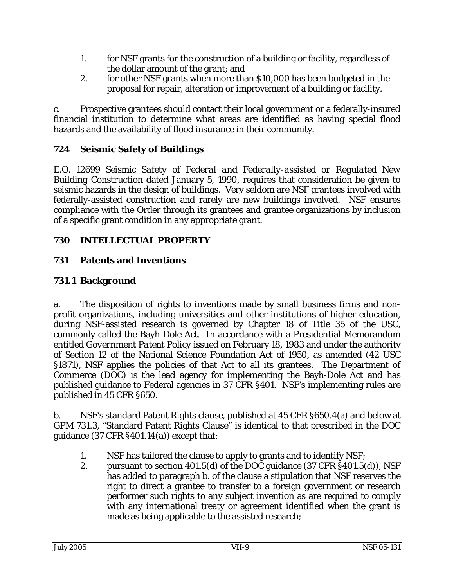- 1. for NSF grants for the construction of a building or facility, regardless of the dollar amount of the grant; and
- 2. for other NSF grants when more than \$10,000 has been budgeted in the proposal for repair, alteration or improvement of a building or facility.

c. Prospective grantees should contact their local government or a federally-insured financial institution to determine what areas are identified as having special flood hazards and the availability of flood insurance in their community.

## **724 Seismic Safety of Buildings**

E.O. 12699 *Seismic Safety of Federal and Federally-assisted or Regulated New Building Construction* dated January 5, 1990, requires that consideration be given to seismic hazards in the design of buildings. Very seldom are NSF grantees involved with federally-assisted construction and rarely are new buildings involved. NSF ensures compliance with the Order through its grantees and grantee organizations by inclusion of a specific grant condition in any appropriate grant.

## **730 INTELLECTUAL PROPERTY**

## **731 Patents and Inventions**

## **731.1 Background**

a. The disposition of rights to inventions made by small business firms and nonprofit organizations, including universities and other institutions of higher education, during NSF-assisted research is governed by Chapter 18 of Title 35 of the USC, commonly called the Bayh-Dole Act. In accordance with a Presidential Memorandum entitled *Government Patent Policy* issued on February 18, 1983 and under the authority of Section 12 of the National Science Foundation Act of 1950, as amended (42 USC §1871), NSF applies the policies of that Act to all its grantees. The Department of Commerce (DOC) is the lead agency for implementing the Bayh-Dole Act and has published guidance to Federal agencies in 37 CFR §401. NSF's implementing rules are published in 45 CFR §650.

b. NSF's standard Patent Rights clause, published at 45 CFR §650.4(a) and below at GPM 731.3, "Standard Patent Rights Clause" is identical to that prescribed in the DOC guidance (37 CFR §401.14(a)) except that:

- 1. NSF has tailored the clause to apply to grants and to identify NSF;
- 2. pursuant to section 401.5(d) of the DOC guidance  $(37 \text{ CFR} \text{ } \text{\$}401.5 \text{)}$ , NSF has added to paragraph b. of the clause a stipulation that NSF reserves the right to direct a grantee to transfer to a foreign government or research performer such rights to any subject invention as are required to comply with any international treaty or agreement identified when the grant is made as being applicable to the assisted research;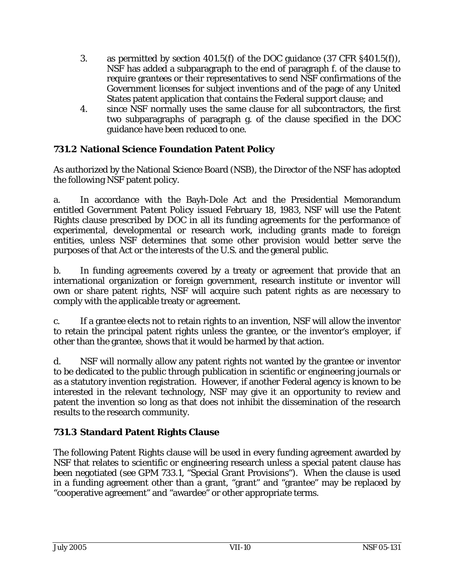- 3. as permitted by section 401.5(f) of the DOC guidance (37 CFR §401.5(f)), NSF has added a subparagraph to the end of paragraph f. of the clause to require grantees or their representatives to send NSF confirmations of the Government licenses for subject inventions and of the page of any United States patent application that contains the Federal support clause; and
- 4. since NSF normally uses the same clause for all subcontractors, the first two subparagraphs of paragraph g. of the clause specified in the DOC guidance have been reduced to one.

### **731.2 National Science Foundation Patent Policy**

As authorized by the National Science Board (NSB), the Director of the NSF has adopted the following NSF patent policy.

a. In accordance with the Bayh-Dole Act and the Presidential Memorandum entitled *Government Patent Policy* issued February 18, 1983, NSF will use the Patent Rights clause prescribed by DOC in all its funding agreements for the performance of experimental, developmental or research work, including grants made to foreign entities, unless NSF determines that some other provision would better serve the purposes of that Act or the interests of the U.S. and the general public.

b. In funding agreements covered by a treaty or agreement that provide that an international organization or foreign government, research institute or inventor will own or share patent rights, NSF will acquire such patent rights as are necessary to comply with the applicable treaty or agreement.

c. If a grantee elects not to retain rights to an invention, NSF will allow the inventor to retain the principal patent rights unless the grantee, or the inventor's employer, if other than the grantee, shows that it would be harmed by that action.

d. NSF will normally allow any patent rights not wanted by the grantee or inventor to be dedicated to the public through publication in scientific or engineering journals or as a statutory invention registration. However, if another Federal agency is known to be interested in the relevant technology, NSF may give it an opportunity to review and patent the invention so long as that does not inhibit the dissemination of the research results to the research community.

## **731.3 Standard Patent Rights Clause**

The following Patent Rights clause will be used in every funding agreement awarded by NSF that relates to scientific or engineering research unless a special patent clause has been negotiated (see GPM 733.1, "Special Grant Provisions"). When the clause is used in a funding agreement other than a grant, "grant" and "grantee" may be replaced by "cooperative agreement" and "awardee" or other appropriate terms.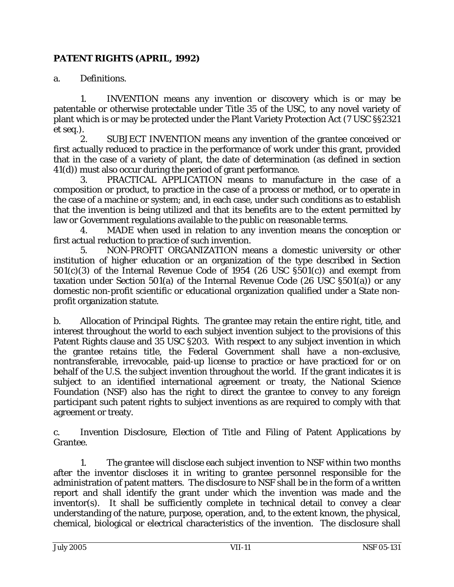### **PATENT RIGHTS (APRIL, 1992)**

a. Definitions.

 1. INVENTION means any invention or discovery which is or may be patentable or otherwise protectable under Title 35 of the USC, to any novel variety of plant which is or may be protected under the Plant Variety Protection Act (7 USC §§2321 et seq.).

 2. SUBJECT INVENTION means any invention of the grantee conceived or first actually reduced to practice in the performance of work under this grant, provided that in the case of a variety of plant, the date of determination (as defined in section 41(d)) must also occur during the period of grant performance.

 3. PRACTICAL APPLICATION means to manufacture in the case of a composition or product, to practice in the case of a process or method, or to operate in the case of a machine or system; and, in each case, under such conditions as to establish that the invention is being utilized and that its benefits are to the extent permitted by law or Government regulations available to the public on reasonable terms.

 4. MADE when used in relation to any invention means the conception or first actual reduction to practice of such invention.

 5. NON-PROFIT ORGANIZATION means a domestic university or other institution of higher education or an organization of the type described in Section 501(c)(3) of the Internal Revenue Code of 1954 (26 USC §501(c)) and exempt from taxation under Section 501(a) of the Internal Revenue Code (26 USC §501(a)) or any domestic non-profit scientific or educational organization qualified under a State nonprofit organization statute.

b. Allocation of Principal Rights. The grantee may retain the entire right, title, and interest throughout the world to each subject invention subject to the provisions of this Patent Rights clause and 35 USC §203. With respect to any subject invention in which the grantee retains title, the Federal Government shall have a non-exclusive, nontransferable, irrevocable, paid-up license to practice or have practiced for or on behalf of the U.S. the subject invention throughout the world. If the grant indicates it is subject to an identified international agreement or treaty, the National Science Foundation (NSF) also has the right to direct the grantee to convey to any foreign participant such patent rights to subject inventions as are required to comply with that agreement or treaty.

c. Invention Disclosure, Election of Title and Filing of Patent Applications by Grantee.

 1. The grantee will disclose each subject invention to NSF within two months after the inventor discloses it in writing to grantee personnel responsible for the administration of patent matters. The disclosure to NSF shall be in the form of a written report and shall identify the grant under which the invention was made and the inventor(s). It shall be sufficiently complete in technical detail to convey a clear understanding of the nature, purpose, operation, and, to the extent known, the physical, chemical, biological or electrical characteristics of the invention. The disclosure shall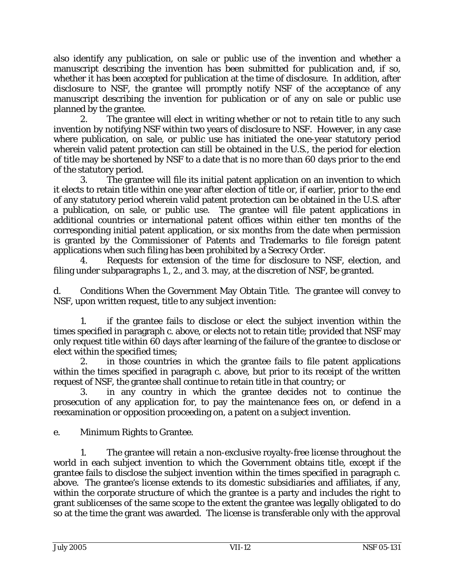also identify any publication, on sale or public use of the invention and whether a manuscript describing the invention has been submitted for publication and, if so, whether it has been accepted for publication at the time of disclosure. In addition, after disclosure to NSF, the grantee will promptly notify NSF of the acceptance of any manuscript describing the invention for publication or of any on sale or public use planned by the grantee.

 2. The grantee will elect in writing whether or not to retain title to any such invention by notifying NSF within two years of disclosure to NSF. However, in any case where publication, on sale, or public use has initiated the one-year statutory period wherein valid patent protection can still be obtained in the U.S., the period for election of title may be shortened by NSF to a date that is no more than 60 days prior to the end of the statutory period.

 3. The grantee will file its initial patent application on an invention to which it elects to retain title within one year after election of title or, if earlier, prior to the end of any statutory period wherein valid patent protection can be obtained in the U.S. after a publication, on sale, or public use. The grantee will file patent applications in additional countries or international patent offices within either ten months of the corresponding initial patent application, or six months from the date when permission is granted by the Commissioner of Patents and Trademarks to file foreign patent applications when such filing has been prohibited by a Secrecy Order.

Requests for extension of the time for disclosure to NSF, election, and filing under subparagraphs 1., 2., and 3. may, at the discretion of NSF, be granted.

d. Conditions When the Government May Obtain Title. The grantee will convey to NSF, upon written request, title to any subject invention:

 1. if the grantee fails to disclose or elect the subject invention within the times specified in paragraph c. above, or elects not to retain title; provided that NSF may only request title within 60 days after learning of the failure of the grantee to disclose or elect within the specified times;

 2. in those countries in which the grantee fails to file patent applications within the times specified in paragraph c. above, but prior to its receipt of the written request of NSF, the grantee shall continue to retain title in that country; or

 3. in any country in which the grantee decides not to continue the prosecution of any application for, to pay the maintenance fees on, or defend in a reexamination or opposition proceeding on, a patent on a subject invention.

e. Minimum Rights to Grantee.

 1. The grantee will retain a non-exclusive royalty-free license throughout the world in each subject invention to which the Government obtains title, except if the grantee fails to disclose the subject invention within the times specified in paragraph c. above. The grantee's license extends to its domestic subsidiaries and affiliates, if any, within the corporate structure of which the grantee is a party and includes the right to grant sublicenses of the same scope to the extent the grantee was legally obligated to do so at the time the grant was awarded. The license is transferable only with the approval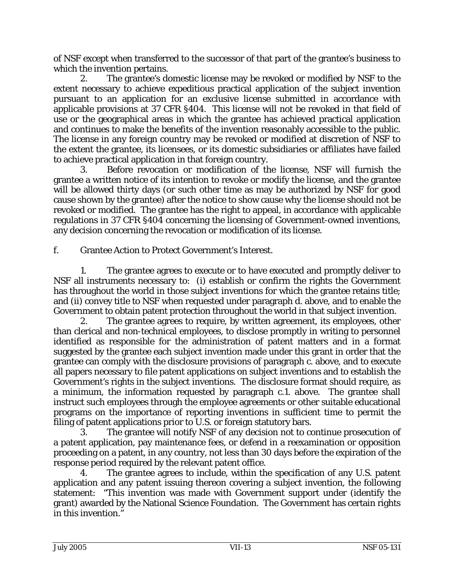of NSF except when transferred to the successor of that part of the grantee's business to which the invention pertains.

 2. The grantee's domestic license may be revoked or modified by NSF to the extent necessary to achieve expeditious practical application of the subject invention pursuant to an application for an exclusive license submitted in accordance with applicable provisions at 37 CFR §404. This license will not be revoked in that field of use or the geographical areas in which the grantee has achieved practical application and continues to make the benefits of the invention reasonably accessible to the public. The license in any foreign country may be revoked or modified at discretion of NSF to the extent the grantee, its licensees, or its domestic subsidiaries or affiliates have failed to achieve practical application in that foreign country.

 3. Before revocation or modification of the license, NSF will furnish the grantee a written notice of its intention to revoke or modify the license, and the grantee will be allowed thirty days (or such other time as may be authorized by NSF for good cause shown by the grantee) after the notice to show cause why the license should not be revoked or modified. The grantee has the right to appeal, in accordance with applicable regulations in 37 CFR §404 concerning the licensing of Government-owned inventions, any decision concerning the revocation or modification of its license.

f. Grantee Action to Protect Government's Interest.

 1. The grantee agrees to execute or to have executed and promptly deliver to NSF all instruments necessary to: (i) establish or confirm the rights the Government has throughout the world in those subject inventions for which the grantee retains title; and (ii) convey title to NSF when requested under paragraph d. above, and to enable the Government to obtain patent protection throughout the world in that subject invention.

 2. The grantee agrees to require, by written agreement, its employees, other than clerical and non-technical employees, to disclose promptly in writing to personnel identified as responsible for the administration of patent matters and in a format suggested by the grantee each subject invention made under this grant in order that the grantee can comply with the disclosure provisions of paragraph c. above, and to execute all papers necessary to file patent applications on subject inventions and to establish the Government's rights in the subject inventions. The disclosure format should require, as a minimum, the information requested by paragraph c.1. above. The grantee shall instruct such employees through the employee agreements or other suitable educational programs on the importance of reporting inventions in sufficient time to permit the filing of patent applications prior to U.S. or foreign statutory bars.

 3. The grantee will notify NSF of any decision not to continue prosecution of a patent application, pay maintenance fees, or defend in a reexamination or opposition proceeding on a patent, in any country, not less than 30 days before the expiration of the response period required by the relevant patent office.

 4. The grantee agrees to include, within the specification of any U.S. patent application and any patent issuing thereon covering a subject invention, the following statement: "This invention was made with Government support under (identify the grant) awarded by the National Science Foundation. The Government has certain rights in this invention."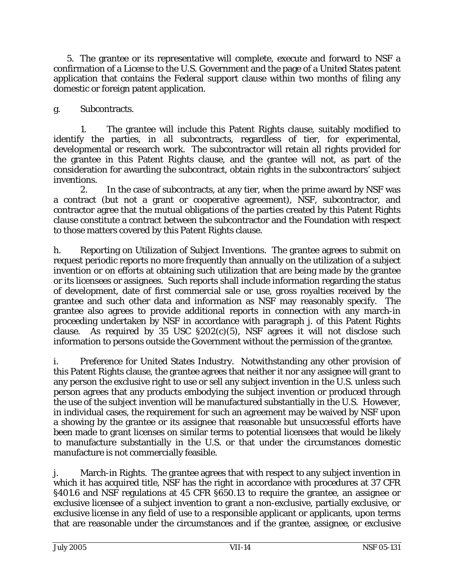5. The grantee or its representative will complete, execute and forward to NSF a confirmation of a License to the U.S. Government and the page of a United States patent application that contains the Federal support clause within two months of filing any domestic or foreign patent application.

## g. Subcontracts.

 1. The grantee will include this Patent Rights clause, suitably modified to identify the parties, in all subcontracts, regardless of tier, for experimental, developmental or research work. The subcontractor will retain all rights provided for the grantee in this Patent Rights clause, and the grantee will not, as part of the consideration for awarding the subcontract, obtain rights in the subcontractors' subject inventions.

 2. In the case of subcontracts, at any tier, when the prime award by NSF was a contract (but not a grant or cooperative agreement), NSF, subcontractor, and contractor agree that the mutual obligations of the parties created by this Patent Rights clause constitute a contract between the subcontractor and the Foundation with respect to those matters covered by this Patent Rights clause.

h. Reporting on Utilization of Subject Inventions. The grantee agrees to submit on request periodic reports no more frequently than annually on the utilization of a subject invention or on efforts at obtaining such utilization that are being made by the grantee or its licensees or assignees. Such reports shall include information regarding the status of development, date of first commercial sale or use, gross royalties received by the grantee and such other data and information as NSF may reasonably specify. The grantee also agrees to provide additional reports in connection with any march-in proceeding undertaken by NSF in accordance with paragraph j. of this Patent Rights clause. As required by 35 USC  $\S202(c)(5)$ , NSF agrees it will not disclose such information to persons outside the Government without the permission of the grantee.

i. Preference for United States Industry. Notwithstanding any other provision of this Patent Rights clause, the grantee agrees that neither it nor any assignee will grant to any person the exclusive right to use or sell any subject invention in the U.S. unless such person agrees that any products embodying the subject invention or produced through the use of the subject invention will be manufactured substantially in the U.S. However, in individual cases, the requirement for such an agreement may be waived by NSF upon a showing by the grantee or its assignee that reasonable but unsuccessful efforts have been made to grant licenses on similar terms to potential licensees that would be likely to manufacture substantially in the U.S. or that under the circumstances domestic manufacture is not commercially feasible.

j. March-in Rights. The grantee agrees that with respect to any subject invention in which it has acquired title, NSF has the right in accordance with procedures at 37 CFR §401.6 and NSF regulations at 45 CFR §650.13 to require the grantee, an assignee or exclusive licensee of a subject invention to grant a non-exclusive, partially exclusive, or exclusive license in any field of use to a responsible applicant or applicants, upon terms that are reasonable under the circumstances and if the grantee, assignee, or exclusive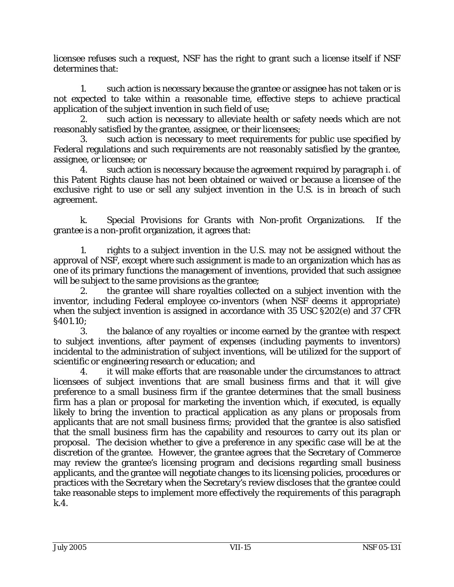licensee refuses such a request, NSF has the right to grant such a license itself if NSF determines that:

 1. such action is necessary because the grantee or assignee has not taken or is not expected to take within a reasonable time, effective steps to achieve practical application of the subject invention in such field of use;

 2. such action is necessary to alleviate health or safety needs which are not reasonably satisfied by the grantee, assignee, or their licensees;

 3. such action is necessary to meet requirements for public use specified by Federal regulations and such requirements are not reasonably satisfied by the grantee, assignee, or licensee; or

 4. such action is necessary because the agreement required by paragraph i. of this Patent Rights clause has not been obtained or waived or because a licensee of the exclusive right to use or sell any subject invention in the U.S. is in breach of such agreement.

 k. Special Provisions for Grants with Non-profit Organizations. If the grantee is a non-profit organization, it agrees that:

 1. rights to a subject invention in the U.S. may not be assigned without the approval of NSF, except where such assignment is made to an organization which has as one of its primary functions the management of inventions, provided that such assignee will be subject to the same provisions as the grantee;

 2. the grantee will share royalties collected on a subject invention with the inventor, including Federal employee co-inventors (when NSF deems it appropriate) when the subject invention is assigned in accordance with 35 USC §202(e) and 37 CFR §401.10;

 3. the balance of any royalties or income earned by the grantee with respect to subject inventions, after payment of expenses (including payments to inventors) incidental to the administration of subject inventions, will be utilized for the support of scientific or engineering research or education; and

 4. it will make efforts that are reasonable under the circumstances to attract licensees of subject inventions that are small business firms and that it will give preference to a small business firm if the grantee determines that the small business firm has a plan or proposal for marketing the invention which, if executed, is equally likely to bring the invention to practical application as any plans or proposals from applicants that are not small business firms; provided that the grantee is also satisfied that the small business firm has the capability and resources to carry out its plan or proposal. The decision whether to give a preference in any specific case will be at the discretion of the grantee. However, the grantee agrees that the Secretary of Commerce may review the grantee's licensing program and decisions regarding small business applicants, and the grantee will negotiate changes to its licensing policies, procedures or practices with the Secretary when the Secretary's review discloses that the grantee could take reasonable steps to implement more effectively the requirements of this paragraph k.4.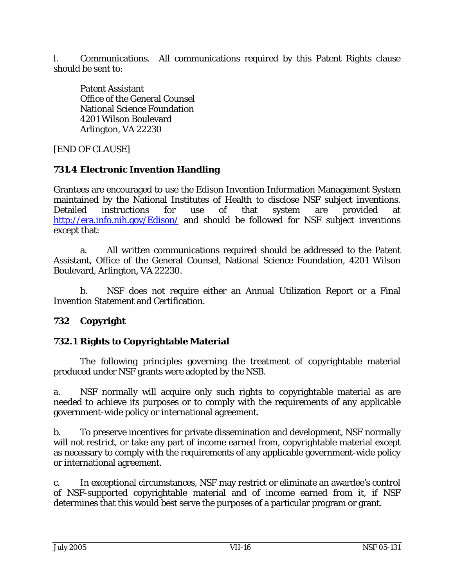l. Communications. All communications required by this Patent Rights clause should be sent to:

 Patent Assistant Office of the General Counsel National Science Foundation 4201 Wilson Boulevard Arlington, VA 22230

[END OF CLAUSE]

## **731.4 Electronic Invention Handling**

Grantees are encouraged to use the Edison Invention Information Management System maintained by the National Institutes of Health to disclose NSF subject inventions. Detailed instructions for use of that system are provided at <http://era.info.nih.gov/Edison/> and should be followed for NSF subject inventions except that:

a. All written communications required should be addressed to the Patent Assistant, Office of the General Counsel, National Science Foundation, 4201 Wilson Boulevard, Arlington, VA 22230.

b. NSF does not require either an Annual Utilization Report or a Final Invention Statement and Certification.

## **732 Copyright**

## **732.1 Rights to Copyrightable Material**

 The following principles governing the treatment of copyrightable material produced under NSF grants were adopted by the NSB.

a. NSF normally will acquire only such rights to copyrightable material as are needed to achieve its purposes or to comply with the requirements of any applicable government-wide policy or international agreement.

b. To preserve incentives for private dissemination and development, NSF normally will not restrict, or take any part of income earned from, copyrightable material except as necessary to comply with the requirements of any applicable government-wide policy or international agreement.

c. In exceptional circumstances, NSF may restrict or eliminate an awardee's control of NSF-supported copyrightable material and of income earned from it, if NSF determines that this would best serve the purposes of a particular program or grant.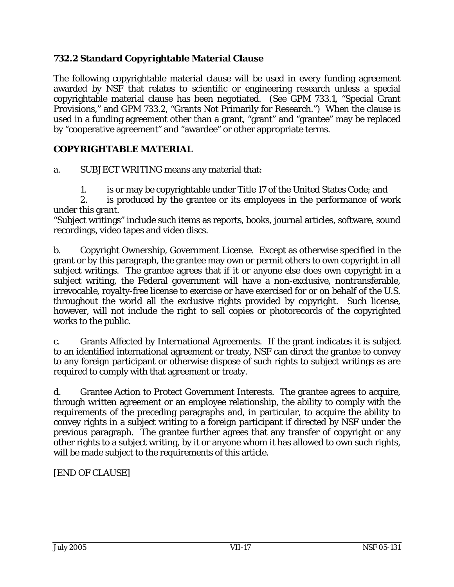### **732.2 Standard Copyrightable Material Clause**

The following copyrightable material clause will be used in every funding agreement awarded by NSF that relates to scientific or engineering research unless a special copyrightable material clause has been negotiated. (See GPM 733.1, "Special Grant Provisions," and GPM 733.2, "Grants Not Primarily for Research.") When the clause is used in a funding agreement other than a grant, "grant" and "grantee" may be replaced by "cooperative agreement" and "awardee" or other appropriate terms.

### **COPYRIGHTABLE MATERIAL**

a. SUBJECT WRITING means any material that:

1. is or may be copyrightable under Title 17 of the United States Code; and

 2. is produced by the grantee or its employees in the performance of work under this grant.

"Subject writings" include such items as reports, books, journal articles, software, sound recordings, video tapes and video discs.

b. Copyright Ownership, Government License. Except as otherwise specified in the grant or by this paragraph, the grantee may own or permit others to own copyright in all subject writings. The grantee agrees that if it or anyone else does own copyright in a subject writing, the Federal government will have a non-exclusive, nontransferable, irrevocable, royalty-free license to exercise or have exercised for or on behalf of the U.S. throughout the world all the exclusive rights provided by copyright. Such license, however, will not include the right to sell copies or photorecords of the copyrighted works to the public.

c. Grants Affected by International Agreements. If the grant indicates it is subject to an identified international agreement or treaty, NSF can direct the grantee to convey to any foreign participant or otherwise dispose of such rights to subject writings as are required to comply with that agreement or treaty.

d. Grantee Action to Protect Government Interests. The grantee agrees to acquire, through written agreement or an employee relationship, the ability to comply with the requirements of the preceding paragraphs and, in particular, to acquire the ability to convey rights in a subject writing to a foreign participant if directed by NSF under the previous paragraph. The grantee further agrees that any transfer of copyright or any other rights to a subject writing, by it or anyone whom it has allowed to own such rights, will be made subject to the requirements of this article.

[END OF CLAUSE]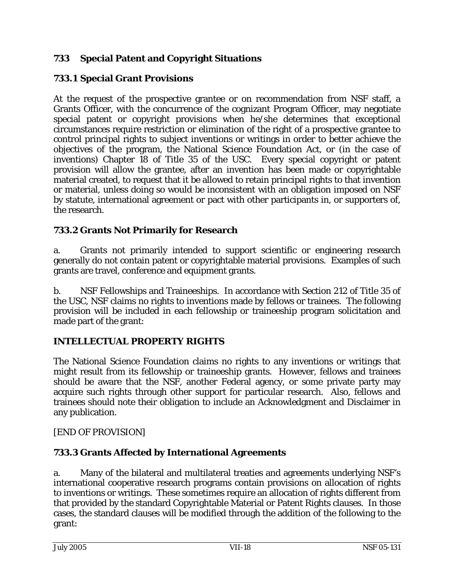## **733 Special Patent and Copyright Situations**

## **733.1 Special Grant Provisions**

At the request of the prospective grantee or on recommendation from NSF staff, a Grants Officer, with the concurrence of the cognizant Program Officer, may negotiate special patent or copyright provisions when he/she determines that exceptional circumstances require restriction or elimination of the right of a prospective grantee to control principal rights to subject inventions or writings in order to better achieve the objectives of the program, the National Science Foundation Act, or (in the case of inventions) Chapter 18 of Title 35 of the USC. Every special copyright or patent provision will allow the grantee, after an invention has been made or copyrightable material created, to request that it be allowed to retain principal rights to that invention or material, unless doing so would be inconsistent with an obligation imposed on NSF by statute, international agreement or pact with other participants in, or supporters of, the research.

## **733.2 Grants Not Primarily for Research**

a. Grants not primarily intended to support scientific or engineering research generally do not contain patent or copyrightable material provisions. Examples of such grants are travel, conference and equipment grants.

b. NSF Fellowships and Traineeships. In accordance with Section 212 of Title 35 of the USC, NSF claims no rights to inventions made by fellows or trainees. The following provision will be included in each fellowship or traineeship program solicitation and made part of the grant:

## **INTELLECTUAL PROPERTY RIGHTS**

The National Science Foundation claims no rights to any inventions or writings that might result from its fellowship or traineeship grants. However, fellows and trainees should be aware that the NSF, another Federal agency, or some private party may acquire such rights through other support for particular research. Also, fellows and trainees should note their obligation to include an Acknowledgment and Disclaimer in any publication.

### [END OF PROVISION]

## **733.3 Grants Affected by International Agreements**

a. Many of the bilateral and multilateral treaties and agreements underlying NSF's international cooperative research programs contain provisions on allocation of rights to inventions or writings. These sometimes require an allocation of rights different from that provided by the standard Copyrightable Material or Patent Rights clauses. In those cases, the standard clauses will be modified through the addition of the following to the grant: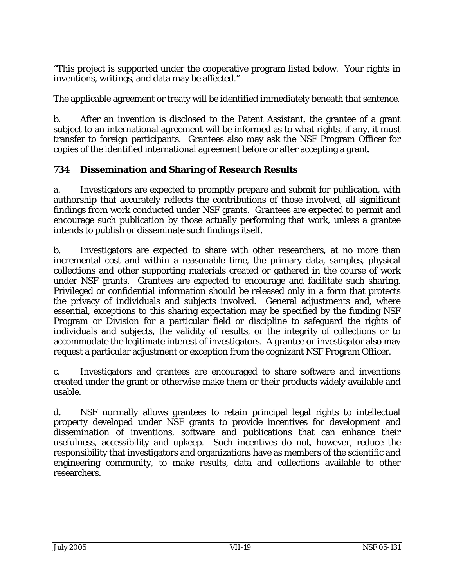"This project is supported under the cooperative program listed below. Your rights in inventions, writings, and data may be affected."

The applicable agreement or treaty will be identified immediately beneath that sentence.

b. After an invention is disclosed to the Patent Assistant, the grantee of a grant subject to an international agreement will be informed as to what rights, if any, it must transfer to foreign participants. Grantees also may ask the NSF Program Officer for copies of the identified international agreement before or after accepting a grant.

## **734 Dissemination and Sharing of Research Results**

a. Investigators are expected to promptly prepare and submit for publication, with authorship that accurately reflects the contributions of those involved, all significant findings from work conducted under NSF grants. Grantees are expected to permit and encourage such publication by those actually performing that work, unless a grantee intends to publish or disseminate such findings itself.

b. Investigators are expected to share with other researchers, at no more than incremental cost and within a reasonable time, the primary data, samples, physical collections and other supporting materials created or gathered in the course of work under NSF grants. Grantees are expected to encourage and facilitate such sharing. Privileged or confidential information should be released only in a form that protects the privacy of individuals and subjects involved. General adjustments and, where essential, exceptions to this sharing expectation may be specified by the funding NSF Program or Division for a particular field or discipline to safeguard the rights of individuals and subjects, the validity of results, or the integrity of collections or to accommodate the legitimate interest of investigators. A grantee or investigator also may request a particular adjustment or exception from the cognizant NSF Program Officer.

c. Investigators and grantees are encouraged to share software and inventions created under the grant or otherwise make them or their products widely available and usable.

d. NSF normally allows grantees to retain principal legal rights to intellectual property developed under NSF grants to provide incentives for development and dissemination of inventions, software and publications that can enhance their usefulness, accessibility and upkeep. Such incentives do not, however, reduce the responsibility that investigators and organizations have as members of the scientific and engineering community, to make results, data and collections available to other researchers.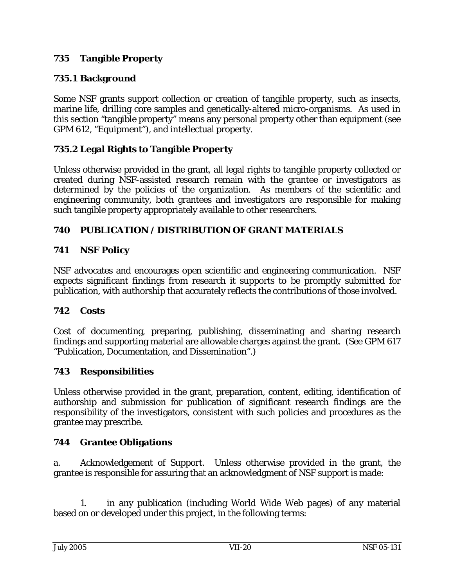### **735 Tangible Property**

## **735.1 Background**

Some NSF grants support collection or creation of tangible property, such as insects, marine life, drilling core samples and genetically-altered micro-organisms. As used in this section "tangible property" means any personal property other than equipment (see GPM 612, "Equipment"), and intellectual property.

### **735.2 Legal Rights to Tangible Property**

Unless otherwise provided in the grant, all legal rights to tangible property collected or created during NSF-assisted research remain with the grantee or investigators as determined by the policies of the organization. As members of the scientific and engineering community, both grantees and investigators are responsible for making such tangible property appropriately available to other researchers.

## **740 PUBLICATION / DISTRIBUTION OF GRANT MATERIALS**

### **741 NSF Policy**

NSF advocates and encourages open scientific and engineering communication. NSF expects significant findings from research it supports to be promptly submitted for publication, with authorship that accurately reflects the contributions of those involved.

### **742 Costs**

Cost of documenting, preparing, publishing, disseminating and sharing research findings and supporting material are allowable charges against the grant. (See GPM 617 "Publication, Documentation, and Dissemination".)

### **743 Responsibilities**

Unless otherwise provided in the grant, preparation, content, editing, identification of authorship and submission for publication of significant research findings are the responsibility of the investigators, consistent with such policies and procedures as the grantee may prescribe.

### **744 Grantee Obligations**

a. Acknowledgement of Support. Unless otherwise provided in the grant, the grantee is responsible for assuring that an acknowledgment of NSF support is made:

 1. in any publication (including World Wide Web pages) of any material based on or developed under this project, in the following terms: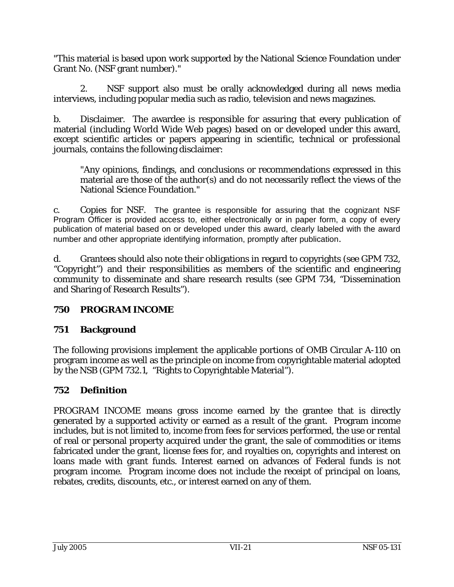"This material is based upon work supported by the National Science Foundation under Grant No. (NSF grant number)."

 2. NSF support also must be orally acknowledged during all news media interviews, including popular media such as radio, television and news magazines.

b. Disclaimer. The awardee is responsible for assuring that every publication of material (including World Wide Web pages) based on or developed under this award, except scientific articles or papers appearing in scientific, technical or professional journals, contains the following disclaimer:

"Any opinions, findings, and conclusions or recommendations expressed in this material are those of the author(s) and do not necessarily reflect the views of the National Science Foundation."

c. Copies for NSF. The grantee is responsible for assuring that the cognizant NSF Program Officer is provided access to, either electronically or in paper form, a copy of every publication of material based on or developed under this award, clearly labeled with the award number and other appropriate identifying information, promptly after publication.

d. Grantees should also note their obligations in regard to copyrights (see GPM 732, "Copyright") and their responsibilities as members of the scientific and engineering community to disseminate and share research results (see GPM 734, "Dissemination and Sharing of Research Results").

## **750 PROGRAM INCOME**

### **751 Background**

The following provisions implement the applicable portions of OMB Circular A-110 on program income as well as the principle on income from copyrightable material adopted by the NSB (GPM 732.1, "Rights to Copyrightable Material").

## **752 Definition**

PROGRAM INCOME means gross income earned by the grantee that is directly generated by a supported activity or earned as a result of the grant. Program income includes, but is not limited to, income from fees for services performed, the use or rental of real or personal property acquired under the grant, the sale of commodities or items fabricated under the grant, license fees for, and royalties on, copyrights and interest on loans made with grant funds. Interest earned on advances of Federal funds is not program income. Program income does not include the receipt of principal on loans, rebates, credits, discounts, etc., or interest earned on any of them.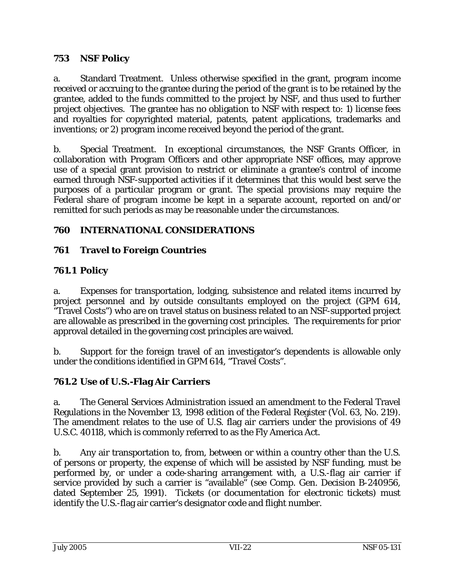### **753 NSF Policy**

a. Standard Treatment*.* Unless otherwise specified in the grant, program income received or accruing to the grantee during the period of the grant is to be retained by the grantee, added to the funds committed to the project by NSF, and thus used to further project objectives. The grantee has no obligation to NSF with respect to: 1) license fees and royalties for copyrighted material, patents, patent applications, trademarks and inventions; or 2) program income received beyond the period of the grant.

b. Special Treatment. In exceptional circumstances, the NSF Grants Officer, in collaboration with Program Officers and other appropriate NSF offices, may approve use of a special grant provision to restrict or eliminate a grantee's control of income earned through NSF-supported activities if it determines that this would best serve the purposes of a particular program or grant. The special provisions may require the Federal share of program income be kept in a separate account, reported on and/or remitted for such periods as may be reasonable under the circumstances.

# **760 INTERNATIONAL CONSIDERATIONS**

# **761 Travel to Foreign Countries**

# **761.1 Policy**

a. Expenses for transportation, lodging, subsistence and related items incurred by project personnel and by outside consultants employed on the project (GPM 614, "Travel Costs") who are on travel status on business related to an NSF-supported project are allowable as prescribed in the governing cost principles. The requirements for prior approval detailed in the governing cost principles are waived.

b. Support for the foreign travel of an investigator's dependents is allowable only under the conditions identified in GPM 614, "Travel Costs".

# **761.2 Use of U.S.-Flag Air Carriers**

a. The General Services Administration issued an amendment to the Federal Travel Regulations in the November 13, 1998 edition of the Federal Register (Vol. 63, No. 219). The amendment relates to the use of U.S. flag air carriers under the provisions of 49 U.S.C. 40118, which is commonly referred to as the Fly America Act.

b. Any air transportation to, from, between or within a country other than the U.S. of persons or property, the expense of which will be assisted by NSF funding, must be performed by, or under a code-sharing arrangement with, a U.S.-flag air carrier if service provided by such a carrier is "available" (see Comp. Gen. Decision B-240956, dated September 25, 1991). Tickets (or documentation for electronic tickets) must identify the U.S.-flag air carrier's designator code and flight number.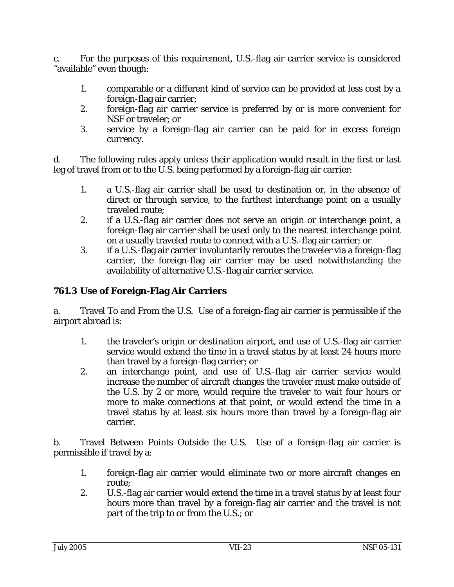c. For the purposes of this requirement, U.S.-flag air carrier service is considered "available" even though:

- 1. comparable or a different kind of service can be provided at less cost by a foreign-flag air carrier;
- 2. foreign-flag air carrier service is preferred by or is more convenient for NSF or traveler; or
- 3. service by a foreign-flag air carrier can be paid for in excess foreign currency.

d. The following rules apply unless their application would result in the first or last leg of travel from or to the U.S. being performed by a foreign-flag air carrier:

- 1. a U.S.-flag air carrier shall be used to destination or, in the absence of direct or through service, to the farthest interchange point on a usually traveled route;
- 2. if a U.S.-flag air carrier does not serve an origin or interchange point, a foreign-flag air carrier shall be used only to the nearest interchange point on a usually traveled route to connect with a U.S.-flag air carrier; or
- 3. if a U.S.-flag air carrier involuntarily reroutes the traveler via a foreign-flag carrier, the foreign-flag air carrier may be used notwithstanding the availability of alternative U.S.-flag air carrier service.

## **761.3 Use of Foreign-Flag Air Carriers**

a. Travel To and From the U.S. Use of a foreign-flag air carrier is permissible if the airport abroad is:

- 1. the traveler's origin or destination airport, and use of U.S.-flag air carrier service would extend the time in a travel status by at least 24 hours more than travel by a foreign-flag carrier; or
- 2. an interchange point, and use of U.S.-flag air carrier service would increase the number of aircraft changes the traveler must make outside of the U.S. by 2 or more, would require the traveler to wait four hours or more to make connections at that point, or would extend the time in a travel status by at least six hours more than travel by a foreign-flag air carrier.

b. Travel Between Points Outside the U.S. Use of a foreign-flag air carrier is permissible if travel by a:

- 1. foreign-flag air carrier would eliminate two or more aircraft changes en route;
- 2. U.S.-flag air carrier would extend the time in a travel status by at least four hours more than travel by a foreign-flag air carrier and the travel is not part of the trip to or from the U.S.; or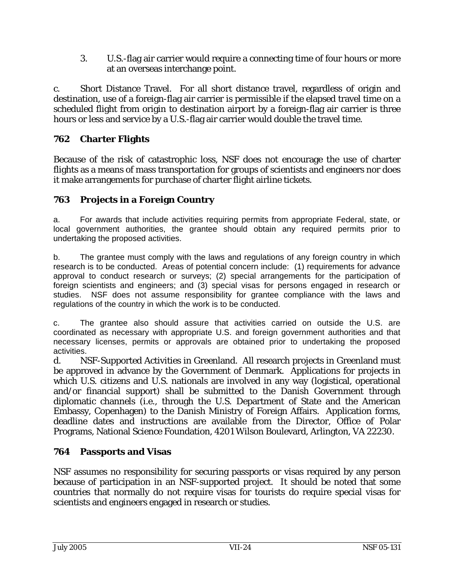3. U.S.-flag air carrier would require a connecting time of four hours or more at an overseas interchange point.

c. Short Distance Travel. For all short distance travel, regardless of origin and destination, use of a foreign-flag air carrier is permissible if the elapsed travel time on a scheduled flight from origin to destination airport by a foreign-flag air carrier is three hours or less and service by a U.S.-flag air carrier would double the travel time.

### **762 Charter Flights**

Because of the risk of catastrophic loss, NSF does not encourage the use of charter flights as a means of mass transportation for groups of scientists and engineers nor does it make arrangements for purchase of charter flight airline tickets.

### **763 Projects in a Foreign Country**

a. For awards that include activities requiring permits from appropriate Federal, state, or local government authorities, the grantee should obtain any required permits prior to undertaking the proposed activities.

b. The grantee must comply with the laws and regulations of any foreign country in which research is to be conducted. Areas of potential concern include: (1) requirements for advance approval to conduct research or surveys; (2) special arrangements for the participation of foreign scientists and engineers; and (3) special visas for persons engaged in research or studies. NSF does not assume responsibility for grantee compliance with the laws and regulations of the country in which the work is to be conducted.

c. The grantee also should assure that activities carried on outside the U.S. are coordinated as necessary with appropriate U.S. and foreign government authorities and that necessary licenses, permits or approvals are obtained prior to undertaking the proposed activities.

d. NSF-Supported Activities in Greenland. All research projects in Greenland must be approved in advance by the Government of Denmark. Applications for projects in which U.S. citizens and U.S. nationals are involved in any way (logistical, operational and/or financial support) shall be submitted to the Danish Government through diplomatic channels (i.e., through the U.S. Department of State and the American Embassy, Copenhagen) to the Danish Ministry of Foreign Affairs. Application forms, deadline dates and instructions are available from the Director, Office of Polar Programs, National Science Foundation, 4201 Wilson Boulevard, Arlington, VA 22230.

### **764 Passports and Visas**

NSF assumes no responsibility for securing passports or visas required by any person because of participation in an NSF-supported project. It should be noted that some countries that normally do not require visas for tourists do require special visas for scientists and engineers engaged in research or studies.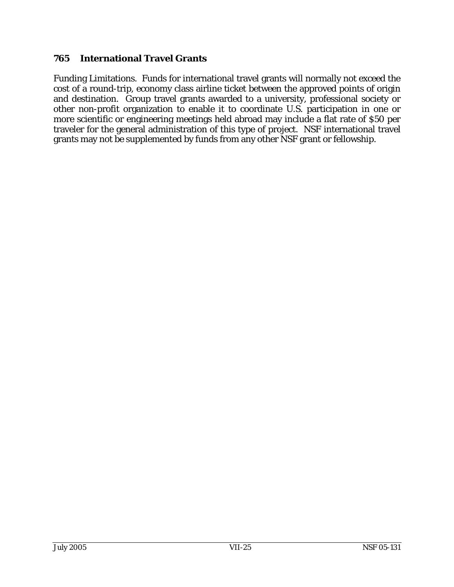#### **765 International Travel Grants**

Funding Limitations. Funds for international travel grants will normally not exceed the cost of a round-trip, economy class airline ticket between the approved points of origin and destination. Group travel grants awarded to a university, professional society or other non-profit organization to enable it to coordinate U.S. participation in one or more scientific or engineering meetings held abroad may include a flat rate of \$50 per traveler for the general administration of this type of project. NSF international travel grants may not be supplemented by funds from any other NSF grant or fellowship.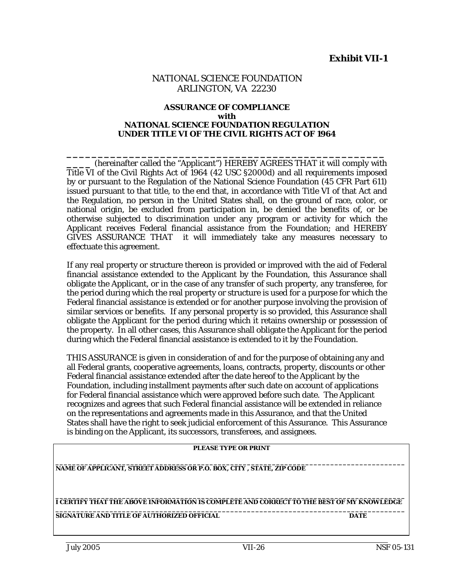#### NATIONAL SCIENCE FOUNDATION ARLINGTON, VA 22230

#### **ASSURANCE OF COMPLIANCE with NATIONAL SCIENCE FOUNDATION REGULATION UNDER TITLE VI OF THE CIVIL RIGHTS ACT OF 1964**

**\_\_\_\_\_\_\_\_\_\_\_\_\_\_\_\_\_\_\_\_\_\_\_\_\_\_\_\_\_\_\_\_\_\_\_\_\_\_\_\_\_\_\_\_\_\_\_\_\_\_\_**

**\_\_\_\_** (hereinafter called the "Applicant") HEREBY AGREES THAT it will comply with Title VI of the Civil Rights Act of 1964 (42 USC §2000d) and all requirements imposed by or pursuant to the Regulation of the National Science Foundation (45 CFR Part 611) issued pursuant to that title, to the end that, in accordance with Title VI of that Act and the Regulation, no person in the United States shall, on the ground of race, color, or national origin, be excluded from participation in, be denied the benefits of, or be otherwise subjected to discrimination under any program or activity for which the Applicant receives Federal financial assistance from the Foundation; and HEREBY GIVES ASSURANCE THAT it will immediately take any measures necessary to effectuate this agreement.

If any real property or structure thereon is provided or improved with the aid of Federal financial assistance extended to the Applicant by the Foundation, this Assurance shall obligate the Applicant, or in the case of any transfer of such property, any transferee, for the period during which the real property or structure is used for a purpose for which the Federal financial assistance is extended or for another purpose involving the provision of similar services or benefits. If any personal property is so provided, this Assurance shall obligate the Applicant for the period during which it retains ownership or possession of the property. In all other cases, this Assurance shall obligate the Applicant for the period during which the Federal financial assistance is extended to it by the Foundation.

THIS ASSURANCE is given in consideration of and for the purpose of obtaining any and all Federal grants, cooperative agreements, loans, contracts, property, discounts or other Federal financial assistance extended after the date hereof to the Applicant by the Foundation, including installment payments after such date on account of applications for Federal financial assistance which were approved before such date. The Applicant recognizes and agrees that such Federal financial assistance will be extended in reliance on the representations and agreements made in this Assurance, and that the United States shall have the right to seek judicial enforcement of this Assurance. This Assurance is binding on the Applicant, its successors, transferees, and assignees.

#### **PLEASE TYPE OR PRINT**

**\_\_\_\_\_\_\_\_\_\_\_\_\_\_\_\_\_\_\_\_\_\_\_\_\_\_\_\_\_\_\_\_\_\_\_\_\_\_\_\_\_\_\_\_\_\_\_\_\_\_\_\_\_\_\_\_\_\_\_\_\_\_\_\_\_\_\_\_\_\_\_\_\_\_\_\_\_\_\_\_\_\_\_\_ NAME OF APPLICANT, STREET ADDRESS OR P.O. BOX, CITY , STATE, ZIP CODE** 

**\_\_\_\_\_\_\_\_\_\_\_\_\_\_\_\_\_\_\_\_\_\_\_\_\_\_\_\_\_\_\_\_\_\_\_\_\_\_\_\_\_\_\_\_\_\_\_\_\_\_\_\_\_\_\_\_\_\_\_\_\_\_\_\_\_\_\_\_\_\_\_\_\_\_\_\_\_\_\_\_\_\_\_\_ I CERTIFY THAT THE ABOVE INFORMATION IS COMPLETE AND CORRECT TO THE BEST OF MY KNOWLEDGE \_\_\_\_\_\_\_\_\_\_\_\_\_\_\_\_\_\_\_\_\_\_\_\_\_\_\_\_\_\_\_\_\_\_\_\_\_\_\_\_\_\_\_\_\_\_\_\_\_\_\_\_\_\_\_\_\_\_\_\_\_\_\_\_\_\_\_\_\_\_\_\_\_\_\_\_\_\_\_\_\_\_\_\_** 

**SIGNATURE AND TITLE OF AUTHORIZED OFFICIAL DATE**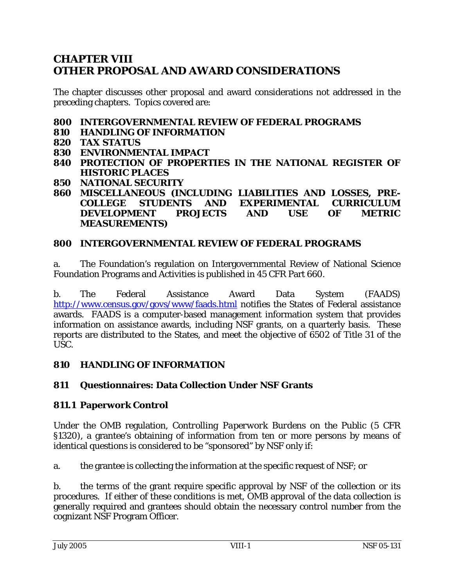# **CHAPTER VIII OTHER PROPOSAL AND AWARD CONSIDERATIONS**

The chapter discusses other proposal and award considerations not addressed in the preceding chapters. Topics covered are:

- **800 INTERGOVERNMENTAL REVIEW OF FEDERAL PROGRAMS**
- **810 HANDLING OF INFORMATION**
- **820 TAX STATUS**
- **830 ENVIRONMENTAL IMPACT**
- **840 PROTECTION OF PROPERTIES IN THE NATIONAL REGISTER OF HISTORIC PLACES**
- **850 NATIONAL SECURITY**
- **860 MISCELLANEOUS (INCLUDING LIABILITIES AND LOSSES, PRE-COLLEGE STUDENTS AND EXPERIMENTAL CURRICULUM DEVELOPMENT PROJECTS AND USE OF METRIC MEASUREMENTS)**

#### **800 INTERGOVERNMENTAL REVIEW OF FEDERAL PROGRAMS**

a. The Foundation's regulation on Intergovernmental Review of National Science Foundation Programs and Activities is published in 45 CFR Part 660.

b. The Federal Assistance Award Data System (FAADS) <http://www.census.gov/govs/www/faads.html>notifies the States of Federal assistance awards. FAADS is a computer-based management information system that provides information on assistance awards, including NSF grants, on a quarterly basis. These reports are distributed to the States, and meet the objective of 6502 of Title 31 of the USC.

### **810 HANDLING OF INFORMATION**

### **811 Questionnaires: Data Collection Under NSF Grants**

### **811.1 Paperwork Control**

Under the OMB regulation, *Controlling Paperwork Burdens on the Public* (5 CFR §1320), a grantee's obtaining of information from ten or more persons by means of identical questions is considered to be "sponsored" by NSF only if:

a. the grantee is collecting the information at the specific request of NSF; or

b. the terms of the grant require specific approval by NSF of the collection or its procedures. If either of these conditions is met, OMB approval of the data collection is generally required and grantees should obtain the necessary control number from the cognizant NSF Program Officer.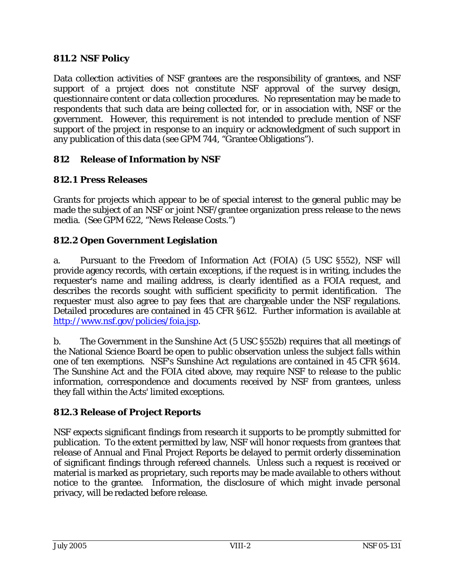### **811.2 NSF Policy**

Data collection activities of NSF grantees are the responsibility of grantees, and NSF support of a project does not constitute NSF approval of the survey design, questionnaire content or data collection procedures. No representation may be made to respondents that such data are being collected for, or in association with, NSF or the government. However, this requirement is not intended to preclude mention of NSF support of the project in response to an inquiry or acknowledgment of such support in any publication of this data (see GPM 744, "Grantee Obligations").

### **812 Release of Information by NSF**

#### **812.1 Press Releases**

Grants for projects which appear to be of special interest to the general public may be made the subject of an NSF or joint NSF/grantee organization press release to the news media. (See GPM 622, "News Release Costs.")

#### **812.2 Open Government Legislation**

a. Pursuant to the Freedom of Information Act (FOIA) (5 USC §552), NSF will provide agency records, with certain exceptions, if the request is in writing, includes the requester's name and mailing address, is clearly identified as a FOIA request, and describes the records sought with sufficient specificity to permit identification. The requester must also agree to pay fees that are chargeable under the NSF regulations. Detailed procedures are contained in 45 CFR §612. Further information is available at [http://www.nsf.gov/policies/foia.jsp.](http://www.nsf.gov/policies/foia.jsp)

b. The Government in the Sunshine Act (5 USC §552b) requires that all meetings of the National Science Board be open to public observation unless the subject falls within one of ten exemptions. NSF's Sunshine Act regulations are contained in 45 CFR §614. The Sunshine Act and the FOIA cited above, may require NSF to release to the public information, correspondence and documents received by NSF from grantees, unless they fall within the Acts' limited exceptions.

### **812.3 Release of Project Reports**

NSF expects significant findings from research it supports to be promptly submitted for publication. To the extent permitted by law, NSF will honor requests from grantees that release of Annual and Final Project Reports be delayed to permit orderly dissemination of significant findings through refereed channels. Unless such a request is received or material is marked as proprietary, such reports may be made available to others without notice to the grantee. Information, the disclosure of which might invade personal privacy, will be redacted before release.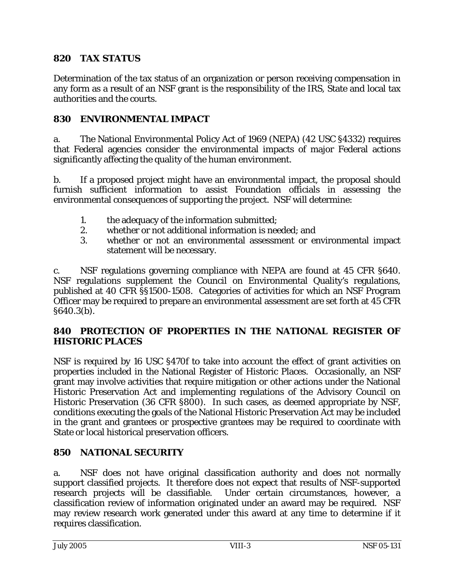#### **820 TAX STATUS**

Determination of the tax status of an organization or person receiving compensation in any form as a result of an NSF grant is the responsibility of the IRS, State and local tax authorities and the courts.

#### **830 ENVIRONMENTAL IMPACT**

a. The National Environmental Policy Act of 1969 (NEPA) (42 USC §4332) requires that Federal agencies consider the environmental impacts of major Federal actions significantly affecting the quality of the human environment.

b. If a proposed project might have an environmental impact, the proposal should furnish sufficient information to assist Foundation officials in assessing the environmental consequences of supporting the project. NSF will determine:

- 1. the adequacy of the information submitted;
- 2. whether or not additional information is needed; and
- 3. whether or not an environmental assessment or environmental impact statement will be necessary.

c. NSF regulations governing compliance with NEPA are found at 45 CFR §640. NSF regulations supplement the Council on Environmental Quality's regulations, published at 40 CFR §§1500-1508. Categories of activities for which an NSF Program Officer may be required to prepare an environmental assessment are set forth at 45 CFR §640.3(b).

#### **840 PROTECTION OF PROPERTIES IN THE NATIONAL REGISTER OF HISTORIC PLACES**

NSF is required by 16 USC §470f to take into account the effect of grant activities on properties included in the National Register of Historic Places. Occasionally, an NSF grant may involve activities that require mitigation or other actions under the National Historic Preservation Act and implementing regulations of the Advisory Council on Historic Preservation (36 CFR §800). In such cases, as deemed appropriate by NSF, conditions executing the goals of the National Historic Preservation Act may be included in the grant and grantees or prospective grantees may be required to coordinate with State or local historical preservation officers.

### **850 NATIONAL SECURITY**

a. NSF does not have original classification authority and does not normally support classified projects. It therefore does not expect that results of NSF-supported research projects will be classifiable. Under certain circumstances, however, a classification review of information originated under an award may be required. NSF may review research work generated under this award at any time to determine if it requires classification.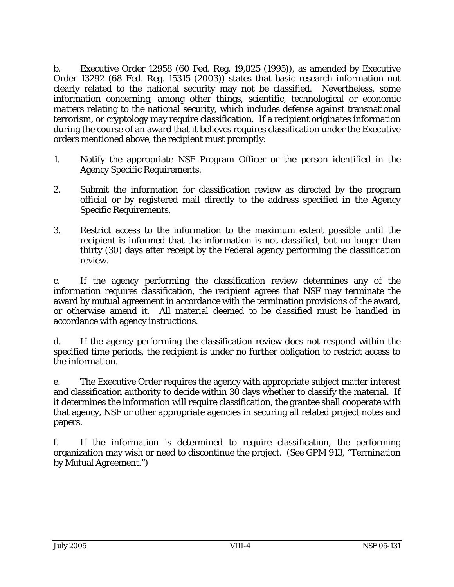b. Executive Order 12958 (60 Fed. Reg. 19,825 (1995)), as amended by Executive Order 13292 (68 Fed. Reg. 15315 (2003)) states that basic research information not clearly related to the national security may not be classified. Nevertheless, some information concerning, among other things, scientific, technological or economic matters relating to the national security, which includes defense against transnational terrorism, or cryptology may require classification. If a recipient originates information during the course of an award that it believes requires classification under the Executive orders mentioned above, the recipient must promptly:

- 1. Notify the appropriate NSF Program Officer or the person identified in the Agency Specific Requirements.
- 2. Submit the information for classification review as directed by the program official or by registered mail directly to the address specified in the Agency Specific Requirements.
- 3. Restrict access to the information to the maximum extent possible until the recipient is informed that the information is not classified, but no longer than thirty (30) days after receipt by the Federal agency performing the classification review.

c. If the agency performing the classification review determines any of the information requires classification, the recipient agrees that NSF may terminate the award by mutual agreement in accordance with the termination provisions of the award, or otherwise amend it. All material deemed to be classified must be handled in accordance with agency instructions.

d. If the agency performing the classification review does not respond within the specified time periods, the recipient is under no further obligation to restrict access to the information.

e. The Executive Order requires the agency with appropriate subject matter interest and classification authority to decide within 30 days whether to classify the material. If it determines the information will require classification, the grantee shall cooperate with that agency, NSF or other appropriate agencies in securing all related project notes and papers.

f. If the information is determined to require classification, the performing organization may wish or need to discontinue the project. (See GPM 913, "Termination by Mutual Agreement.")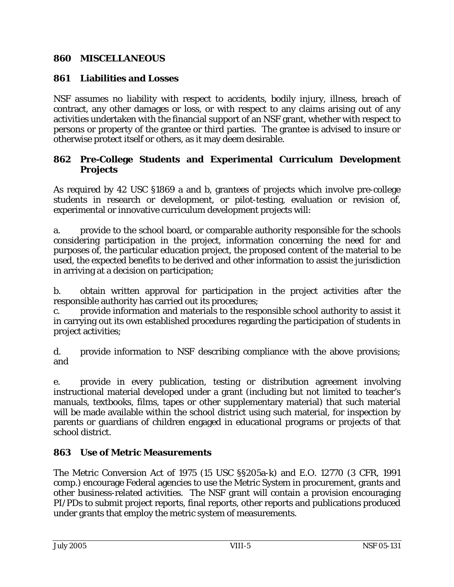#### **860 MISCELLANEOUS**

### **861 Liabilities and Losses**

NSF assumes no liability with respect to accidents, bodily injury, illness, breach of contract, any other damages or loss, or with respect to any claims arising out of any activities undertaken with the financial support of an NSF grant, whether with respect to persons or property of the grantee or third parties. The grantee is advised to insure or otherwise protect itself or others, as it may deem desirable.

#### **862 Pre-College Students and Experimental Curriculum Development Projects**

As required by 42 USC §1869 a and b, grantees of projects which involve pre-college students in research or development, or pilot-testing, evaluation or revision of, experimental or innovative curriculum development projects will:

a. provide to the school board, or comparable authority responsible for the schools considering participation in the project, information concerning the need for and purposes of, the particular education project, the proposed content of the material to be used, the expected benefits to be derived and other information to assist the jurisdiction in arriving at a decision on participation;

b. obtain written approval for participation in the project activities after the responsible authority has carried out its procedures;

c. provide information and materials to the responsible school authority to assist it in carrying out its own established procedures regarding the participation of students in project activities;

d. provide information to NSF describing compliance with the above provisions; and

e. provide in every publication, testing or distribution agreement involving instructional material developed under a grant (including but not limited to teacher's manuals, textbooks, films, tapes or other supplementary material) that such material will be made available within the school district using such material, for inspection by parents or guardians of children engaged in educational programs or projects of that school district.

# **863 Use of Metric Measurements**

The Metric Conversion Act of 1975 (15 USC §§205a-k) and E.O. 12770 (3 CFR, 1991 comp.) encourage Federal agencies to use the Metric System in procurement, grants and other business-related activities. The NSF grant will contain a provision encouraging PI/PDs to submit project reports, final reports, other reports and publications produced under grants that employ the metric system of measurements.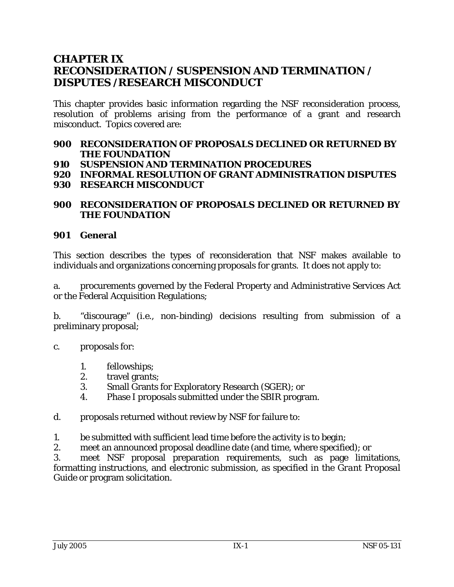# **CHAPTER IX RECONSIDERATION / SUSPENSION AND TERMINATION / DISPUTES /RESEARCH MISCONDUCT**

This chapter provides basic information regarding the NSF reconsideration process, resolution of problems arising from the performance of a grant and research misconduct. Topics covered are:

- **900 RECONSIDERATION OF PROPOSALS DECLINED OR RETURNED BY THE FOUNDATION**
- **910 SUSPENSION AND TERMINATION PROCEDURES**
- **920 INFORMAL RESOLUTION OF GRANT ADMINISTRATION DISPUTES**
- **930 RESEARCH MISCONDUCT**

#### **900 RECONSIDERATION OF PROPOSALS DECLINED OR RETURNED BY THE FOUNDATION**

#### **901 General**

This section describes the types of reconsideration that NSF makes available to individuals and organizations concerning proposals for grants. It does not apply to:

a. procurements governed by the Federal Property and Administrative Services Act or the Federal Acquisition Regulations;

b. "discourage" (i.e., non-binding) decisions resulting from submission of a preliminary proposal;

c. proposals for:

- 1. fellowships;
- 2. travel grants;
- 3. Small Grants for Exploratory Research (SGER); or
- 4. Phase I proposals submitted under the SBIR program.

d. proposals returned without review by NSF for failure to:

1. be submitted with sufficient lead time before the activity is to begin;

2. meet an announced proposal deadline date (and time, where specified); or

3. meet NSF proposal preparation requirements, such as page limitations, formatting instructions, and electronic submission, as specified in the *Grant Proposal Guide* or program solicitation.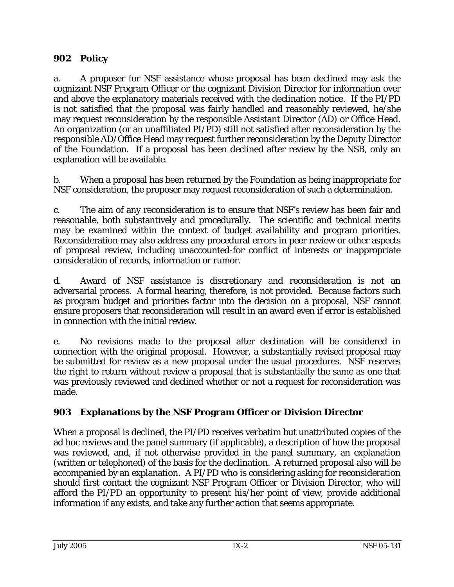## **902 Policy**

a. A proposer for NSF assistance whose proposal has been declined may ask the cognizant NSF Program Officer or the cognizant Division Director for information over and above the explanatory materials received with the declination notice. If the PI/PD is not satisfied that the proposal was fairly handled and reasonably reviewed, he/she may request reconsideration by the responsible Assistant Director (AD) or Office Head. An organization (or an unaffiliated PI/PD) still not satisfied after reconsideration by the responsible AD/Office Head may request further reconsideration by the Deputy Director of the Foundation. If a proposal has been declined after review by the NSB, only an explanation will be available.

b. When a proposal has been returned by the Foundation as being inappropriate for NSF consideration, the proposer may request reconsideration of such a determination.

c. The aim of any reconsideration is to ensure that NSF's review has been fair and reasonable, both substantively and procedurally. The scientific and technical merits may be examined within the context of budget availability and program priorities. Reconsideration may also address any procedural errors in peer review or other aspects of proposal review, including unaccounted-for conflict of interests or inappropriate consideration of records, information or rumor.

d. Award of NSF assistance is discretionary and reconsideration is not an adversarial process. A formal hearing, therefore, is not provided. Because factors such as program budget and priorities factor into the decision on a proposal, NSF cannot ensure proposers that reconsideration will result in an award even if error is established in connection with the initial review.

e. No revisions made to the proposal after declination will be considered in connection with the original proposal. However, a substantially revised proposal may be submitted for review as a new proposal under the usual procedures. NSF reserves the right to return without review a proposal that is substantially the same as one that was previously reviewed and declined whether or not a request for reconsideration was made.

# **903 Explanations by the NSF Program Officer or Division Director**

When a proposal is declined, the PI/PD receives verbatim but unattributed copies of the ad hoc reviews and the panel summary (if applicable), a description of how the proposal was reviewed, and, if not otherwise provided in the panel summary, an explanation (written or telephoned) of the basis for the declination. A returned proposal also will be accompanied by an explanation. A PI/PD who is considering asking for reconsideration should first contact the cognizant NSF Program Officer or Division Director, who will afford the PI/PD an opportunity to present his/her point of view, provide additional information if any exists, and take any further action that seems appropriate.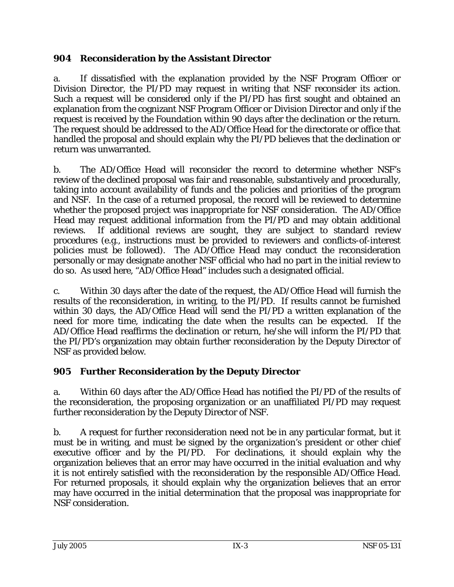## **904 Reconsideration by the Assistant Director**

a. If dissatisfied with the explanation provided by the NSF Program Officer or Division Director, the PI/PD may request in writing that NSF reconsider its action. Such a request will be considered only if the PI/PD has first sought and obtained an explanation from the cognizant NSF Program Officer or Division Director and only if the request is received by the Foundation within 90 days after the declination or the return. The request should be addressed to the AD/Office Head for the directorate or office that handled the proposal and should explain why the PI/PD believes that the declination or return was unwarranted.

b. The AD/Office Head will reconsider the record to determine whether NSF's review of the declined proposal was fair and reasonable, substantively and procedurally, taking into account availability of funds and the policies and priorities of the program and NSF. In the case of a returned proposal, the record will be reviewed to determine whether the proposed project was inappropriate for NSF consideration. The AD/Office Head may request additional information from the PI/PD and may obtain additional reviews. If additional reviews are sought, they are subject to standard review procedures (e.g., instructions must be provided to reviewers and conflicts-of-interest policies must be followed). The AD/Office Head may conduct the reconsideration personally or may designate another NSF official who had no part in the initial review to do so. As used here, "AD/Office Head" includes such a designated official.

c. Within 30 days after the date of the request, the AD/Office Head will furnish the results of the reconsideration, in writing, to the PI/PD. If results cannot be furnished within 30 days, the AD/Office Head will send the PI/PD a written explanation of the need for more time, indicating the date when the results can be expected. If the AD/Office Head reaffirms the declination or return, he/she will inform the PI/PD that the PI/PD's organization may obtain further reconsideration by the Deputy Director of NSF as provided below.

# **905 Further Reconsideration by the Deputy Director**

a. Within 60 days after the AD/Office Head has notified the PI/PD of the results of the reconsideration, the proposing organization or an unaffiliated PI/PD may request further reconsideration by the Deputy Director of NSF.

b. A request for further reconsideration need not be in any particular format, but it must be in writing, and must be signed by the organization's president or other chief executive officer and by the PI/PD. For declinations, it should explain why the organization believes that an error may have occurred in the initial evaluation and why it is not entirely satisfied with the reconsideration by the responsible AD/Office Head. For returned proposals, it should explain why the organization believes that an error may have occurred in the initial determination that the proposal was inappropriate for NSF consideration.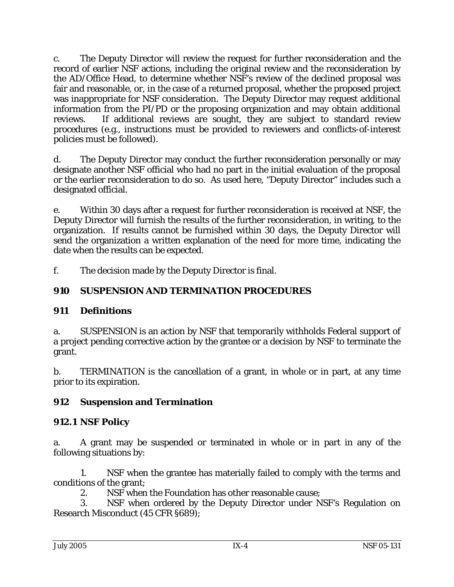c. The Deputy Director will review the request for further reconsideration and the record of earlier NSF actions, including the original review and the reconsideration by the AD/Office Head, to determine whether NSF's review of the declined proposal was fair and reasonable, or, in the case of a returned proposal, whether the proposed project was inappropriate for NSF consideration. The Deputy Director may request additional information from the PI/PD or the proposing organization and may obtain additional reviews. If additional reviews are sought, they are subject to standard review procedures (e.g., instructions must be provided to reviewers and conflicts-of-interest policies must be followed).

d. The Deputy Director may conduct the further reconsideration personally or may designate another NSF official who had no part in the initial evaluation of the proposal or the earlier reconsideration to do so. As used here, "Deputy Director" includes such a designated official.

e. Within 30 days after a request for further reconsideration is received at NSF, the Deputy Director will furnish the results of the further reconsideration, in writing, to the organization. If results cannot be furnished within 30 days, the Deputy Director will send the organization a written explanation of the need for more time, indicating the date when the results can be expected.

f. The decision made by the Deputy Director is final.

# **910 SUSPENSION AND TERMINATION PROCEDURES**

# **911 Definitions**

a. SUSPENSION is an action by NSF that temporarily withholds Federal support of a project pending corrective action by the grantee or a decision by NSF to terminate the grant.

b. TERMINATION is the cancellation of a grant, in whole or in part, at any time prior to its expiration.

# **912 Suspension and Termination**

# **912.1 NSF Policy**

a. A grant may be suspended or terminated in whole or in part in any of the following situations by:

 1. NSF when the grantee has materially failed to comply with the terms and conditions of the grant;

2. NSF when the Foundation has other reasonable cause;

3. NSF when ordered by the Deputy Director under NSF's Regulation on Research Misconduct (45 CFR §689);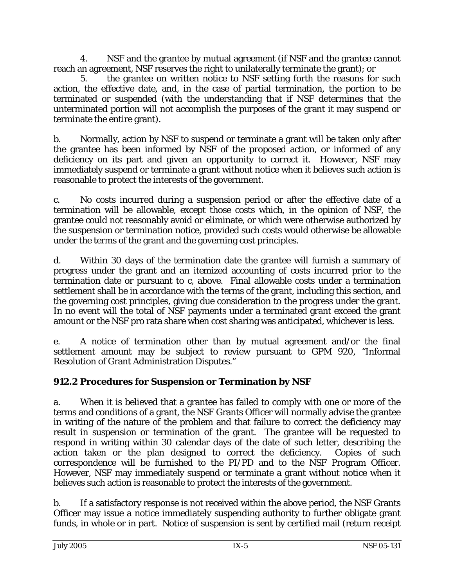4. NSF and the grantee by mutual agreement (if NSF and the grantee cannot reach an agreement, NSF reserves the right to unilaterally terminate the grant); or

 5. the grantee on written notice to NSF setting forth the reasons for such action, the effective date, and, in the case of partial termination, the portion to be terminated or suspended (with the understanding that if NSF determines that the unterminated portion will not accomplish the purposes of the grant it may suspend or terminate the entire grant).

b. Normally, action by NSF to suspend or terminate a grant will be taken only after the grantee has been informed by NSF of the proposed action, or informed of any deficiency on its part and given an opportunity to correct it. However, NSF may immediately suspend or terminate a grant without notice when it believes such action is reasonable to protect the interests of the government.

c. No costs incurred during a suspension period or after the effective date of a termination will be allowable, except those costs which, in the opinion of NSF, the grantee could not reasonably avoid or eliminate, or which were otherwise authorized by the suspension or termination notice, provided such costs would otherwise be allowable under the terms of the grant and the governing cost principles.

d. Within 30 days of the termination date the grantee will furnish a summary of progress under the grant and an itemized accounting of costs incurred prior to the termination date or pursuant to c, above. Final allowable costs under a termination settlement shall be in accordance with the terms of the grant, including this section, and the governing cost principles, giving due consideration to the progress under the grant. In no event will the total of NSF payments under a terminated grant exceed the grant amount or the NSF pro rata share when cost sharing was anticipated, whichever is less.

e. A notice of termination other than by mutual agreement and/or the final settlement amount may be subject to review pursuant to GPM 920, "Informal Resolution of Grant Administration Disputes."

# **912.2 Procedures for Suspension or Termination by NSF**

a. When it is believed that a grantee has failed to comply with one or more of the terms and conditions of a grant, the NSF Grants Officer will normally advise the grantee in writing of the nature of the problem and that failure to correct the deficiency may result in suspension or termination of the grant. The grantee will be requested to respond in writing within 30 calendar days of the date of such letter, describing the action taken or the plan designed to correct the deficiency. Copies of such correspondence will be furnished to the PI/PD and to the NSF Program Officer. However, NSF may immediately suspend or terminate a grant without notice when it believes such action is reasonable to protect the interests of the government.

b. If a satisfactory response is not received within the above period, the NSF Grants Officer may issue a notice immediately suspending authority to further obligate grant funds, in whole or in part. Notice of suspension is sent by certified mail (return receipt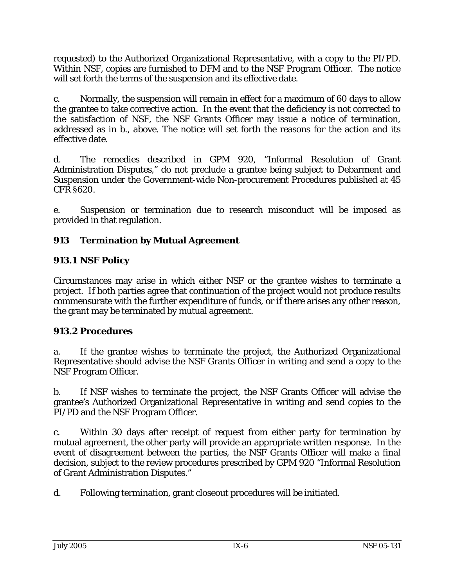requested) to the Authorized Organizational Representative, with a copy to the PI/PD. Within NSF, copies are furnished to DFM and to the NSF Program Officer. The notice will set forth the terms of the suspension and its effective date.

c. Normally, the suspension will remain in effect for a maximum of 60 days to allow the grantee to take corrective action. In the event that the deficiency is not corrected to the satisfaction of NSF, the NSF Grants Officer may issue a notice of termination, addressed as in b., above. The notice will set forth the reasons for the action and its effective date.

d. The remedies described in GPM 920, "Informal Resolution of Grant Administration Disputes," do not preclude a grantee being subject to Debarment and Suspension under the Government-wide Non-procurement Procedures published at 45 CFR §620.

e. Suspension or termination due to research misconduct will be imposed as provided in that regulation.

# **913 Termination by Mutual Agreement**

# **913.1 NSF Policy**

Circumstances may arise in which either NSF or the grantee wishes to terminate a project. If both parties agree that continuation of the project would not produce results commensurate with the further expenditure of funds, or if there arises any other reason, the grant may be terminated by mutual agreement.

# **913.2 Procedures**

a. If the grantee wishes to terminate the project, the Authorized Organizational Representative should advise the NSF Grants Officer in writing and send a copy to the NSF Program Officer.

b. If NSF wishes to terminate the project, the NSF Grants Officer will advise the grantee's Authorized Organizational Representative in writing and send copies to the PI/PD and the NSF Program Officer.

c. Within 30 days after receipt of request from either party for termination by mutual agreement, the other party will provide an appropriate written response. In the event of disagreement between the parties, the NSF Grants Officer will make a final decision, subject to the review procedures prescribed by GPM 920 "Informal Resolution of Grant Administration Disputes."

d. Following termination, grant closeout procedures will be initiated.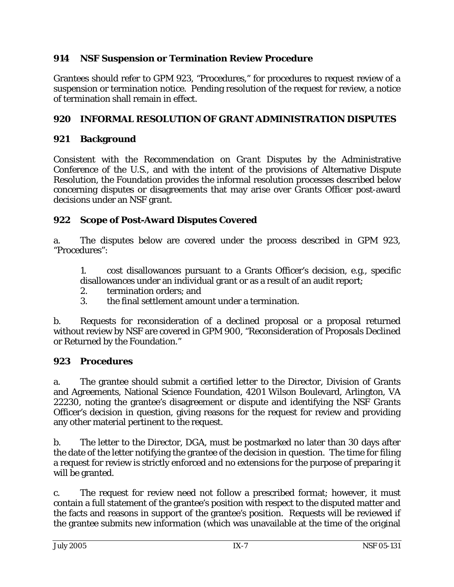## **914 NSF Suspension or Termination Review Procedure**

Grantees should refer to GPM 923, "Procedures," for procedures to request review of a suspension or termination notice. Pending resolution of the request for review, a notice of termination shall remain in effect.

## **920 INFORMAL RESOLUTION OF GRANT ADMINISTRATION DISPUTES**

## **921 Background**

Consistent with the *Recommendation on Grant Disputes* by the Administrative Conference of the U.S., and with the intent of the provisions of Alternative Dispute Resolution, the Foundation provides the informal resolution processes described below concerning disputes or disagreements that may arise over Grants Officer post-award decisions under an NSF grant.

## **922 Scope of Post-Award Disputes Covered**

a. The disputes below are covered under the process described in GPM 923, "Procedures":

 1. cost disallowances pursuant to a Grants Officer's decision, e.g., specific disallowances under an individual grant or as a result of an audit report;

- 2. termination orders; and
- 3. the final settlement amount under a termination.

b. Requests for reconsideration of a declined proposal or a proposal returned without review by NSF are covered in GPM 900, "Reconsideration of Proposals Declined or Returned by the Foundation."

### **923 Procedures**

a. The grantee should submit a certified letter to the Director, Division of Grants and Agreements, National Science Foundation, 4201 Wilson Boulevard, Arlington, VA 22230, noting the grantee's disagreement or dispute and identifying the NSF Grants Officer's decision in question, giving reasons for the request for review and providing any other material pertinent to the request.

b. The letter to the Director, DGA, must be postmarked no later than 30 days after the date of the letter notifying the grantee of the decision in question. The time for filing a request for review is strictly enforced and no extensions for the purpose of preparing it will be granted.

c. The request for review need not follow a prescribed format; however, it must contain a full statement of the grantee's position with respect to the disputed matter and the facts and reasons in support of the grantee's position. Requests will be reviewed if the grantee submits new information (which was unavailable at the time of the original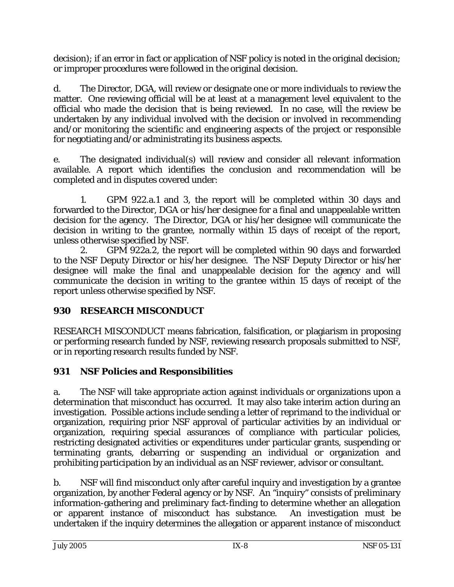decision); if an error in fact or application of NSF policy is noted in the original decision; or improper procedures were followed in the original decision.

d. The Director, DGA, will review or designate one or more individuals to review the matter. One reviewing official will be at least at a management level equivalent to the official who made the decision that is being reviewed. In no case, will the review be undertaken by any individual involved with the decision or involved in recommending and/or monitoring the scientific and engineering aspects of the project or responsible for negotiating and/or administrating its business aspects.

e. The designated individual(s) will review and consider all relevant information available. A report which identifies the conclusion and recommendation will be completed and in disputes covered under:

 1. GPM 922.a.1 and 3, the report will be completed within 30 days and forwarded to the Director, DGA or his/her designee for a final and unappealable written decision for the agency. The Director, DGA or his/her designee will communicate the decision in writing to the grantee, normally within 15 days of receipt of the report, unless otherwise specified by NSF.

 2. GPM 922a.2, the report will be completed within 90 days and forwarded to the NSF Deputy Director or his/her designee. The NSF Deputy Director or his/her designee will make the final and unappealable decision for the agency and will communicate the decision in writing to the grantee within 15 days of receipt of the report unless otherwise specified by NSF.

# **930 RESEARCH MISCONDUCT**

RESEARCH MISCONDUCT means fabrication, falsification, or plagiarism in proposing or performing research funded by NSF, reviewing research proposals submitted to NSF, or in reporting research results funded by NSF.

# **931 NSF Policies and Responsibilities**

a. The NSF will take appropriate action against individuals or organizations upon a determination that misconduct has occurred. It may also take interim action during an investigation. Possible actions include sending a letter of reprimand to the individual or organization, requiring prior NSF approval of particular activities by an individual or organization, requiring special assurances of compliance with particular policies, restricting designated activities or expenditures under particular grants, suspending or terminating grants, debarring or suspending an individual or organization and prohibiting participation by an individual as an NSF reviewer, advisor or consultant.

b. NSF will find misconduct only after careful inquiry and investigation by a grantee organization, by another Federal agency or by NSF. An "inquiry" consists of preliminary information-gathering and preliminary fact-finding to determine whether an allegation or apparent instance of misconduct has substance. An investigation must be undertaken if the inquiry determines the allegation or apparent instance of misconduct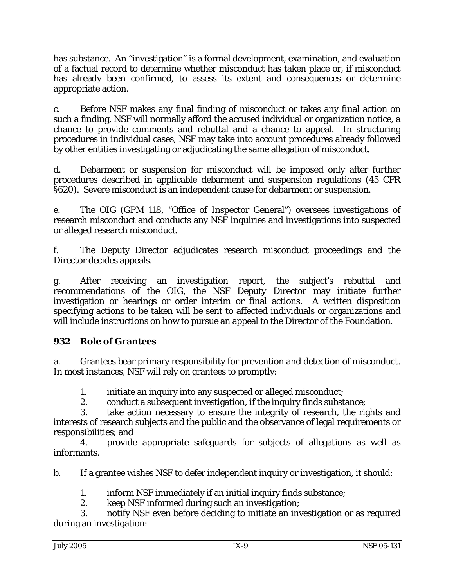has substance. An "investigation" is a formal development, examination, and evaluation of a factual record to determine whether misconduct has taken place or, if misconduct has already been confirmed, to assess its extent and consequences or determine appropriate action.

c. Before NSF makes any final finding of misconduct or takes any final action on such a finding, NSF will normally afford the accused individual or organization notice, a chance to provide comments and rebuttal and a chance to appeal. In structuring procedures in individual cases, NSF may take into account procedures already followed by other entities investigating or adjudicating the same allegation of misconduct.

d. Debarment or suspension for misconduct will be imposed only after further procedures described in applicable debarment and suspension regulations (45 CFR §620). Severe misconduct is an independent cause for debarment or suspension.

e. The OIG (GPM 118, "Office of Inspector General") oversees investigations of research misconduct and conducts any NSF inquiries and investigations into suspected or alleged research misconduct.

f. The Deputy Director adjudicates research misconduct proceedings and the Director decides appeals.

g. After receiving an investigation report, the subject's rebuttal and recommendations of the OIG, the NSF Deputy Director may initiate further investigation or hearings or order interim or final actions. A written disposition specifying actions to be taken will be sent to affected individuals or organizations and will include instructions on how to pursue an appeal to the Director of the Foundation.

### **932 Role of Grantees**

a. Grantees bear primary responsibility for prevention and detection of misconduct. In most instances, NSF will rely on grantees to promptly:

- 1. initiate an inquiry into any suspected or alleged misconduct;
- 2. conduct a subsequent investigation, if the inquiry finds substance;

 3. take action necessary to ensure the integrity of research, the rights and interests of research subjects and the public and the observance of legal requirements or responsibilities; and

 4. provide appropriate safeguards for subjects of allegations as well as informants.

b. If a grantee wishes NSF to defer independent inquiry or investigation, it should:

- 1. inform NSF immediately if an initial inquiry finds substance;
- 2. keep NSF informed during such an investigation;

 3. notify NSF even before deciding to initiate an investigation or as required during an investigation: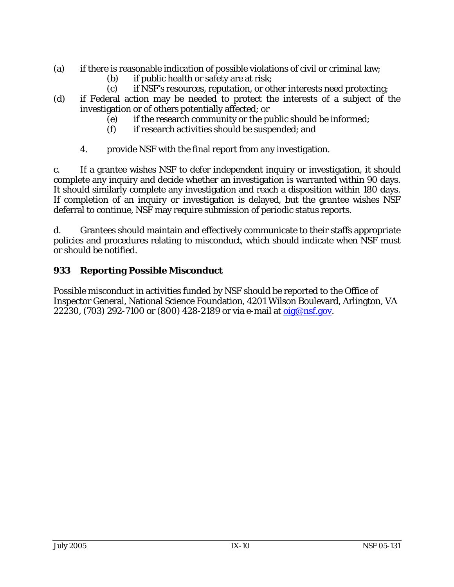- (a) if there is reasonable indication of possible violations of civil or criminal law;
	- (b) if public health or safety are at risk;
	- (c) if NSF's resources, reputation, or other interests need protecting;
- (d) if Federal action may be needed to protect the interests of a subject of the investigation or of others potentially affected; or
	- (e) if the research community or the public should be informed;
	- (f) if research activities should be suspended; and
	- 4. provide NSF with the final report from any investigation.

c. If a grantee wishes NSF to defer independent inquiry or investigation, it should complete any inquiry and decide whether an investigation is warranted within 90 days. It should similarly complete any investigation and reach a disposition within 180 days. If completion of an inquiry or investigation is delayed, but the grantee wishes NSF deferral to continue, NSF may require submission of periodic status reports.

d. Grantees should maintain and effectively communicate to their staffs appropriate policies and procedures relating to misconduct, which should indicate when NSF must or should be notified.

# **933 Reporting Possible Misconduct**

Possible misconduct in activities funded by NSF should be reported to the Office of Inspector General, National Science Foundation, 4201 Wilson Boulevard, Arlington, VA 22230, (703) 292-7100 or (800) 428-2189 or via e-mail at  $oig@nsf.gov$ .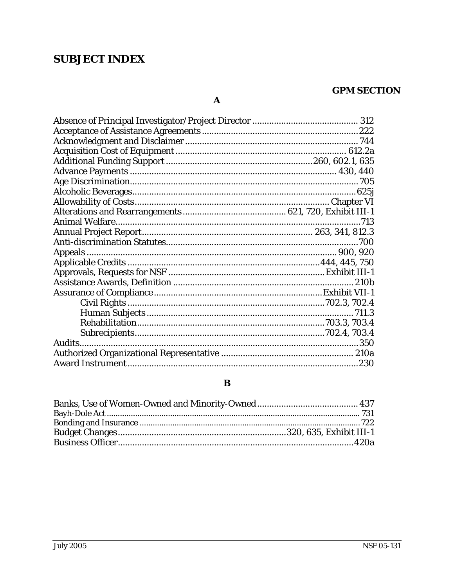# **SUBJECT INDEX**

#### **GPM SECTION**

#### $\mathbf{A}$

#### $\, {\bf B}$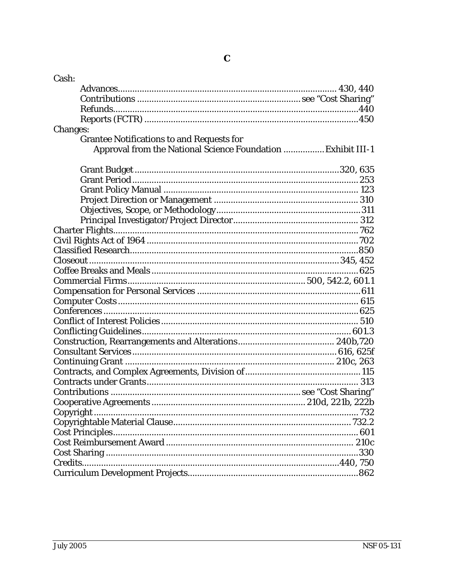| Cash:                                                        |  |
|--------------------------------------------------------------|--|
|                                                              |  |
|                                                              |  |
|                                                              |  |
|                                                              |  |
| <b>Changes:</b>                                              |  |
| <b>Grantee Notifications to and Requests for</b>             |  |
| Approval from the National Science Foundation  Exhibit III-1 |  |
|                                                              |  |
|                                                              |  |
|                                                              |  |
|                                                              |  |
|                                                              |  |
|                                                              |  |
|                                                              |  |
|                                                              |  |
|                                                              |  |
|                                                              |  |
|                                                              |  |
|                                                              |  |
|                                                              |  |
|                                                              |  |
|                                                              |  |
|                                                              |  |
|                                                              |  |
|                                                              |  |
|                                                              |  |
|                                                              |  |
|                                                              |  |
|                                                              |  |
|                                                              |  |
|                                                              |  |
|                                                              |  |
|                                                              |  |
|                                                              |  |
|                                                              |  |
|                                                              |  |
|                                                              |  |
|                                                              |  |
|                                                              |  |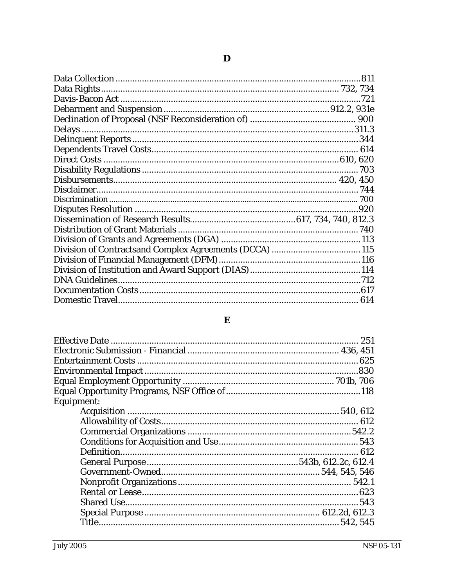| .721 |
|------|
|      |
|      |
|      |
|      |
|      |
|      |
|      |
|      |
|      |
|      |
|      |
|      |
|      |
|      |
|      |
|      |
|      |
|      |
|      |
|      |

# $\mathbf{E}$

| Equipment: |  |
|------------|--|
|            |  |
|            |  |
|            |  |
|            |  |
|            |  |
|            |  |
|            |  |
|            |  |
|            |  |
|            |  |
|            |  |
|            |  |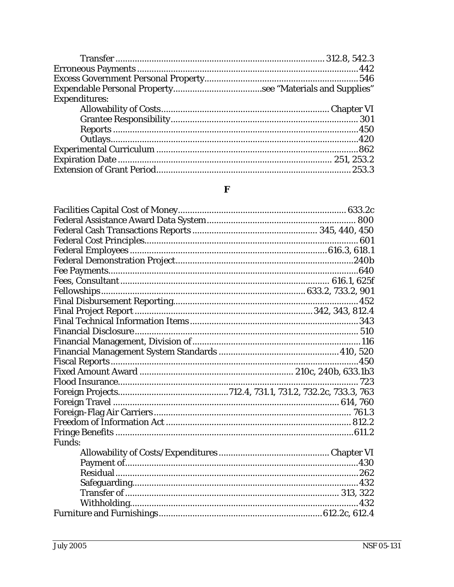| <b>Expenditures:</b> |  |
|----------------------|--|
|                      |  |
|                      |  |
|                      |  |
|                      |  |
|                      |  |
|                      |  |
|                      |  |

# $\mathbf{F}$

| Funds: |  |
|--------|--|
|        |  |
|        |  |
|        |  |
|        |  |
|        |  |
|        |  |
|        |  |
|        |  |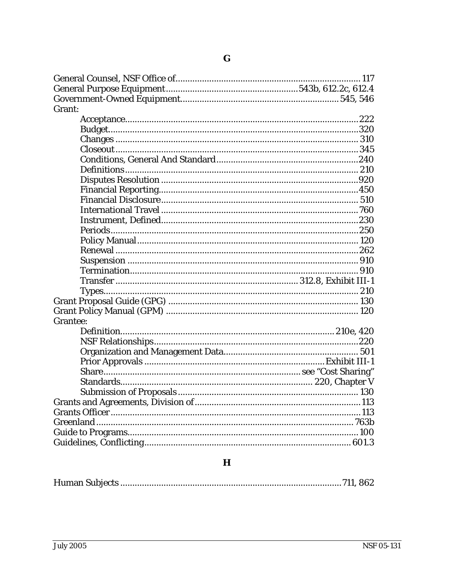### $\bf H$

|--|--|--|--|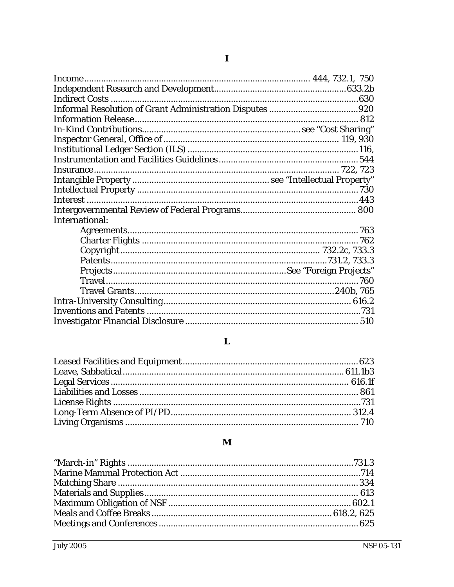| International: |  |
|----------------|--|
|                |  |
|                |  |
|                |  |
|                |  |
|                |  |
|                |  |
|                |  |
|                |  |
|                |  |
|                |  |

# $\mathbf{L}$

# $\mathbf{M}$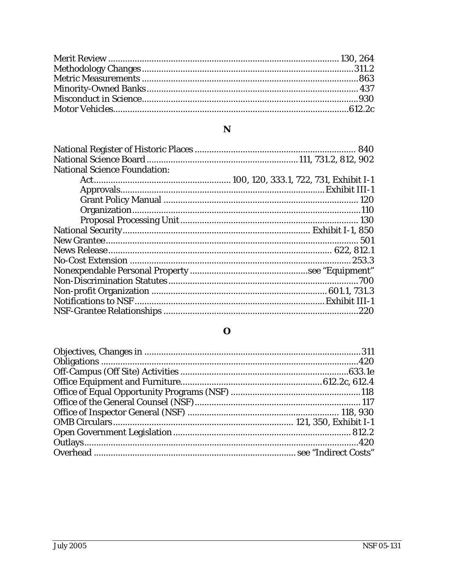# $\overline{\mathbf{N}}$

| <b>National Science Foundation:</b> |      |
|-------------------------------------|------|
|                                     |      |
|                                     |      |
|                                     |      |
|                                     |      |
|                                     |      |
|                                     |      |
|                                     |      |
|                                     |      |
|                                     |      |
|                                     |      |
|                                     |      |
|                                     |      |
|                                     |      |
|                                     | .220 |
|                                     |      |

# $\mathbf 0$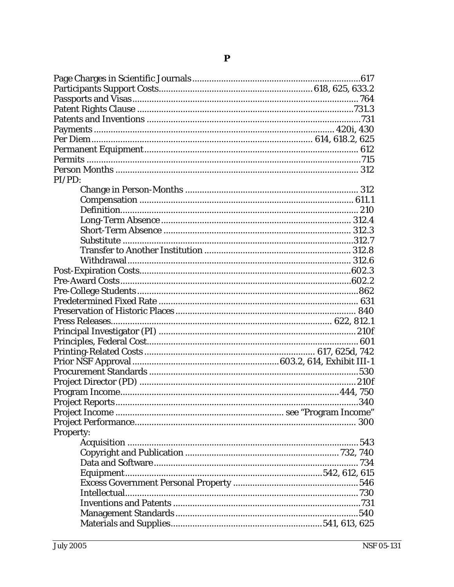| $PI/PD$ : |  |
|-----------|--|
|           |  |
|           |  |
|           |  |
|           |  |
|           |  |
|           |  |
|           |  |
|           |  |
|           |  |
|           |  |
|           |  |
|           |  |
|           |  |
|           |  |
|           |  |
|           |  |
|           |  |
|           |  |
|           |  |
|           |  |
|           |  |
|           |  |
|           |  |
|           |  |
| Property: |  |
|           |  |
|           |  |
|           |  |
|           |  |
|           |  |
|           |  |
|           |  |
|           |  |
|           |  |
|           |  |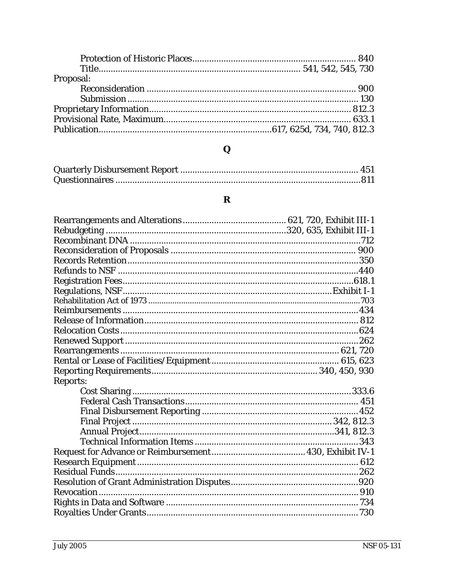| Proposal: |  |
|-----------|--|
|           |  |
|           |  |
|           |  |
|           |  |
|           |  |

# $\mathbf Q$

### $\mathbf R$

| <b>Reports:</b>               |  |
|-------------------------------|--|
|                               |  |
|                               |  |
|                               |  |
|                               |  |
|                               |  |
|                               |  |
|                               |  |
|                               |  |
|                               |  |
|                               |  |
|                               |  |
|                               |  |
| Rovalties Under Grants<br>730 |  |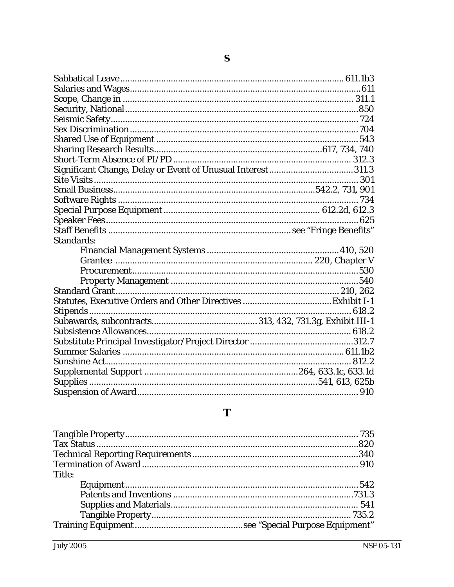| Standards: |  |
|------------|--|
|            |  |
|            |  |
|            |  |
|            |  |
|            |  |
|            |  |
|            |  |
|            |  |
|            |  |
|            |  |
|            |  |
|            |  |
|            |  |
|            |  |
|            |  |

# T

| Title: |  |
|--------|--|
|        |  |
|        |  |
|        |  |
|        |  |
|        |  |